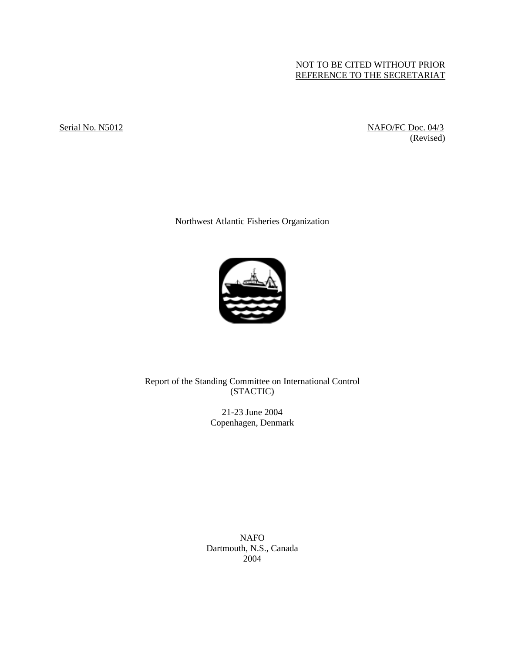## NOT TO BE CITED WITHOUT PRIOR REFERENCE TO THE SECRETARIAT

Serial No. N5012 NAFO/FC Doc. 04/3 (Revised)

Northwest Atlantic Fisheries Organization



Report of the Standing Committee on International Control (STACTIC)

> 21-23 June 2004 Copenhagen, Denmark

NAFO Dartmouth, N.S., Canada 2004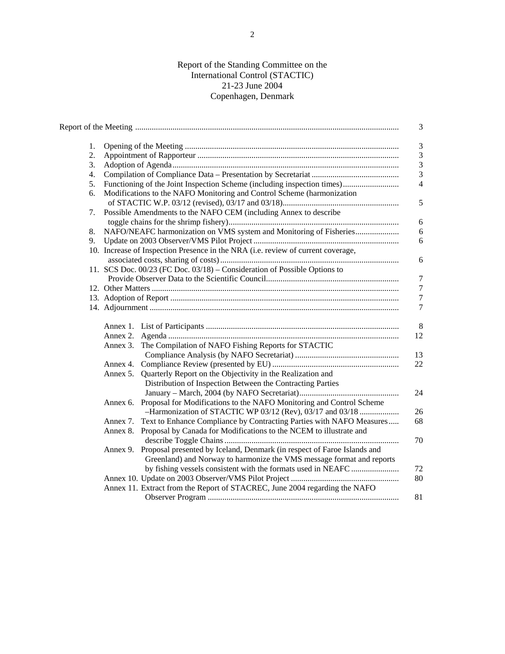## Report of the Standing Committee on the International Control (STACTIC) 21-23 June 2004 Copenhagen, Denmark

|    |                                                                                     | 3              |
|----|-------------------------------------------------------------------------------------|----------------|
| 1. |                                                                                     | $\mathfrak{Z}$ |
| 2. |                                                                                     | 3              |
| 3. |                                                                                     | $\mathfrak{Z}$ |
| 4. |                                                                                     | $\overline{3}$ |
| 5. | Functioning of the Joint Inspection Scheme (including inspection times)             | $\overline{4}$ |
| 6. | Modifications to the NAFO Monitoring and Control Scheme (harmonization              |                |
|    |                                                                                     | 5              |
|    |                                                                                     |                |
| 7. | Possible Amendments to the NAFO CEM (including Annex to describe                    |                |
|    |                                                                                     | 6              |
| 8. | NAFO/NEAFC harmonization on VMS system and Monitoring of Fisheries                  | 6              |
| 9. |                                                                                     | 6              |
|    | 10. Increase of Inspection Presence in the NRA (i.e. review of current coverage,    |                |
|    |                                                                                     | 6              |
|    | 11. SCS Doc. 00/23 (FC Doc. 03/18) – Consideration of Possible Options to           |                |
|    |                                                                                     | 7              |
|    |                                                                                     | $\overline{7}$ |
|    |                                                                                     | $\tau$         |
|    |                                                                                     | $\overline{7}$ |
|    |                                                                                     | $\,8\,$        |
|    |                                                                                     | 12             |
|    | Annex 3. The Compilation of NAFO Fishing Reports for STACTIC                        |                |
|    |                                                                                     | 13             |
|    |                                                                                     | 22             |
|    | Annex 5. Quarterly Report on the Objectivity in the Realization and                 |                |
|    |                                                                                     |                |
|    | Distribution of Inspection Between the Contracting Parties                          |                |
|    |                                                                                     | 24             |
|    | Proposal for Modifications to the NAFO Monitoring and Control Scheme<br>Annex 6.    |                |
|    | -Harmonization of STACTIC WP 03/12 (Rev), 03/17 and 03/18                           | 26             |
|    | Text to Enhance Compliance by Contracting Parties with NAFO Measures<br>Annex 7.    | 68             |
|    | Proposal by Canada for Modifications to the NCEM to illustrate and<br>Annex 8.      |                |
|    |                                                                                     | 70             |
|    | Proposal presented by Iceland, Denmark (in respect of Faroe Islands and<br>Annex 9. |                |
|    | Greenland) and Norway to harmonize the VMS message format and reports               |                |
|    | by fishing vessels consistent with the formats used in NEAFC                        | 72             |
|    |                                                                                     | 80             |
|    | Annex 11. Extract from the Report of STACREC, June 2004 regarding the NAFO          |                |
|    |                                                                                     | 81             |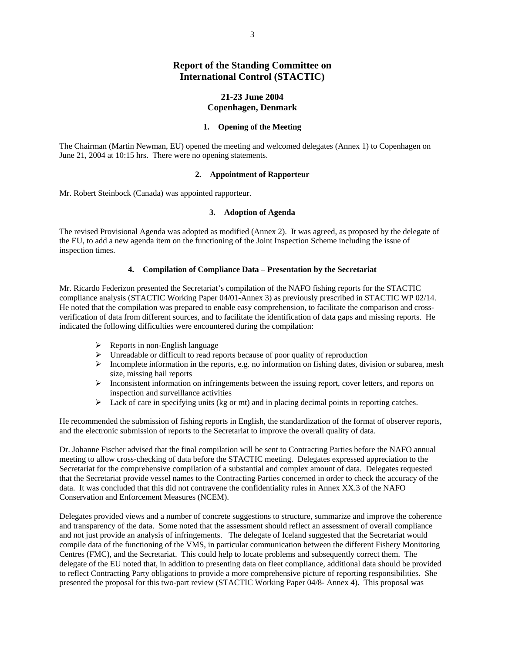## **Report of the Standing Committee on International Control (STACTIC)**

## **21-23 June 2004 Copenhagen, Denmark**

## **1. Opening of the Meeting**

The Chairman (Martin Newman, EU) opened the meeting and welcomed delegates (Annex 1) to Copenhagen on June 21, 2004 at 10:15 hrs. There were no opening statements.

#### **2. Appointment of Rapporteur**

Mr. Robert Steinbock (Canada) was appointed rapporteur.

## **3. Adoption of Agenda**

The revised Provisional Agenda was adopted as modified (Annex 2). It was agreed, as proposed by the delegate of the EU, to add a new agenda item on the functioning of the Joint Inspection Scheme including the issue of inspection times.

#### **4. Compilation of Compliance Data – Presentation by the Secretariat**

Mr. Ricardo Federizon presented the Secretariat's compilation of the NAFO fishing reports for the STACTIC compliance analysis (STACTIC Working Paper 04/01-Annex 3) as previously prescribed in STACTIC WP 02/14. He noted that the compilation was prepared to enable easy comprehension, to facilitate the comparison and crossverification of data from different sources, and to facilitate the identification of data gaps and missing reports. He indicated the following difficulties were encountered during the compilation:

- $\triangleright$  Reports in non-English language
- $\triangleright$  Unreadable or difficult to read reports because of poor quality of reproduction
- $\triangleright$  Incomplete information in the reports, e.g. no information on fishing dates, division or subarea, mesh size, missing hail reports
- > Inconsistent information on infringements between the issuing report, cover letters, and reports on inspection and surveillance activities
- $\triangleright$  Lack of care in specifying units (kg or mt) and in placing decimal points in reporting catches.

He recommended the submission of fishing reports in English, the standardization of the format of observer reports, and the electronic submission of reports to the Secretariat to improve the overall quality of data.

Dr. Johanne Fischer advised that the final compilation will be sent to Contracting Parties before the NAFO annual meeting to allow cross-checking of data before the STACTIC meeting. Delegates expressed appreciation to the Secretariat for the comprehensive compilation of a substantial and complex amount of data. Delegates requested that the Secretariat provide vessel names to the Contracting Parties concerned in order to check the accuracy of the data. It was concluded that this did not contravene the confidentiality rules in Annex XX.3 of the NAFO Conservation and Enforcement Measures (NCEM).

Delegates provided views and a number of concrete suggestions to structure, summarize and improve the coherence and transparency of the data. Some noted that the assessment should reflect an assessment of overall compliance and not just provide an analysis of infringements. The delegate of Iceland suggested that the Secretariat would compile data of the functioning of the VMS, in particular communication between the different Fishery Monitoring Centres (FMC), and the Secretariat. This could help to locate problems and subsequently correct them. The delegate of the EU noted that, in addition to presenting data on fleet compliance, additional data should be provided to reflect Contracting Party obligations to provide a more comprehensive picture of reporting responsibilities. She presented the proposal for this two-part review (STACTIC Working Paper 04/8- Annex 4). This proposal was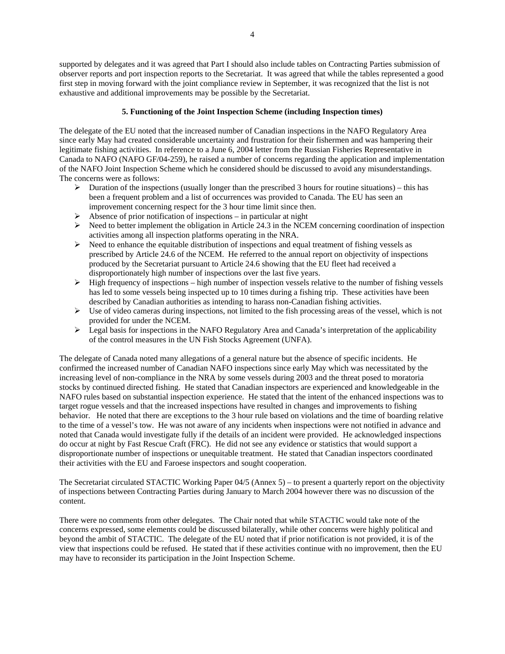supported by delegates and it was agreed that Part I should also include tables on Contracting Parties submission of observer reports and port inspection reports to the Secretariat. It was agreed that while the tables represented a good first step in moving forward with the joint compliance review in September, it was recognized that the list is not exhaustive and additional improvements may be possible by the Secretariat.

#### **5. Functioning of the Joint Inspection Scheme (including Inspection times)**

The delegate of the EU noted that the increased number of Canadian inspections in the NAFO Regulatory Area since early May had created considerable uncertainty and frustration for their fishermen and was hampering their legitimate fishing activities. In reference to a June 6, 2004 letter from the Russian Fisheries Representative in Canada to NAFO (NAFO GF/04-259), he raised a number of concerns regarding the application and implementation of the NAFO Joint Inspection Scheme which he considered should be discussed to avoid any misunderstandings. The concerns were as follows:

- $\triangleright$  Duration of the inspections (usually longer than the prescribed 3 hours for routine situations) this has been a frequent problem and a list of occurrences was provided to Canada. The EU has seen an improvement concerning respect for the 3 hour time limit since then.
- $\triangleright$  Absence of prior notification of inspections in particular at night
- $\triangleright$  Need to better implement the obligation in Article 24.3 in the NCEM concerning coordination of inspection activities among all inspection platforms operating in the NRA.
- > Need to enhance the equitable distribution of inspections and equal treatment of fishing vessels as prescribed by Article 24.6 of the NCEM. He referred to the annual report on objectivity of inspections produced by the Secretariat pursuant to Article 24.6 showing that the EU fleet had received a disproportionately high number of inspections over the last five years.
- $\triangleright$  High frequency of inspections high number of inspection vessels relative to the number of fishing vessels has led to some vessels being inspected up to 10 times during a fishing trip. These activities have been described by Canadian authorities as intending to harass non-Canadian fishing activities.
- $\triangleright$  Use of video cameras during inspections, not limited to the fish processing areas of the vessel, which is not provided for under the NCEM.
- > Legal basis for inspections in the NAFO Regulatory Area and Canada's interpretation of the applicability of the control measures in the UN Fish Stocks Agreement (UNFA).

The delegate of Canada noted many allegations of a general nature but the absence of specific incidents. He confirmed the increased number of Canadian NAFO inspections since early May which was necessitated by the increasing level of non-compliance in the NRA by some vessels during 2003 and the threat posed to moratoria stocks by continued directed fishing. He stated that Canadian inspectors are experienced and knowledgeable in the NAFO rules based on substantial inspection experience. He stated that the intent of the enhanced inspections was to target rogue vessels and that the increased inspections have resulted in changes and improvements to fishing behavior. He noted that there are exceptions to the 3 hour rule based on violations and the time of boarding relative to the time of a vessel's tow. He was not aware of any incidents when inspections were not notified in advance and noted that Canada would investigate fully if the details of an incident were provided. He acknowledged inspections do occur at night by Fast Rescue Craft (FRC). He did not see any evidence or statistics that would support a disproportionate number of inspections or unequitable treatment. He stated that Canadian inspectors coordinated their activities with the EU and Faroese inspectors and sought cooperation.

The Secretariat circulated STACTIC Working Paper 04/5 (Annex 5) – to present a quarterly report on the objectivity of inspections between Contracting Parties during January to March 2004 however there was no discussion of the content.

There were no comments from other delegates. The Chair noted that while STACTIC would take note of the concerns expressed, some elements could be discussed bilaterally, while other concerns were highly political and beyond the ambit of STACTIC. The delegate of the EU noted that if prior notification is not provided, it is of the view that inspections could be refused. He stated that if these activities continue with no improvement, then the EU may have to reconsider its participation in the Joint Inspection Scheme.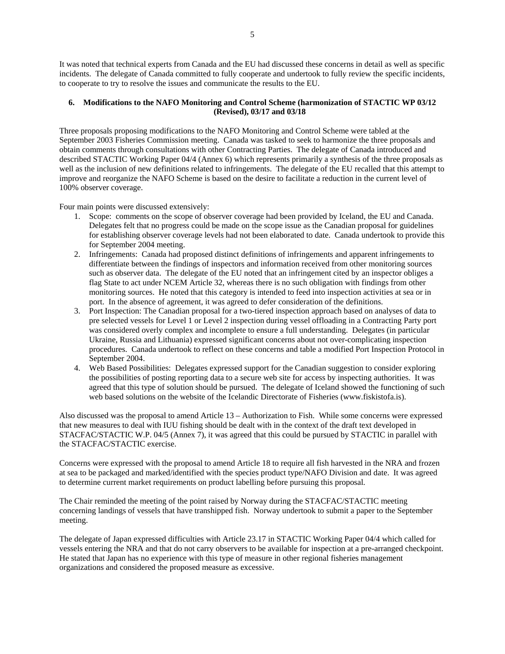It was noted that technical experts from Canada and the EU had discussed these concerns in detail as well as specific incidents. The delegate of Canada committed to fully cooperate and undertook to fully review the specific incidents, to cooperate to try to resolve the issues and communicate the results to the EU.

## **6. Modifications to the NAFO Monitoring and Control Scheme (harmonization of STACTIC WP 03/12 (Revised), 03/17 and 03/18**

Three proposals proposing modifications to the NAFO Monitoring and Control Scheme were tabled at the September 2003 Fisheries Commission meeting. Canada was tasked to seek to harmonize the three proposals and obtain comments through consultations with other Contracting Parties. The delegate of Canada introduced and described STACTIC Working Paper 04/4 (Annex 6) which represents primarily a synthesis of the three proposals as well as the inclusion of new definitions related to infringements. The delegate of the EU recalled that this attempt to improve and reorganize the NAFO Scheme is based on the desire to facilitate a reduction in the current level of 100% observer coverage.

Four main points were discussed extensively:

- 1. Scope: comments on the scope of observer coverage had been provided by Iceland, the EU and Canada. Delegates felt that no progress could be made on the scope issue as the Canadian proposal for guidelines for establishing observer coverage levels had not been elaborated to date. Canada undertook to provide this for September 2004 meeting.
- 2. Infringements: Canada had proposed distinct definitions of infringements and apparent infringements to differentiate between the findings of inspectors and information received from other monitoring sources such as observer data. The delegate of the EU noted that an infringement cited by an inspector obliges a flag State to act under NCEM Article 32, whereas there is no such obligation with findings from other monitoring sources. He noted that this category is intended to feed into inspection activities at sea or in port. In the absence of agreement, it was agreed to defer consideration of the definitions.
- 3. Port Inspection: The Canadian proposal for a two-tiered inspection approach based on analyses of data to pre selected vessels for Level 1 or Level 2 inspection during vessel offloading in a Contracting Party port was considered overly complex and incomplete to ensure a full understanding. Delegates (in particular Ukraine, Russia and Lithuania) expressed significant concerns about not over-complicating inspection procedures. Canada undertook to reflect on these concerns and table a modified Port Inspection Protocol in September 2004.
- 4. Web Based Possibilities: Delegates expressed support for the Canadian suggestion to consider exploring the possibilities of posting reporting data to a secure web site for access by inspecting authorities. It was agreed that this type of solution should be pursued. The delegate of Iceland showed the functioning of such web based solutions on the website of the Icelandic Directorate of Fisheries (www.fiskistofa.is).

Also discussed was the proposal to amend Article 13 – Authorization to Fish. While some concerns were expressed that new measures to deal with IUU fishing should be dealt with in the context of the draft text developed in STACFAC/STACTIC W.P. 04/5 (Annex 7), it was agreed that this could be pursued by STACTIC in parallel with the STACFAC/STACTIC exercise.

Concerns were expressed with the proposal to amend Article 18 to require all fish harvested in the NRA and frozen at sea to be packaged and marked/identified with the species product type/NAFO Division and date. It was agreed to determine current market requirements on product labelling before pursuing this proposal.

The Chair reminded the meeting of the point raised by Norway during the STACFAC/STACTIC meeting concerning landings of vessels that have transhipped fish. Norway undertook to submit a paper to the September meeting.

The delegate of Japan expressed difficulties with Article 23.17 in STACTIC Working Paper 04/4 which called for vessels entering the NRA and that do not carry observers to be available for inspection at a pre-arranged checkpoint. He stated that Japan has no experience with this type of measure in other regional fisheries management organizations and considered the proposed measure as excessive.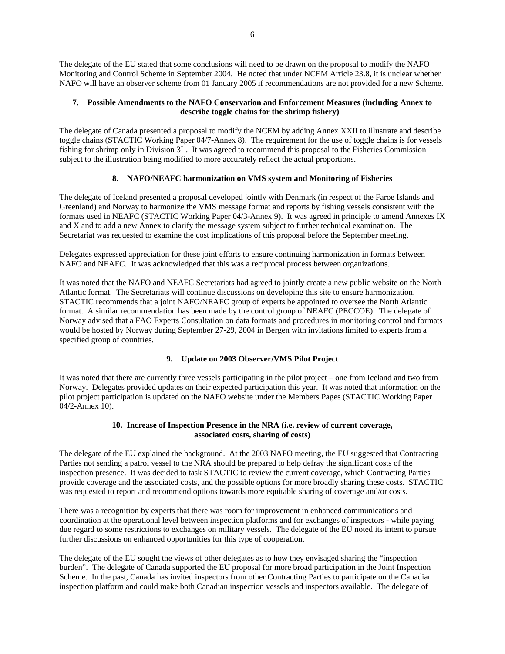The delegate of the EU stated that some conclusions will need to be drawn on the proposal to modify the NAFO Monitoring and Control Scheme in September 2004. He noted that under NCEM Article 23.8, it is unclear whether NAFO will have an observer scheme from 01 January 2005 if recommendations are not provided for a new Scheme.

## **7. Possible Amendments to the NAFO Conservation and Enforcement Measures (including Annex to describe toggle chains for the shrimp fishery)**

The delegate of Canada presented a proposal to modify the NCEM by adding Annex XXII to illustrate and describe toggle chains (STACTIC Working Paper 04/7-Annex 8). The requirement for the use of toggle chains is for vessels fishing for shrimp only in Division 3L. It was agreed to recommend this proposal to the Fisheries Commission subject to the illustration being modified to more accurately reflect the actual proportions.

## **8. NAFO/NEAFC harmonization on VMS system and Monitoring of Fisheries**

The delegate of Iceland presented a proposal developed jointly with Denmark (in respect of the Faroe Islands and Greenland) and Norway to harmonize the VMS message format and reports by fishing vessels consistent with the formats used in NEAFC (STACTIC Working Paper 04/3-Annex 9). It was agreed in principle to amend Annexes IX and X and to add a new Annex to clarify the message system subject to further technical examination. The Secretariat was requested to examine the cost implications of this proposal before the September meeting.

Delegates expressed appreciation for these joint efforts to ensure continuing harmonization in formats between NAFO and NEAFC. It was acknowledged that this was a reciprocal process between organizations.

It was noted that the NAFO and NEAFC Secretariats had agreed to jointly create a new public website on the North Atlantic format. The Secretariats will continue discussions on developing this site to ensure harmonization. STACTIC recommends that a joint NAFO/NEAFC group of experts be appointed to oversee the North Atlantic format. A similar recommendation has been made by the control group of NEAFC (PECCOE). The delegate of Norway advised that a FAO Experts Consultation on data formats and procedures in monitoring control and formats would be hosted by Norway during September 27-29, 2004 in Bergen with invitations limited to experts from a specified group of countries.

## **9. Update on 2003 Observer/VMS Pilot Project**

It was noted that there are currently three vessels participating in the pilot project – one from Iceland and two from Norway. Delegates provided updates on their expected participation this year. It was noted that information on the pilot project participation is updated on the NAFO website under the Members Pages (STACTIC Working Paper 04/2-Annex 10).

## **10. Increase of Inspection Presence in the NRA (i.e. review of current coverage, associated costs, sharing of costs)**

The delegate of the EU explained the background. At the 2003 NAFO meeting, the EU suggested that Contracting Parties not sending a patrol vessel to the NRA should be prepared to help defray the significant costs of the inspection presence. It was decided to task STACTIC to review the current coverage, which Contracting Parties provide coverage and the associated costs, and the possible options for more broadly sharing these costs. STACTIC was requested to report and recommend options towards more equitable sharing of coverage and/or costs.

There was a recognition by experts that there was room for improvement in enhanced communications and coordination at the operational level between inspection platforms and for exchanges of inspectors - while paying due regard to some restrictions to exchanges on military vessels. The delegate of the EU noted its intent to pursue further discussions on enhanced opportunities for this type of cooperation.

The delegate of the EU sought the views of other delegates as to how they envisaged sharing the "inspection burden". The delegate of Canada supported the EU proposal for more broad participation in the Joint Inspection Scheme. In the past, Canada has invited inspectors from other Contracting Parties to participate on the Canadian inspection platform and could make both Canadian inspection vessels and inspectors available. The delegate of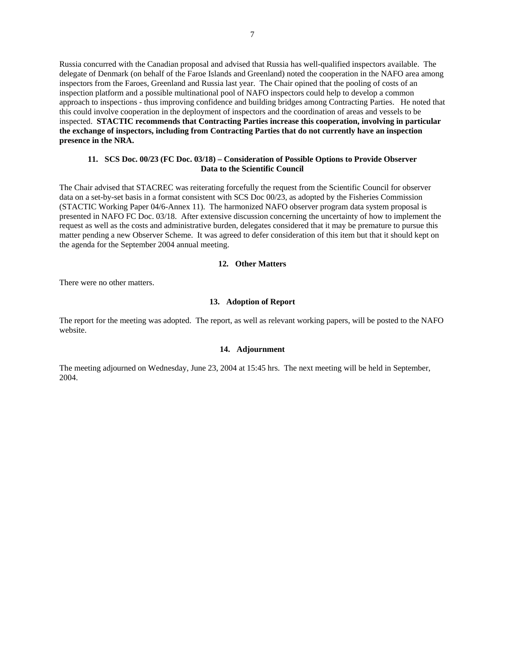Russia concurred with the Canadian proposal and advised that Russia has well-qualified inspectors available. The delegate of Denmark (on behalf of the Faroe Islands and Greenland) noted the cooperation in the NAFO area among inspectors from the Faroes, Greenland and Russia last year. The Chair opined that the pooling of costs of an inspection platform and a possible multinational pool of NAFO inspectors could help to develop a common approach to inspections - thus improving confidence and building bridges among Contracting Parties. He noted that this could involve cooperation in the deployment of inspectors and the coordination of areas and vessels to be inspected. **STACTIC recommends that Contracting Parties increase this cooperation, involving in particular the exchange of inspectors, including from Contracting Parties that do not currently have an inspection presence in the NRA.** 

#### **11. SCS Doc. 00/23 (FC Doc. 03/18) – Consideration of Possible Options to Provide Observer Data to the Scientific Council**

The Chair advised that STACREC was reiterating forcefully the request from the Scientific Council for observer data on a set-by-set basis in a format consistent with SCS Doc 00/23, as adopted by the Fisheries Commission (STACTIC Working Paper 04/6-Annex 11). The harmonized NAFO observer program data system proposal is presented in NAFO FC Doc. 03/18. After extensive discussion concerning the uncertainty of how to implement the request as well as the costs and administrative burden, delegates considered that it may be premature to pursue this matter pending a new Observer Scheme. It was agreed to defer consideration of this item but that it should kept on the agenda for the September 2004 annual meeting.

## **12. Other Matters**

There were no other matters.

#### **13. Adoption of Report**

The report for the meeting was adopted. The report, as well as relevant working papers, will be posted to the NAFO website.

#### **14. Adjournment**

The meeting adjourned on Wednesday, June 23, 2004 at 15:45 hrs. The next meeting will be held in September, 2004.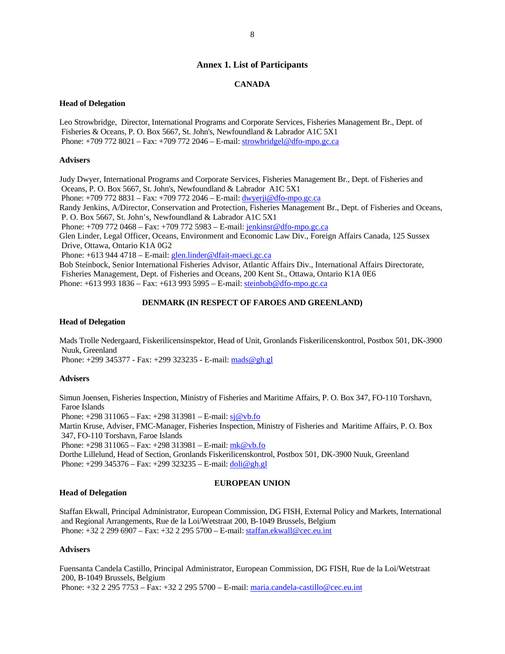## **Annex 1. List of Participants**

#### **CANADA**

#### **Head of Delegation**

Leo Strowbridge, Director, International Programs and Corporate Services, Fisheries Management Br., Dept. of Fisheries & Oceans, P. O. Box 5667, St. John's, Newfoundland & Labrador A1C 5X1 Phone: +709 772 8021 – Fax: +709 772 2046 – E-mail: strowbridgel@dfo-mpo.gc.ca

#### **Advisers**

Judy Dwyer, International Programs and Corporate Services, Fisheries Management Br., Dept. of Fisheries and Oceans, P. O. Box 5667, St. John's, Newfoundland & Labrador A1C 5X1 Phone: +709 772 8831 – Fax: +709 772 2046 – E-mail: dwyerji@dfo-mpo.gc.ca Randy Jenkins, A/Director, Conservation and Protection, Fisheries Management Br., Dept. of Fisheries and Oceans, P. O. Box 5667, St. John's, Newfoundland & Labrador A1C 5X1 Phone: +709 772 0468 – Fax: +709 772 5983 – E-mail: jenkinsr@dfo-mpo.gc.ca Glen Linder, Legal Officer, Oceans, Environment and Economic Law Div., Foreign Affairs Canada, 125 Sussex Drive, Ottawa, Ontario K1A 0G2 Phone: +613 944 4718 – E-mail: glen.linder@dfait-maeci.gc.ca Bob Steinbock, Senior International Fisheries Advisor, Atlantic Affairs Div., International Affairs Directorate, Fisheries Management, Dept. of Fisheries and Oceans, 200 Kent St., Ottawa, Ontario K1A 0E6 Phone: +613 993 1836 – Fax: +613 993 5995 – E-mail: steinbob@dfo-mpo.gc.ca

#### **DENMARK (IN RESPECT OF FAROES AND GREENLAND)**

#### **Head of Delegation**

Mads Trolle Nedergaard, Fiskerilicensinspektor, Head of Unit, Gronlands Fiskerilicenskontrol, Postbox 501, DK-3900 Nuuk, Greenland

Phone: +299 345377 - Fax: +299 323235 - E-mail: mads@gh.gl

#### **Advisers**

Simun Joensen, Fisheries Inspection, Ministry of Fisheries and Maritime Affairs, P. O. Box 347, FO-110 Torshavn, Faroe Islands

Phone:  $+298\,311065 - Fax$ :  $+298\,313981 - E-mail$ :  $s$ j@vb.fo

Martin Kruse, Adviser, FMC-Manager, Fisheries Inspection, Ministry of Fisheries and Maritime Affairs, P. O. Box 347, FO-110 Torshavn, Faroe Islands

Phone: +298 311065 – Fax: +298 313981 – E-mail: mk@vb.fo

Dorthe Lillelund, Head of Section, Gronlands Fiskerilicenskontrol, Postbox 501, DK-3900 Nuuk, Greenland Phone: +299 345376 – Fax: +299 323235 – E-mail: doli@gh.gl

#### **EUROPEAN UNION**

#### **Head of Delegation**

Staffan Ekwall, Principal Administrator, European Commission, DG FISH, External Policy and Markets, International and Regional Arrangements, Rue de la Loi/Wetstraat 200, B-1049 Brussels, Belgium Phone: +32 2 299 6907 – Fax: +32 2 295 5700 – E-mail: staffan.ekwall@cec.eu.int

#### **Advisers**

Fuensanta Candela Castillo, Principal Administrator, European Commission, DG FISH, Rue de la Loi/Wetstraat 200, B-1049 Brussels, Belgium Phone: +32 2 295 7753 – Fax: +32 2 295 5700 – E-mail: maria.candela-castillo@cec.eu.int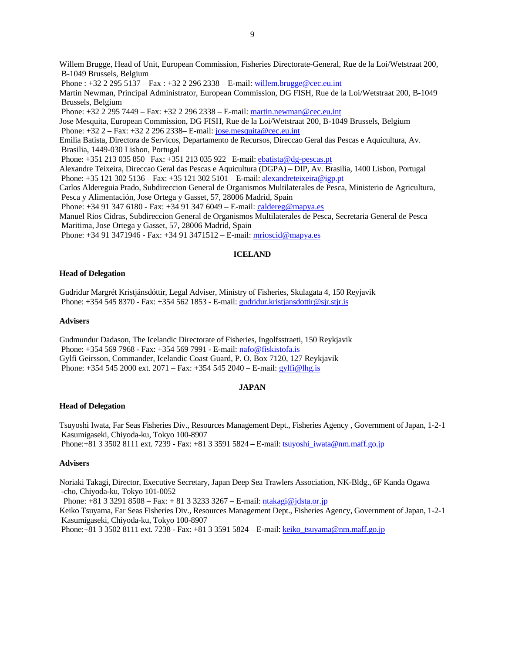Willem Brugge, Head of Unit, European Commission, Fisheries Directorate-General, Rue de la Loi/Wetstraat 200, B-1049 Brussels, Belgium Phone : +32 2 295 5137 – Fax : +32 2 296 2338 – E-mail: willem.brugge@cec.eu.int Martin Newman, Principal Administrator, European Commission, DG FISH, Rue de la Loi/Wetstraat 200, B-1049 Brussels, Belgium Phone: +32 2 295 7449 – Fax: +32 2 296 2338 – E-mail: martin.newman@cec.eu.int Jose Mesquita, European Commission, DG FISH, Rue de la Loi/Wetstraat 200, B-1049 Brussels, Belgium Phone: +32 2 – Fax: +32 2 296 2338– E-mail: jose.mesquita@cec.eu.int Emilia Batista, Directora de Servicos, Departamento de Recursos, Direccao Geral das Pescas e Aquicultura, Av. Brasilia, 1449-030 Lisbon, Portugal Phone: +351 213 035 850 Fax: +351 213 035 922 E-mail: ebatista@dg-pescas.pt Alexandre Teixeira, Direccao Geral das Pescas e Aquicultura (DGPA) – DIP, Av. Brasilia, 1400 Lisbon, Portugal Phone: +35 121 302 5136 – Fax: +35 121 302 5101 – E-mail: alexandreteixeira@igp.pt Carlos Aldereguia Prado, Subdireccion General de Organismos Multilaterales de Pesca, Ministerio de Agricultura, Pesca y Alimentación, Jose Ortega y Gasset, 57, 28006 Madrid, Spain Phone: +34 91 347 6180 - Fax: +34 91 347 6049 – E-mail: caldereg@mapya.es Manuel Rios Cidras, Subdireccion General de Organismos Multilaterales de Pesca, Secretaria General de Pesca Maritima, Jose Ortega y Gasset, 57, 28006 Madrid, Spain Phone: +34 91 3471946 - Fax: +34 91 3471512 – E-mail: mrioscid@mapya.es

#### **ICELAND**

#### **Head of Delegation**

Gudridur Margrét Kristjánsdóttir, Legal Adviser, Ministry of Fisheries, Skulagata 4, 150 Reyjavik Phone: +354 545 8370 - Fax: +354 562 1853 - E-mail: gudridur.kristjansdottir@sjr.stjr.is

#### **Advisers**

Gudmundur Dadason, The Icelandic Directorate of Fisheries, Ingolfsstraeti, 150 Reykjavik Phone: +354 569 7968 - Fax: +354 569 7991 - E-mail: nafo@fiskistofa.is Gylfi Geirsson, Commander, Icelandic Coast Guard, P. O. Box 7120, 127 Reykjavik Phone: +354 545 2000 ext. 2071 – Fax: +354 545 2040 – E-mail: gylfi@lhg.is

#### **JAPAN**

#### **Head of Delegation**

Tsuyoshi Iwata, Far Seas Fisheries Div., Resources Management Dept., Fisheries Agency , Government of Japan, 1-2-1 Kasumigaseki, Chiyoda-ku, Tokyo 100-8907 Phone:+81 3 3502 8111 ext. 7239 - Fax: +81 3 3591 5824 – E-mail: tsuyoshi\_iwata@nm.maff.go.jp

## **Advisers**

Noriaki Takagi, Director, Executive Secretary, Japan Deep Sea Trawlers Association, NK-Bldg., 6F Kanda Ogawa -cho, Chiyoda-ku, Tokyo 101-0052

Phone: +81 3 3291 8508 – Fax: + 81 3 3233 3267 – E-mail: ntakagi@jdsta.or.jp

Keiko Tsuyama, Far Seas Fisheries Div., Resources Management Dept., Fisheries Agency, Government of Japan, 1-2-1 Kasumigaseki, Chiyoda-ku, Tokyo 100-8907

Phone:+81 3 3502 8111 ext. 7238 - Fax: +81 3 3591 5824 – E-mail: keiko\_tsuyama@nm.maff.go.jp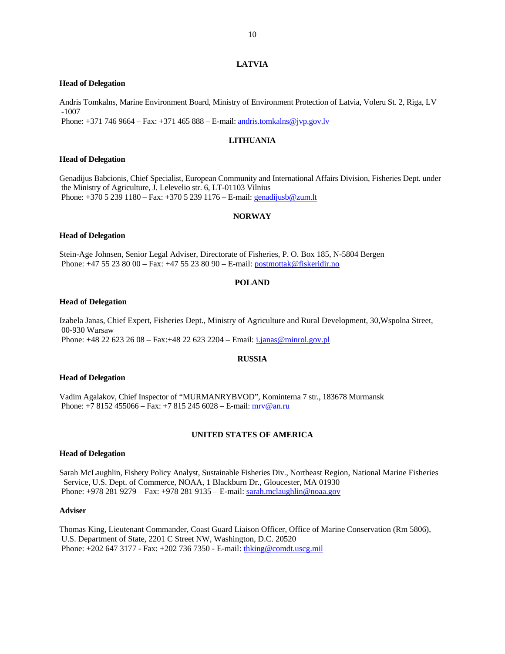#### **LATVIA**

#### **Head of Delegation**

Andris Tomkalns, Marine Environment Board, Ministry of Environment Protection of Latvia, Voleru St. 2, Riga, LV -1007 Phone: +371 746 9664 – Fax: +371 465 888 – E-mail: andris.tomkalns@jvp.gov.lv

#### **LITHUANIA**

#### **Head of Delegation**

Genadijus Babcionis, Chief Specialist, European Community and International Affairs Division, Fisheries Dept. under the Ministry of Agriculture, J. Lelevelio str. 6, LT-01103 Vilnius Phone: +370 5 239 1180 – Fax: +370 5 239 1176 – E-mail: genadijusb@zum.lt

#### **NORWAY**

#### **Head of Delegation**

Stein-Age Johnsen, Senior Legal Adviser, Directorate of Fisheries, P. O. Box 185, N-5804 Bergen Phone: +47 55 23 80 00 – Fax: +47 55 23 80 90 – E-mail: postmottak@fiskeridir.no

#### **POLAND**

#### **Head of Delegation**

Izabela Janas, Chief Expert, Fisheries Dept., Ministry of Agriculture and Rural Development, 30,Wspolna Street, 00-930 Warsaw Phone: +48 22 623 26 08 – Fax:+48 22 623 2204 – Email: i.janas@minrol.gov.pl

#### **RUSSIA**

#### **Head of Delegation**

Vadim Agalakov, Chief Inspector of "MURMANRYBVOD", Kominterna 7 str., 183678 Murmansk Phone: +7 8152 455066 – Fax: +7 815 245 6028 – E-mail: mrv@an.ru

#### **UNITED STATES OF AMERICA**

#### **Head of Delegation**

Sarah McLaughlin, Fishery Policy Analyst, Sustainable Fisheries Div., Northeast Region, National Marine Fisheries Service, U.S. Dept. of Commerce, NOAA, 1 Blackburn Dr., Gloucester, MA 01930 Phone: +978 281 9279 – Fax: +978 281 9135 – E-mail: sarah.mclaughlin@noaa.gov

#### **Adviser**

Thomas King, Lieutenant Commander, Coast Guard Liaison Officer, Office of Marine Conservation (Rm 5806), U.S. Department of State, 2201 C Street NW, Washington, D.C. 20520 Phone: +202 647 3177 - Fax: +202 736 7350 - E-mail: thking@comdt.uscg.mil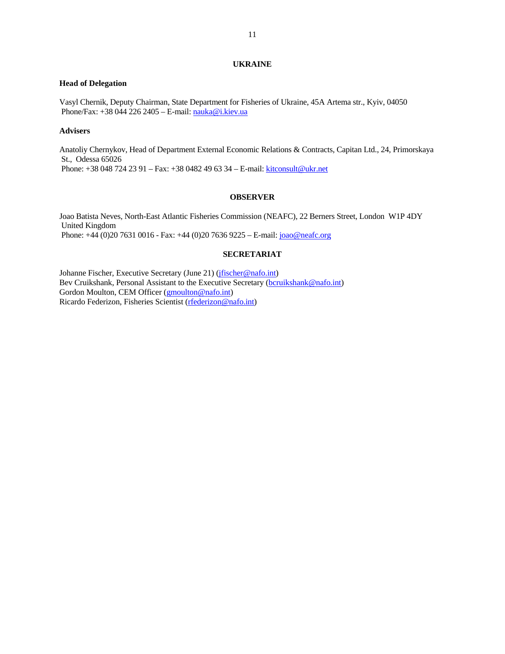## **UKRAINE**

#### **Head of Delegation**

Vasyl Chernik, Deputy Chairman, State Department for Fisheries of Ukraine, 45A Artema str., Kyiv, 04050 Phone/Fax: +38 044 226 2405 – E-mail: nauka@i.kiev.ua

#### **Advisers**

Anatoliy Chernykov, Head of Department External Economic Relations & Contracts, Capitan Ltd., 24, Primorskaya St., Odessa 65026 Phone: +38 048 724 23 91 – Fax: +38 0482 49 63 34 – E-mail: kitconsult@ukr.net

#### **OBSERVER**

Joao Batista Neves, North-East Atlantic Fisheries Commission (NEAFC), 22 Berners Street, London W1P 4DY United Kingdom Phone: +44 (0)20 7631 0016 - Fax: +44 (0)20 7636 9225 - E-mail: joao@neafc.org

## **SECRETARIAT**

Johanne Fischer, Executive Secretary (June 21) (*jfischer@nafo.int*) Bev Cruikshank, Personal Assistant to the Executive Secretary (bcruikshank@nafo.int) Gordon Moulton, CEM Officer (gmoulton@nafo.int) Ricardo Federizon, Fisheries Scientist (rfederizon@nafo.int)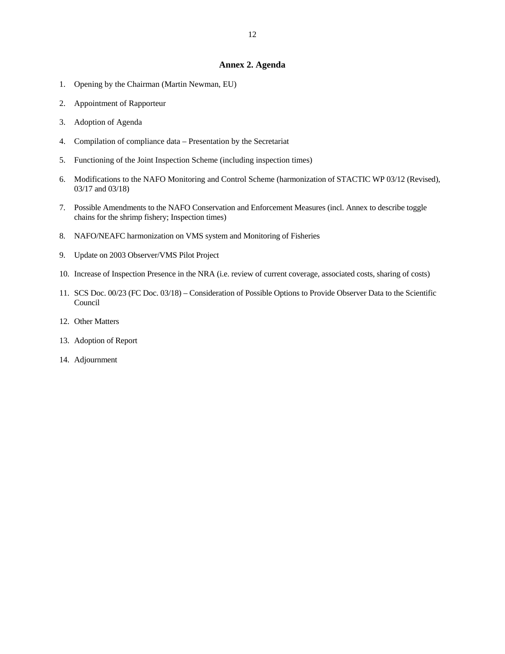#### **Annex 2. Agenda**

- 1. Opening by the Chairman (Martin Newman, EU)
- 2. Appointment of Rapporteur
- 3. Adoption of Agenda
- 4. Compilation of compliance data Presentation by the Secretariat
- 5. Functioning of the Joint Inspection Scheme (including inspection times)
- 6. Modifications to the NAFO Monitoring and Control Scheme (harmonization of STACTIC WP 03/12 (Revised), 03/17 and 03/18)
- 7. Possible Amendments to the NAFO Conservation and Enforcement Measures (incl. Annex to describe toggle chains for the shrimp fishery; Inspection times)
- 8. NAFO/NEAFC harmonization on VMS system and Monitoring of Fisheries
- 9. Update on 2003 Observer/VMS Pilot Project
- 10. Increase of Inspection Presence in the NRA (i.e. review of current coverage, associated costs, sharing of costs)
- 11. SCS Doc. 00/23 (FC Doc. 03/18) Consideration of Possible Options to Provide Observer Data to the Scientific Council
- 12. Other Matters
- 13. Adoption of Report
- 14. Adjournment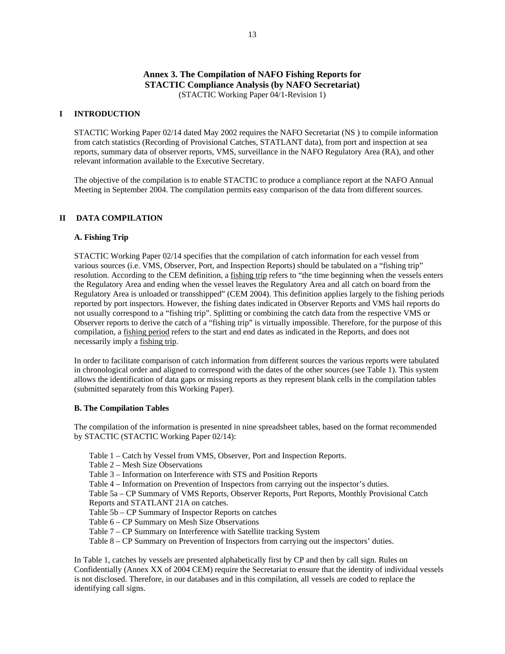# **Annex 3. The Compilation of NAFO Fishing Reports for STACTIC Compliance Analysis (by NAFO Secretariat)**

(STACTIC Working Paper 04/1-Revision 1)

## **I INTRODUCTION**

STACTIC Working Paper 02/14 dated May 2002 requires the NAFO Secretariat (NS ) to compile information from catch statistics (Recording of Provisional Catches, STATLANT data), from port and inspection at sea reports, summary data of observer reports, VMS, surveillance in the NAFO Regulatory Area (RA), and other relevant information available to the Executive Secretary.

The objective of the compilation is to enable STACTIC to produce a compliance report at the NAFO Annual Meeting in September 2004. The compilation permits easy comparison of the data from different sources.

## **II DATA COMPILATION**

## **A. Fishing Trip**

STACTIC Working Paper 02/14 specifies that the compilation of catch information for each vessel from various sources (i.e. VMS, Observer, Port, and Inspection Reports) should be tabulated on a "fishing trip" resolution. According to the CEM definition, a fishing trip refers to "the time beginning when the vessels enters the Regulatory Area and ending when the vessel leaves the Regulatory Area and all catch on board from the Regulatory Area is unloaded or transshipped" (CEM 2004). This definition applies largely to the fishing periods reported by port inspectors. However, the fishing dates indicated in Observer Reports and VMS hail reports do not usually correspond to a "fishing trip". Splitting or combining the catch data from the respective VMS or Observer reports to derive the catch of a "fishing trip" is virtually impossible. Therefore, for the purpose of this compilation, a fishing period refers to the start and end dates as indicated in the Reports, and does not necessarily imply a fishing trip.

In order to facilitate comparison of catch information from different sources the various reports were tabulated in chronological order and aligned to correspond with the dates of the other sources (see Table 1). This system allows the identification of data gaps or missing reports as they represent blank cells in the compilation tables (submitted separately from this Working Paper).

#### **B. The Compilation Tables**

The compilation of the information is presented in nine spreadsheet tables, based on the format recommended by STACTIC (STACTIC Working Paper 02/14):

- Table 1 Catch by Vessel from VMS, Observer, Port and Inspection Reports.
- Table 2 Mesh Size Observations
- Table 3 Information on Interference with STS and Position Reports
- Table 4 Information on Prevention of Inspectors from carrying out the inspector's duties.
- Table 5a CP Summary of VMS Reports, Observer Reports, Port Reports, Monthly Provisional Catch
- Reports and STATLANT 21A on catches.
- Table 5b CP Summary of Inspector Reports on catches
- Table 6 CP Summary on Mesh Size Observations
- Table 7 CP Summary on Interference with Satellite tracking System
- Table 8 CP Summary on Prevention of Inspectors from carrying out the inspectors' duties.

In Table 1, catches by vessels are presented alphabetically first by CP and then by call sign. Rules on Confidentially (Annex XX of 2004 CEM) require the Secretariat to ensure that the identity of individual vessels is not disclosed. Therefore, in our databases and in this compilation, all vessels are coded to replace the identifying call signs.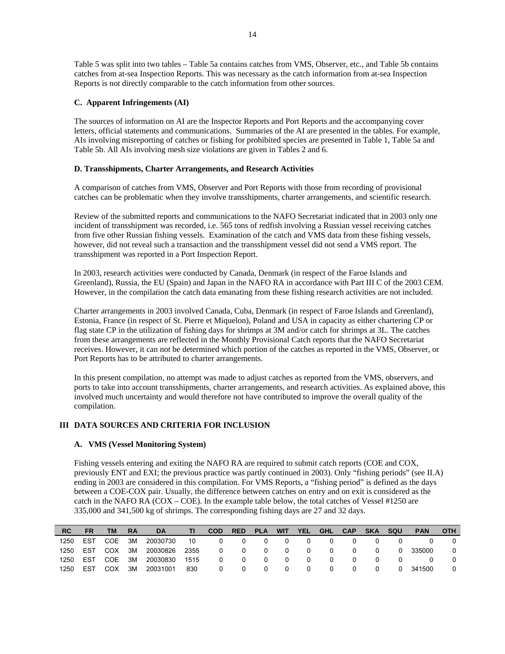Table 5 was split into two tables – Table 5a contains catches from VMS, Observer, etc., and Table 5b contains catches from at-sea Inspection Reports. This was necessary as the catch information from at-sea Inspection Reports is not directly comparable to the catch information from other sources.

## **C. Apparent Infringements (AI)**

The sources of information on AI are the Inspector Reports and Port Reports and the accompanying cover letters, official statements and communications. Summaries of the AI are presented in the tables. For example, AIs involving misreporting of catches or fishing for prohibited species are presented in Table 1, Table 5a and Table 5b. All AIs involving mesh size violations are given in Tables 2 and 6.

#### **D. Transshipments, Charter Arrangements, and Research Activities**

A comparison of catches from VMS, Observer and Port Reports with those from recording of provisional catches can be problematic when they involve transshipments, charter arrangements, and scientific research.

Review of the submitted reports and communications to the NAFO Secretariat indicated that in 2003 only one incident of transshipment was recorded, i.e. 565 tons of redfish involving a Russian vessel receiving catches from five other Russian fishing vessels. Examination of the catch and VMS data from these fishing vessels, however, did not reveal such a transaction and the transshipment vessel did not send a VMS report. The transshipment was reported in a Port Inspection Report.

In 2003, research activities were conducted by Canada, Denmark (in respect of the Faroe Islands and Greenland), Russia, the EU (Spain) and Japan in the NAFO RA in accordance with Part III C of the 2003 CEM. However, in the compilation the catch data emanating from these fishing research activities are not included.

Charter arrangements in 2003 involved Canada, Cuba, Denmark (in respect of Faroe Islands and Greenland), Estonia, France (in respect of St. Pierre et Miquelon), Poland and USA in capacity as either chartering CP or flag state CP in the utilization of fishing days for shrimps at 3M and/or catch for shrimps at 3L. The catches from these arrangements are reflected in the Monthly Provisional Catch reports that the NAFO Secretariat receives. However, it can not be determined which portion of the catches as reported in the VMS, Observer, or Port Reports has to be attributed to charter arrangements.

In this present compilation, no attempt was made to adjust catches as reported from the VMS, observers, and ports to take into account transshipments, charter arrangements, and research activities. As explained above, this involved much uncertainty and would therefore not have contributed to improve the overall quality of the compilation.

#### **III DATA SOURCES AND CRITERIA FOR INCLUSION**

#### **A. VMS (Vessel Monitoring System)**

Fishing vessels entering and exiting the NAFO RA are required to submit catch reports (COE and COX, previously ENT and EXI; the previous practice was partly continued in 2003). Only "fishing periods" (see II.A) ending in 2003 are considered in this compilation. For VMS Reports, a "fishing period" is defined as the days between a COE-COX pair. Usually, the difference between catches on entry and on exit is considered as the catch in the NAFO RA ( $COX - COE$ ). In the example table below, the total catches of Vessel #1250 are 335,000 and 341,500 kg of shrimps. The corresponding fishing days are 27 and 32 days.

| <b>RC</b> |     | TМ     | <b>RA</b> | DA                            | TI.   | <b>COD</b>   | <b>RED</b>     |                         |                |                                 | PLA WIT YEL GHL     |     | CAP SKA  | <b>SQU</b> | <b>PAN</b> | <b>OTH</b> |
|-----------|-----|--------|-----------|-------------------------------|-------|--------------|----------------|-------------------------|----------------|---------------------------------|---------------------|-----|----------|------------|------------|------------|
|           |     |        |           | 1250 EST COE 3M 20030730      | - 10  | $\Omega$     | $\overline{0}$ | $\overline{\mathbf{0}}$ |                |                                 | $0\qquad 0\qquad 0$ | . O | 0        |            |            |            |
|           |     |        |           | 1250 EST COX 3M 20030826 2355 |       | $\mathbf{0}$ | $\Omega$       | $\Omega$                | $\overline{0}$ | $\Omega$                        | $\Omega$            | 0   | 0        |            | 0 335000   | 0          |
|           |     |        |           | 1250 EST COE 3M 20030830 1515 |       | $\Omega$     | $\overline{0}$ | $\Omega$                |                | $\begin{matrix}0&0\end{matrix}$ | $\Omega$            | 0   | 0        | n          |            | $\Omega$   |
| 1250      | EST | COX 3M |           | 20031001                      | - 830 |              | $\mathbf{0}$   | $\Omega$                | $\Omega$       | $\mathbf{0}$                    | $\Omega$            | n   | $\Omega$ |            | 0 341500   | 0          |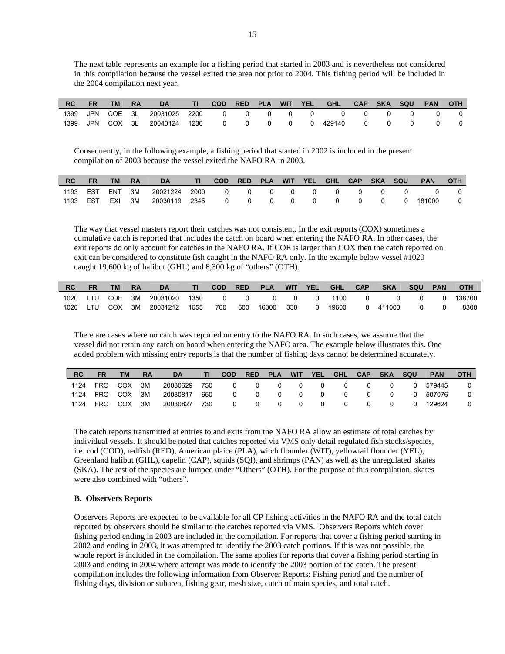The next table represents an example for a fishing period that started in 2003 and is nevertheless not considered in this compilation because the vessel exited the area not prior to 2004. This fishing period will be included in the 2004 compilation next year.

| $R$ C $\sim$ | <b>FR</b> | TM RA | <b>DA</b>                                                | TI. |  |  | COD RED PLA WIT YEL GHL |              | CAP SKA SQU PAN OTH |             |
|--------------|-----------|-------|----------------------------------------------------------|-----|--|--|-------------------------|--------------|---------------------|-------------|
|              |           |       | 1399 JPN COE 3L  20031025  2200   0   0   0   0    0   0 |     |  |  |                         | $\mathbf{0}$ |                     | $0\qquad 0$ |
|              |           |       | 1399 JPN COX 3L  20040124  1230   0   0   0   0  429140  |     |  |  |                         | $0\qquad 0$  | $0\qquad 0\qquad 0$ |             |

Consequently, in the following example, a fishing period that started in 2002 is included in the present compilation of 2003 because the vessel exited the NAFO RA in 2003.

| <b>RC</b> | FR. | <b>TM</b> | RA | <b>DA</b> | T1 | COD RED PLA WIT YEL GHL CAP SKA SQU |  |  |  |  | <b>PAN</b> | $\blacksquare$ OTH $\blacksquare$ |
|-----------|-----|-----------|----|-----------|----|-------------------------------------|--|--|--|--|------------|-----------------------------------|
|           |     |           |    |           |    |                                     |  |  |  |  |            |                                   |
|           |     |           |    |           |    |                                     |  |  |  |  |            |                                   |

The way that vessel masters report their catches was not consistent. In the exit reports (COX) sometimes a cumulative catch is reported that includes the catch on board when entering the NAFO RA. In other cases, the exit reports do only account for catches in the NAFO RA. If COE is larger than COX then the catch reported on exit can be considered to constitute fish caught in the NAFO RA only. In the example below vessel #1020 caught 19,600 kg of halibut (GHL) and 8,300 kg of "others" (OTH).

| <b>RC</b> | TM. | - RA | <b>DA</b>                                                        |  | COD RED PLA | WIT YEL | <b>GHL</b> | <b>CAP</b> | <b>SKA</b> | <b>SQU</b> | <b>PAN</b>     | <b>OTH</b> |
|-----------|-----|------|------------------------------------------------------------------|--|-------------|---------|------------|------------|------------|------------|----------------|------------|
|           |     |      |                                                                  |  |             |         |            |            |            |            |                | 0 0 138700 |
|           |     |      | 1020 LTU COX 3M 20031212 1655 700 600 16300 330 0 19600 0 411000 |  |             |         |            |            |            | $\Omega$   | $\overline{0}$ | 8300       |

There are cases where no catch was reported on entry to the NAFO RA. In such cases, we assume that the vessel did not retain any catch on board when entering the NAFO area. The example below illustrates this. One added problem with missing entry reports is that the number of fishing days cannot be determined accurately.

| <b>RC</b> | <b>FR</b> | TM              | <b>RA</b> | DA       | ΤI  | <b>COD</b> | RED               | <b>PLA WIT YEL</b> |                     |                         | <b>GHL CAP</b> | SKA SQU        |          | <b>PAN</b> | <b>OTH</b>     |
|-----------|-----------|-----------------|-----------|----------|-----|------------|-------------------|--------------------|---------------------|-------------------------|----------------|----------------|----------|------------|----------------|
|           |           | 1124 FRO COX 3M |           | 20030629 | 750 |            | $0\qquad 0$       |                    | $0\qquad 0\qquad 0$ | $\overline{0}$          | $\Omega$       | $\overline{0}$ |          | 0 579445   | $\overline{0}$ |
|           |           | 1124 FRO COX 3M |           | 20030817 | 650 |            | $0\qquad 0$       |                    | $0\qquad 0\qquad 0$ | $\overline{\mathbf{0}}$ | $\overline{0}$ | - 0            |          | 0 507076   | $\overline{0}$ |
|           |           | 1124 FRO COX 3M |           | 20030827 | 730 | 0          | $\cdot$ 0 $\cdot$ |                    | $0\qquad 0\qquad 0$ | $\overline{0}$          | $\mathbf{0}$   | 0              | $\Omega$ | 129624     | $\overline{0}$ |

The catch reports transmitted at entries to and exits from the NAFO RA allow an estimate of total catches by individual vessels. It should be noted that catches reported via VMS only detail regulated fish stocks/species, i.e. cod (COD), redfish (RED), American plaice (PLA), witch flounder (WIT), yellowtail flounder (YEL), Greenland halibut (GHL), capelin (CAP), squids (SQI), and shrimps (PAN) as well as the unregulated skates (SKA). The rest of the species are lumped under "Others" (OTH). For the purpose of this compilation, skates were also combined with "others".

#### **B. Observers Reports**

Observers Reports are expected to be available for all CP fishing activities in the NAFO RA and the total catch reported by observers should be similar to the catches reported via VMS. Observers Reports which cover fishing period ending in 2003 are included in the compilation. For reports that cover a fishing period starting in 2002 and ending in 2003, it was attempted to identify the 2003 catch portions. If this was not possible, the whole report is included in the compilation. The same applies for reports that cover a fishing period starting in 2003 and ending in 2004 where attempt was made to identify the 2003 portion of the catch. The present compilation includes the following information from Observer Reports: Fishing period and the number of fishing days, division or subarea, fishing gear, mesh size, catch of main species, and total catch.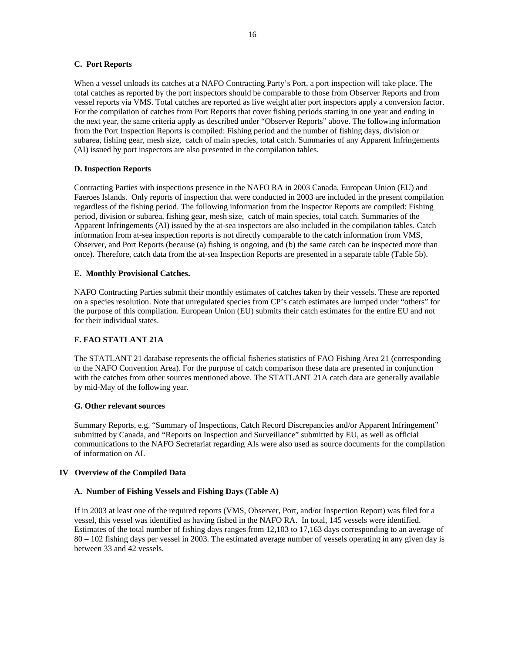#### **C. Port Reports**

When a vessel unloads its catches at a NAFO Contracting Party's Port, a port inspection will take place. The total catches as reported by the port inspectors should be comparable to those from Observer Reports and from vessel reports via VMS. Total catches are reported as live weight after port inspectors apply a conversion factor. For the compilation of catches from Port Reports that cover fishing periods starting in one year and ending in the next year, the same criteria apply as described under "Observer Reports" above. The following information from the Port Inspection Reports is compiled: Fishing period and the number of fishing days, division or subarea, fishing gear, mesh size, catch of main species, total catch. Summaries of any Apparent Infringements (AI) issued by port inspectors are also presented in the compilation tables.

## **D. Inspection Reports**

Contracting Parties with inspections presence in the NAFO RA in 2003 Canada, European Union (EU) and Faeroes Islands. Only reports of inspection that were conducted in 2003 are included in the present compilation regardless of the fishing period. The following information from the Inspector Reports are compiled: Fishing period, division or subarea, fishing gear, mesh size, catch of main species, total catch. Summaries of the Apparent Infringements (AI) issued by the at-sea inspectors are also included in the compilation tables. Catch information from at-sea inspection reports is not directly comparable to the catch information from VMS, Observer, and Port Reports (because (a) fishing is ongoing, and (b) the same catch can be inspected more than once). Therefore, catch data from the at-sea Inspection Reports are presented in a separate table (Table 5b).

## **E. Monthly Provisional Catches.**

NAFO Contracting Parties submit their monthly estimates of catches taken by their vessels. These are reported on a species resolution. Note that unregulated species from CP's catch estimates are lumped under "others" for the purpose of this compilation. European Union (EU) submits their catch estimates for the entire EU and not for their individual states.

## **F. FAO STATLANT 21A**

The STATLANT 21 database represents the official fisheries statistics of FAO Fishing Area 21 (corresponding to the NAFO Convention Area). For the purpose of catch comparison these data are presented in conjunction with the catches from other sources mentioned above. The STATLANT 21A catch data are generally available by mid-May of the following year.

#### **G. Other relevant sources**

Summary Reports, e.g. "Summary of Inspections, Catch Record Discrepancies and/or Apparent Infringement" submitted by Canada, and "Reports on Inspection and Surveillance" submitted by EU, as well as official communications to the NAFO Secretariat regarding AIs were also used as source documents for the compilation of information on AI.

## **IV Overview of the Compiled Data**

#### **A. Number of Fishing Vessels and Fishing Days (Table A)**

If in 2003 at least one of the required reports (VMS, Observer, Port, and/or Inspection Report) was filed for a vessel, this vessel was identified as having fished in the NAFO RA. In total, 145 vessels were identified. Estimates of the total number of fishing days ranges from 12,103 to 17,163 days corresponding to an average of 80 – 102 fishing days per vessel in 2003. The estimated average number of vessels operating in any given day is between 33 and 42 vessels.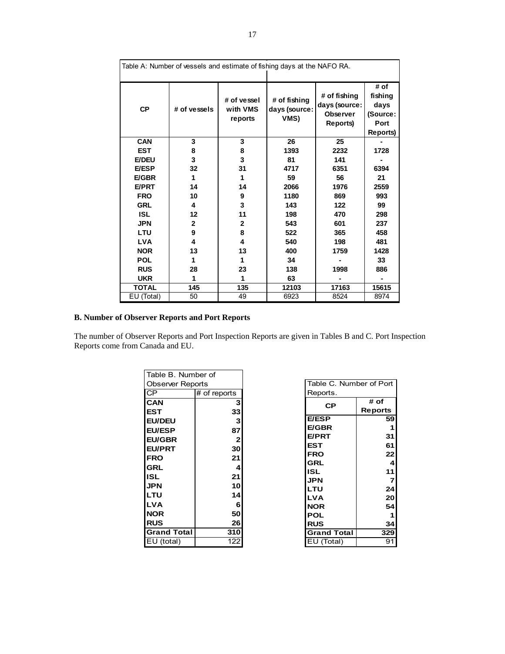|              |              |                                    | Table A: Number of vessels and estimate of fishing days at the NAFO RA. |                                                              |                                                                |
|--------------|--------------|------------------------------------|-------------------------------------------------------------------------|--------------------------------------------------------------|----------------------------------------------------------------|
| <b>CP</b>    | # of vessels | # of vessel<br>with VMS<br>reports | # of fishing<br>days (source:<br>VMS)                                   | # of fishing<br>days (source:<br><b>Observer</b><br>Reports) | # of<br>fishing<br>days<br>(Source:<br>Port<br><b>Reports)</b> |
| <b>CAN</b>   | 3            | 3                                  | 26                                                                      | 25                                                           |                                                                |
| <b>EST</b>   | 8            | 8                                  | 1393                                                                    | 2232                                                         | 1728                                                           |
| <b>E/DEU</b> | 3            | 3                                  | 81                                                                      | 141                                                          |                                                                |
| <b>E/ESP</b> | 32           | 31                                 | 4717                                                                    | 6351                                                         | 6394                                                           |
| E/GBR        | 1            | 1                                  | 59                                                                      | 56                                                           | 21                                                             |
| <b>E/PRT</b> | 14           | 14                                 | 2066                                                                    | 1976                                                         | 2559                                                           |
| <b>FRO</b>   | 10           | 9                                  | 1180                                                                    | 869                                                          | 993                                                            |
| <b>GRL</b>   | 4            | 3                                  | 143                                                                     | 122                                                          | 99                                                             |
| <b>ISL</b>   | 12           | 11                                 | 198                                                                     | 470                                                          | 298                                                            |
| <b>JPN</b>   | $\mathbf{2}$ | $\mathbf{2}$                       | 543                                                                     | 601                                                          | 237                                                            |
| LTU          | 9            | 8                                  | 522                                                                     | 365                                                          | 458                                                            |
| <b>LVA</b>   | 4            | 4                                  | 540                                                                     | 198                                                          | 481                                                            |
| <b>NOR</b>   | 13           | 13                                 | 400                                                                     | 1759                                                         | 1428                                                           |
| <b>POL</b>   | 1            | 1                                  | 34                                                                      |                                                              | 33                                                             |
| <b>RUS</b>   | 28           | 23                                 | 138                                                                     | 1998                                                         | 886                                                            |
| <b>UKR</b>   | 1            | 1                                  | 63                                                                      |                                                              |                                                                |
| <b>TOTAL</b> | 145          | 135                                | 12103                                                                   | 17163                                                        | 15615                                                          |
| EU (Total)   | 50           | 49                                 | 6923                                                                    | 8524                                                         | 8974                                                           |

## **B. Number of Observer Reports and Port Reports**

The number of Observer Reports and Port Inspection Reports are given in Tables B and C. Port Inspection Reports come from Canada and EU.

| Table B. Number of      |              |  |  |  |  |  |  |
|-------------------------|--------------|--|--|--|--|--|--|
| <b>Observer Reports</b> |              |  |  |  |  |  |  |
| СP                      | # of reports |  |  |  |  |  |  |
| CAN                     | 3            |  |  |  |  |  |  |
| EST                     | 33           |  |  |  |  |  |  |
| <b>EU/DEU</b>           | 3            |  |  |  |  |  |  |
| <b>EU/ESP</b>           | 87           |  |  |  |  |  |  |
| <b>EU/GBR</b>           | $\mathbf 2$  |  |  |  |  |  |  |
| <b>EU/PRT</b>           | 30           |  |  |  |  |  |  |
| FRO                     | 21           |  |  |  |  |  |  |
| <b>GRL</b>              | 4            |  |  |  |  |  |  |
| ISL                     | 21           |  |  |  |  |  |  |
| JPN                     | 10           |  |  |  |  |  |  |
| LTU                     | 14           |  |  |  |  |  |  |
| LVA                     | 6            |  |  |  |  |  |  |
| <b>NOR</b>              | 50           |  |  |  |  |  |  |
| <b>RUS</b>              | 26           |  |  |  |  |  |  |
| Grand Total             | 310          |  |  |  |  |  |  |
| EU (total)              | 122          |  |  |  |  |  |  |

|                    | Table C. Number of Port |  |  |  |  |  |  |  |
|--------------------|-------------------------|--|--|--|--|--|--|--|
| Reports.           |                         |  |  |  |  |  |  |  |
| СP                 | # of                    |  |  |  |  |  |  |  |
|                    | Reports                 |  |  |  |  |  |  |  |
| <b>E/ESP</b>       | 59                      |  |  |  |  |  |  |  |
| <b>E/GBR</b>       | 1                       |  |  |  |  |  |  |  |
| E/PRT              | 31                      |  |  |  |  |  |  |  |
| EST                | 61                      |  |  |  |  |  |  |  |
| <b>FRO</b>         | 22                      |  |  |  |  |  |  |  |
| GRL                | 4                       |  |  |  |  |  |  |  |
| ISL                | 11                      |  |  |  |  |  |  |  |
| JPN                | 7                       |  |  |  |  |  |  |  |
| LTU                | 24                      |  |  |  |  |  |  |  |
| LVA                | 20                      |  |  |  |  |  |  |  |
| <b>NOR</b>         | 54                      |  |  |  |  |  |  |  |
| POL                | 1                       |  |  |  |  |  |  |  |
| <b>RUS</b>         | 34                      |  |  |  |  |  |  |  |
| <b>Grand Total</b> | 329                     |  |  |  |  |  |  |  |
| EU (Total)         | 91                      |  |  |  |  |  |  |  |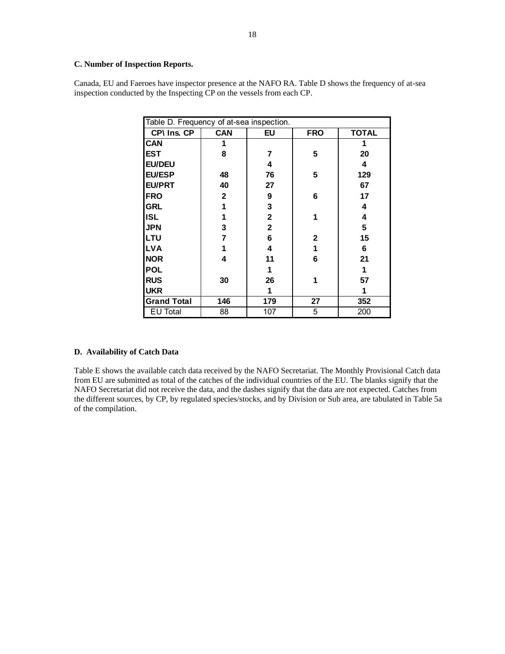## **C. Number of Inspection Reports.**

Canada, EU and Faeroes have inspector presence at the NAFO RA. Table D shows the frequency of at-sea inspection conducted by the Inspecting CP on the vessels from each CP.

| Table D. Frequency of at-sea inspection. |                |              |              |              |
|------------------------------------------|----------------|--------------|--------------|--------------|
| CP\ Ins. CP                              | <b>CAN</b>     | EU           | <b>FRO</b>   | <b>TOTAL</b> |
| <b>CAN</b>                               | 1              |              |              |              |
| <b>EST</b>                               | 8              | 7            | 5            | 20           |
| <b>EU/DEU</b>                            |                | 4            |              | 4            |
| <b>EU/ESP</b>                            | 48             | 76           | 5            | 129          |
| <b>EU/PRT</b>                            | 40             | 27           |              | 67           |
| <b>FRO</b>                               | $\mathbf{2}$   | 9            | 6            | 17           |
| <b>GRL</b>                               |                | 3            |              | 4            |
| <b>ISL</b>                               |                | $\mathbf{2}$ | 1            | 4            |
| <b>JPN</b>                               | 3              | $\mathbf{2}$ |              | 5            |
| lltu                                     | $\overline{7}$ | 6            | $\mathbf{2}$ | 15           |
| <b>LVA</b>                               | 1              | 4            | 1            | 6            |
| <b>NOR</b>                               | 4              | 11           | 6            | 21           |
| <b>POL</b>                               |                | 1            |              | 1            |
| <b>RUS</b>                               | 30             | 26           | 1            | 57           |
| <b>UKR</b>                               |                | 1            |              |              |
| <b>Grand Total</b>                       | 146            | 179          | 27           | 352          |
| EU Total                                 | 88             | 107          | 5            | 200          |

#### **D. Availability of Catch Data**

Table E shows the available catch data received by the NAFO Secretariat. The Monthly Provisional Catch data from EU are submitted as total of the catches of the individual countries of the EU. The blanks signify that the NAFO Secretariat did not receive the data, and the dashes signify that the data are not expected. Catches from the different sources, by CP, by regulated species/stocks, and by Division or Sub area, are tabulated in Table 5a of the compilation.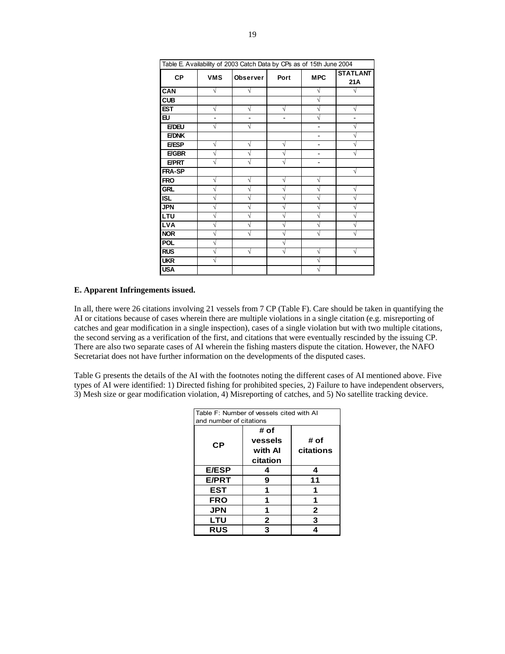| Table E. Availability of 2003 Catch Data by CPs as of 15th June 2004 |            |          |      |            |                 |  |  |  |  |
|----------------------------------------------------------------------|------------|----------|------|------------|-----------------|--|--|--|--|
| <b>CP</b>                                                            | <b>VMS</b> | Observer | Port | <b>MPC</b> | <b>STATLANT</b> |  |  |  |  |
|                                                                      |            |          |      |            | 21A             |  |  |  |  |
| CAN                                                                  |            | ν        |      |            |                 |  |  |  |  |
| <b>CUB</b>                                                           |            |          |      |            |                 |  |  |  |  |
| <b>EST</b>                                                           | N          | V        | ν    |            | V               |  |  |  |  |
| EU                                                                   |            |          | -    |            |                 |  |  |  |  |
| <b>E/DEU</b>                                                         |            |          |      |            |                 |  |  |  |  |
| <b>E/DNK</b>                                                         |            |          |      |            |                 |  |  |  |  |
| <b>E/ESP</b>                                                         |            |          |      |            |                 |  |  |  |  |
| <b>E/GBR</b>                                                         |            |          |      |            |                 |  |  |  |  |
| <b>E/PRT</b>                                                         |            |          |      |            |                 |  |  |  |  |
| FRA-SP                                                               |            |          |      |            | V               |  |  |  |  |
| <b>FRO</b>                                                           | V          | V        | ٦    | ٦          |                 |  |  |  |  |
| <b>GRL</b>                                                           |            | V        |      |            | ٦               |  |  |  |  |
| <b>ISL</b>                                                           |            |          |      |            |                 |  |  |  |  |
| <b>JPN</b>                                                           |            |          |      |            |                 |  |  |  |  |
| LTU                                                                  |            |          |      |            |                 |  |  |  |  |
| <b>LVA</b>                                                           |            |          |      |            |                 |  |  |  |  |
| <b>NOR</b>                                                           |            |          |      |            |                 |  |  |  |  |
| <b>POL</b>                                                           |            |          |      |            |                 |  |  |  |  |
| <b>RUS</b>                                                           |            | V        |      |            |                 |  |  |  |  |
| <b>UKR</b>                                                           | V          |          |      |            |                 |  |  |  |  |
| <b>USA</b>                                                           |            |          |      |            |                 |  |  |  |  |

#### **E. Apparent Infringements issued.**

In all, there were 26 citations involving 21 vessels from 7 CP (Table F). Care should be taken in quantifying the AI or citations because of cases wherein there are multiple violations in a single citation (e.g. misreporting of catches and gear modification in a single inspection), cases of a single violation but with two multiple citations, the second serving as a verification of the first, and citations that were eventually rescinded by the issuing CP. There are also two separate cases of AI wherein the fishing masters dispute the citation. However, the NAFO Secretariat does not have further information on the developments of the disputed cases.

Table G presents the details of the AI with the footnotes noting the different cases of AI mentioned above. Five types of AI were identified: 1) Directed fishing for prohibited species, 2) Failure to have independent observers, 3) Mesh size or gear modification violation, 4) Misreporting of catches, and 5) No satellite tracking device.

| Table F: Number of vessels cited with AI<br>and number of citations |                                        |                   |  |  |  |  |  |  |
|---------------------------------------------------------------------|----------------------------------------|-------------------|--|--|--|--|--|--|
| СP                                                                  | # of<br>vessels<br>with Al<br>citation | # of<br>citations |  |  |  |  |  |  |
| <b>E/ESP</b>                                                        | 4                                      | 4                 |  |  |  |  |  |  |
| <b>E/PRT</b>                                                        | 9                                      | 11                |  |  |  |  |  |  |
| EST                                                                 |                                        |                   |  |  |  |  |  |  |
| <b>FRO</b>                                                          |                                        |                   |  |  |  |  |  |  |
| <b>JPN</b>                                                          |                                        | $\mathbf{2}$      |  |  |  |  |  |  |
| LTU                                                                 | $\mathbf{2}$                           | 3                 |  |  |  |  |  |  |
| <b>RUS</b>                                                          |                                        |                   |  |  |  |  |  |  |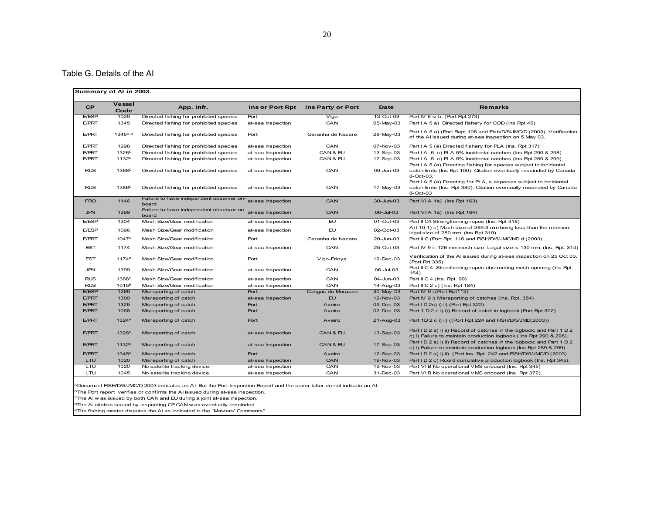Table G. Details of the AI

| <b>CP</b>    | Vessel<br>Code    | App. Infr.                                                             | Ins or Port Rpt   | <b>Ins Party or Port</b> | Date      | <b>Remarks</b>                                                                                                                                         |
|--------------|-------------------|------------------------------------------------------------------------|-------------------|--------------------------|-----------|--------------------------------------------------------------------------------------------------------------------------------------------------------|
| <b>E/ESP</b> | 1029              | Directed fishing for prohibited species                                | Port              | Vigo                     | 13-Oct-03 | Part IV 6 iv b. (Port Rpt 273)                                                                                                                         |
| E/PRT        | 1345              | Directed fishing for prohibited species                                | at-sea Inspection | CAN                      | 05-May-03 | Part IA 5 a) Directed fishery for COD (Ins Rpt 45)                                                                                                     |
| E/PRT        | $1345^{A,B}$      | Directed fishing for prohibited species                                | Port              | Garanha de Nazare        | 28-May-03 | Part I A 5 a) (Port Rept. 108 and Fish/D/5/JMC/D (2003). Verification<br>of the AI issued during at-sea Inspection on 5 May 03.                        |
| <b>E/PRT</b> | 1298              | Directed fishing for prohibited species                                | at-sea Inspection | CAN                      | 07-Nov-03 | Part I A 5 (a) Directed fishery for PLA (Ins. Rpt 317)                                                                                                 |
| <b>E/PRT</b> | 1326 <sup>c</sup> | Directed fishing for prohibited species                                | at-sea Inspection | CAN & EU                 | 13-Sep-03 | Part I A. 5. c) PLA 5% incidental catches (Ins Rpt 290 & 298)                                                                                          |
| <b>E/PRT</b> | 1132 <sup>c</sup> | Directed fishing for prohibited species                                | at-sea Inspection | CAN & EU                 | 17-Sep-03 | Part I A. 5. c) PLA 5% incidental catches (Ins Rpt 289 & 299)                                                                                          |
| <b>RUS</b>   | 1368 <sup>D</sup> | Directed fishing for prohibited species                                | at-sea Inspection | CAN                      | 09-Jun-03 | Part IA 5 (a) Directing fishing for species subject to incidental<br>catch limits (Ins Rpt 100). Citation eventually rescinded by Canada<br>8-Oct-03.  |
| <b>RUS</b>   | 1386 <sup>D</sup> | Directed fishing for prohibited species                                | at-sea Inspection | CAN                      | 17-May-03 | Part I A 5 (a) Directing for PLA, s aspecies subject to incidental<br>catch limits (Ins. Rpt 380). Citation eventually rescinded by Canada<br>8-Oct-03 |
| <b>FRO</b>   | 1146              | Failure to have independent observer on-<br>board                      | at-sea Inspection | CAN                      | 30-Jun-03 | Part VIA 1a) (Ins Rpt 163)                                                                                                                             |
| <b>JPN</b>   | 1399              | Failure to have independent observer on-<br>at-sea Inspection<br>board |                   | CAN                      | 06-Jul-03 | Part VIA 1a) (Ins Rpt 164)                                                                                                                             |
| <b>E/ESP</b> | 1304              | Mesh Size/Gear modification                                            | at-sea Inspection | EU                       | 01-Oct-03 | Part II C4 Strengthening ropes (Ins. Rpt 318)                                                                                                          |
| <b>E/ESP</b> | 1096              | Mesh Size/Gear modification                                            | at-sea Inspection | EU                       | 02-Oct-03 | Art.10 1) c) Mesh size of 269.3 mm being less than the minimum<br>legal size of 280 mm (Ins Rpt 319).                                                  |
| E/PRT        | 1047 <sup>A</sup> | Mesh Size/Gear modification                                            | Port              | Garanha de Nazare        | 20-Jun-03 | Part II C (Port Rpt. 116 and FISH/D/5/JMC/ND d (2003)                                                                                                  |
| <b>EST</b>   | 1174              | Mesh Size/Gear modification                                            | at-sea Inspection | CAN                      | 25-Oct-03 | Part IV 9 ii. 126 mm mesh size. Legal size is 130 mm. (Ins. Rpt. 314)                                                                                  |
| <b>EST</b>   | 1174 <sup>B</sup> | Mesh Size/Gear modification                                            | Port              | Vigo-Friova              | 19-Dec-03 | Verification of the AI issued during at-sea inspection on 25 Oct 03.<br>(Port Rrt 335)                                                                 |
| <b>JPN</b>   | 1399              | Mesh Size/Gear modification                                            | at-sea Inspection | CAN                      | 06-Jul-03 | Part II C 4 Strenthening ropes obstructing mesh opening (Ins Rpt)<br>164)                                                                              |
| <b>RUS</b>   | 1386 <sup>E</sup> | Mesh Size/Gear modification                                            | at-sea Inspection | CAN                      | 04-Jun-03 | Part II C 4 (Ins. Rpt. 99)                                                                                                                             |
| <b>RUS</b>   | 1015 <sup>E</sup> | Mesh Size/Gear modification                                            | at-sea Inspection | CAN                      | 14-Aug-03 | Part II C 2 c) (Ins. Rpt 184)                                                                                                                          |
| <b>E/ESP</b> | 1269              | Misreporting of catch                                                  | Port              | Cangas do Morazzo        | 30-May-03 | Part IV 9 i. (Port Rpt112)                                                                                                                             |
| <b>E/PRT</b> | 1300              | Misreporting of catch                                                  | at-sea Inspection | EU                       | 12-Nov-03 | Part IV 9 i) Misreporting of catches (Ins. Rpt. 384)                                                                                                   |
| <b>E/PRT</b> | 1325              | Misreporting of catch                                                  | Port              | Aveiro                   | 09-Dec-03 | Part I D 2c) i) ii) (Port Rpt 322)                                                                                                                     |
| <b>E/PRT</b> | 1068              | Misreporting of catch                                                  | Port              | Aveiro                   | 02-Dec-03 | Part 1 D 2 c i) i)) Record of catch in logbook (Port Rpt 302).                                                                                         |
| <b>E/PRT</b> | 1324A             | Misreporting of catch                                                  | Port              | Aveiro                   | 21-Aug-03 | Part 1D 2 c i) ii) ((Port Rpt 224 and FISH/D/5/JMD(2003))                                                                                              |
| <b>E/PRT</b> | 1326 <sup>c</sup> | Misreporting of catch                                                  | at-sea Inspection | CAN & EU                 | 13-Sep-03 | Part ID2 a) i) ii) Record of catches in the logbook; and Part 1D2<br>c) i) Failure to maintain production logbook (Ins Rpt 290 & 298).                 |
| <b>E/PRT</b> | $1132^{\circ}$    | Misreporting of catch                                                  | at-sea Inspection | CAN & EU                 | 17-Sep-03 | Part $1D2a$ ) i) ii) Record of catches in the logbook; and Part $1D2$<br>c) i) Failure to maintain production logbook (Ins Rpt 289 & 299)              |
| <b>E/PRT</b> | $1345^{A}$        | Misreporting of catch                                                  | Port              | Aveiro                   | 12-Sep-03 | Part I D 2 a) i) ii) (Port Ins. Rpt. 242 and FISH/D/5/JMC/D (2003)                                                                                     |
| <b>LTU</b>   | 1020              | Misreporting of catch                                                  | at-sea Inspection | CAN                      | 19-Nov-03 | Part ID 2 c) Rcord cumulative production logbook (Ins. Rpt 345).                                                                                       |
| LTU          | 1020              | No satellite tracking device.                                          | at-sea Inspection | CAN                      | 19-Nov-03 | Part VIB No operational VMS onboard (Ins. Rpt 345)                                                                                                     |
| LTU          | 1045              | No satellite tracking device.                                          | at-sea Inspection | CAN                      | 31-Dec-03 | Part VIB No operational VMS onboard (Ins. Rpt 372).                                                                                                    |

ADocument FISH/D/5/JMC/D 2003 indicates an AI. But the Port Inspection Report and the cover letter do not indicate an AI.

BThe Port report verifies or confirms the AI issued during at-sea inspection.

 $|c|$ The AI w as issued by both CAN and EU during a joint at-sea inspection.

**DThe AI citation issued by inspecting CP CAN w as eventually rescinded.** 

EThe fishing master disputes the AI as indicated in the "Masters' Comments".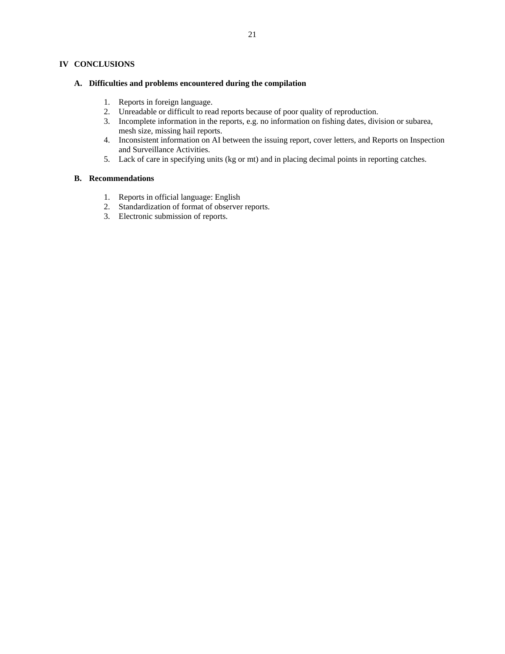## **IV CONCLUSIONS**

#### **A. Difficulties and problems encountered during the compilation**

- 1. Reports in foreign language.
- 2. Unreadable or difficult to read reports because of poor quality of reproduction.
- 3. Incomplete information in the reports, e.g. no information on fishing dates, division or subarea, mesh size, missing hail reports.
- 4. Inconsistent information on AI between the issuing report, cover letters, and Reports on Inspection and Surveillance Activities.
- 5. Lack of care in specifying units (kg or mt) and in placing decimal points in reporting catches.

## **B. Recommendations**

- 1. Reports in official language: English
- 2. Standardization of format of observer reports.
- 3. Electronic submission of reports.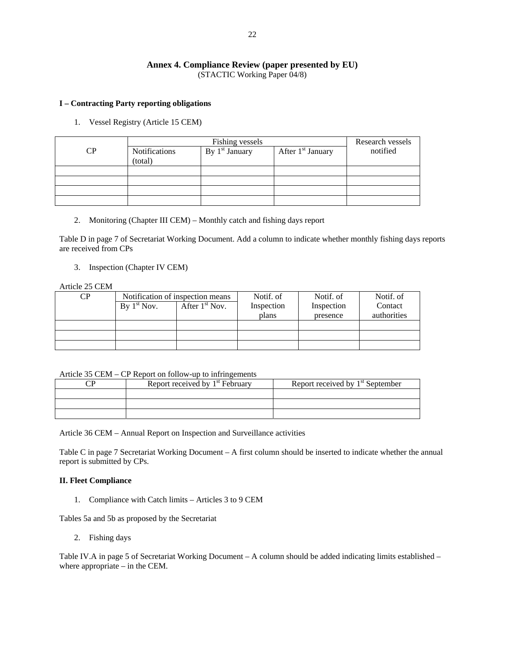## **Annex 4. Compliance Review (paper presented by EU)**  (STACTIC Working Paper 04/8)

## **I – Contracting Party reporting obligations**

1. Vessel Registry (Article 15 CEM)

|           |                      | Research vessels           |                               |          |
|-----------|----------------------|----------------------------|-------------------------------|----------|
| <b>CP</b> | <b>Notifications</b> | By 1 <sup>st</sup> January | After 1 <sup>st</sup> January | notified |
|           | (total)              |                            |                               |          |
|           |                      |                            |                               |          |
|           |                      |                            |                               |          |
|           |                      |                            |                               |          |
|           |                      |                            |                               |          |

2. Monitoring (Chapter III CEM) – Monthly catch and fishing days report

Table D in page 7 of Secretariat Working Document. Add a column to indicate whether monthly fishing days reports are received from CPs

3. Inspection (Chapter IV CEM)

## Article 25 CEM

| СP | Notification of inspection means |                  | Notif. of  | Notif. of  | Notif. of   |
|----|----------------------------------|------------------|------------|------------|-------------|
|    | $\rm{By}$ 1 <sup>st</sup> Nov.   | After $1st$ Nov. | Inspection | Inspection | Contact     |
|    |                                  |                  | plans      | presence   | authorities |
|    |                                  |                  |            |            |             |
|    |                                  |                  |            |            |             |
|    |                                  |                  |            |            |             |

## Article 35 CEM – CP Report on follow-up to infringements

|  | Report received by $1st$ February | Report received by $1st$ September |  |  |  |  |
|--|-----------------------------------|------------------------------------|--|--|--|--|
|  |                                   |                                    |  |  |  |  |
|  |                                   |                                    |  |  |  |  |
|  |                                   |                                    |  |  |  |  |

Article 36 CEM – Annual Report on Inspection and Surveillance activities

Table C in page 7 Secretariat Working Document – A first column should be inserted to indicate whether the annual report is submitted by CPs.

#### **II. Fleet Compliance**

1. Compliance with Catch limits – Articles 3 to 9 CEM

Tables 5a and 5b as proposed by the Secretariat

2. Fishing days

Table IV.A in page 5 of Secretariat Working Document – A column should be added indicating limits established – where appropriate – in the CEM.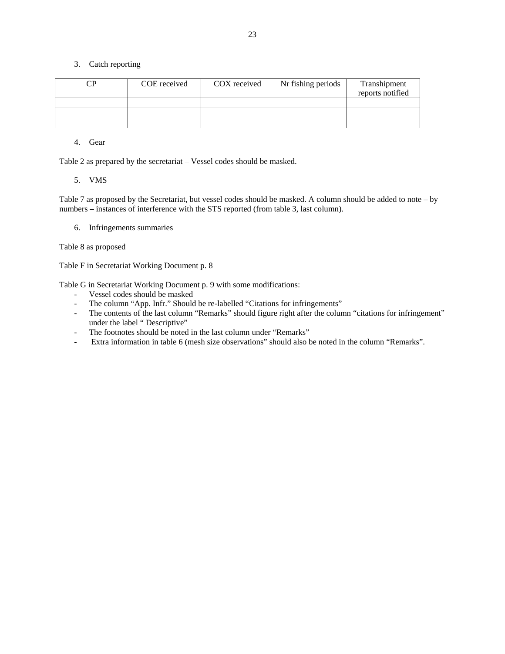3. Catch reporting

| ΓP | COE received | COX received | Nr fishing periods | Transhipment<br>reports notified |
|----|--------------|--------------|--------------------|----------------------------------|
|    |              |              |                    |                                  |
|    |              |              |                    |                                  |
|    |              |              |                    |                                  |

4. Gear

Table 2 as prepared by the secretariat – Vessel codes should be masked.

5. VMS

Table 7 as proposed by the Secretariat, but vessel codes should be masked. A column should be added to note – by numbers – instances of interference with the STS reported (from table 3, last column).

6. Infringements summaries

Table 8 as proposed

Table F in Secretariat Working Document p. 8

Table G in Secretariat Working Document p. 9 with some modifications:

- Vessel codes should be masked
- The column "App. Infr." Should be re-labelled "Citations for infringements"
- The contents of the last column "Remarks" should figure right after the column "citations for infringement" under the label " Descriptive"
- The footnotes should be noted in the last column under "Remarks"
- Extra information in table 6 (mesh size observations" should also be noted in the column "Remarks".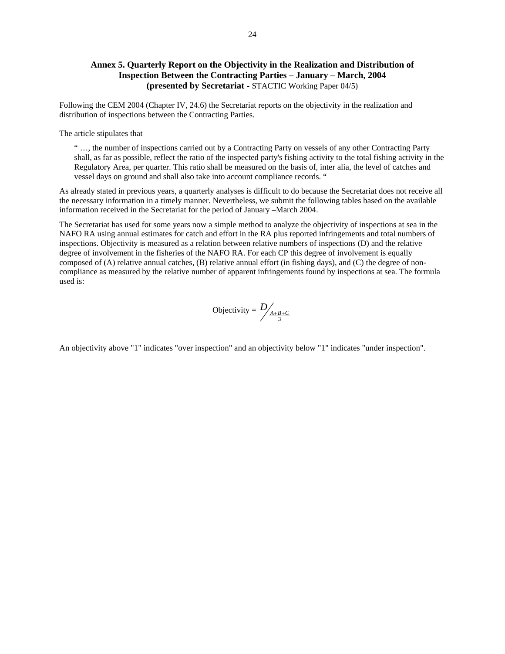## **Annex 5. Quarterly Report on the Objectivity in the Realization and Distribution of Inspection Between the Contracting Parties – January – March, 2004 (presented by Secretariat -** STACTIC Working Paper 04/5)

Following the CEM 2004 (Chapter IV, 24.6) the Secretariat reports on the objectivity in the realization and distribution of inspections between the Contracting Parties.

The article stipulates that

 " …, the number of inspections carried out by a Contracting Party on vessels of any other Contracting Party shall, as far as possible, reflect the ratio of the inspected party's fishing activity to the total fishing activity in the Regulatory Area, per quarter. This ratio shall be measured on the basis of, inter alia, the level of catches and vessel days on ground and shall also take into account compliance records. "

As already stated in previous years, a quarterly analyses is difficult to do because the Secretariat does not receive all the necessary information in a timely manner. Nevertheless, we submit the following tables based on the available information received in the Secretariat for the period of January –March 2004.

The Secretariat has used for some years now a simple method to analyze the objectivity of inspections at sea in the NAFO RA using annual estimates for catch and effort in the RA plus reported infringements and total numbers of inspections. Objectivity is measured as a relation between relative numbers of inspections (D) and the relative degree of involvement in the fisheries of the NAFO RA. For each CP this degree of involvement is equally composed of (A) relative annual catches, (B) relative annual effort (in fishing days), and (C) the degree of noncompliance as measured by the relative number of apparent infringements found by inspections at sea. The formula used is:

$$
\text{Objectivity} = D / \frac{A + B + C}{3}
$$

An objectivity above "1" indicates "over inspection" and an objectivity below "1" indicates "under inspection".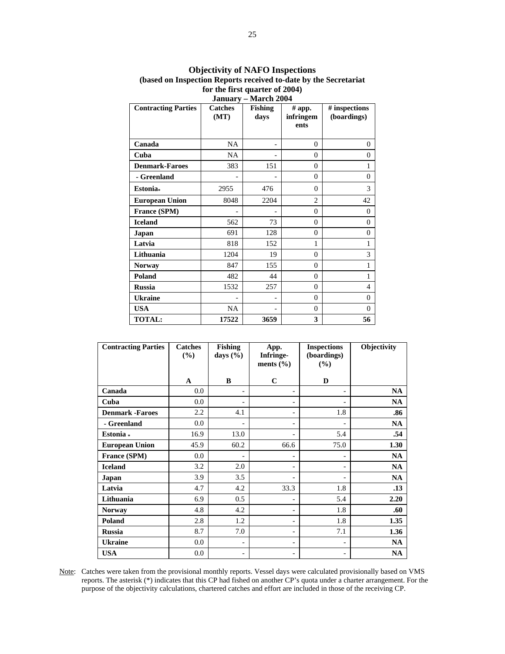| January – March 2004       |                        |                        |                               |                              |  |
|----------------------------|------------------------|------------------------|-------------------------------|------------------------------|--|
| <b>Contracting Parties</b> | <b>Catches</b><br>(MT) | <b>Fishing</b><br>days | $#$ app.<br>infringem<br>ents | # inspections<br>(boardings) |  |
| Canada                     | <b>NA</b>              | -                      | $\Omega$                      | $\overline{0}$               |  |
| Cuba                       | NA                     |                        | $\Omega$                      | $\overline{0}$               |  |
| <b>Denmark-Faroes</b>      | 383                    | 151                    | $\Omega$                      | 1                            |  |
| - Greenland                |                        |                        | $\Omega$                      | $\overline{0}$               |  |
| Estonia <sub>*</sub>       | 2955                   | 476                    | $\Omega$                      | 3                            |  |
| <b>European Union</b>      | 8048                   | 2204                   | $\overline{2}$                | 42                           |  |
| France (SPM)               |                        |                        | $\Omega$                      | $\Omega$                     |  |
| <b>Iceland</b>             | 562                    | 73                     | $\Omega$                      | $\theta$                     |  |
| Japan                      | 691                    | 128                    | $\Omega$                      | $\overline{0}$               |  |
| Latvia                     | 818                    | 152                    | 1                             | 1                            |  |
| Lithuania                  | 1204                   | 19                     | $\theta$                      | 3                            |  |
| <b>Norway</b>              | 847                    | 155                    | $\Omega$                      | 1                            |  |
| Poland                     | 482                    | 44                     | $\Omega$                      | 1                            |  |
| <b>Russia</b>              | 1532                   | 257                    | $\Omega$                      | 4                            |  |
| <b>Ukraine</b>             |                        | -                      | $\theta$                      | $\overline{0}$               |  |
| <b>USA</b>                 | <b>NA</b>              |                        | $\Omega$                      | $\theta$                     |  |
| <b>TOTAL:</b>              | 17522                  | 3659                   | 3                             | 56                           |  |

## **Objectivity of NAFO Inspections (based on Inspection Reports received to-date by the Secretariat for the first quarter of 2004)**

| <b>Contracting Parties</b> | <b>Catches</b><br>(%) | <b>Fishing</b><br>days $(\% )$ | App.<br><b>Infringe-</b><br>ments $(\% )$ | <b>Inspections</b><br>(boardings)<br>$(\%)$ | Objectivity |
|----------------------------|-----------------------|--------------------------------|-------------------------------------------|---------------------------------------------|-------------|
|                            | $\mathbf{A}$          | B                              | $\mathbf C$                               | D                                           |             |
| Canada                     | 0.0                   | $\overline{\phantom{a}}$       | -                                         |                                             | <b>NA</b>   |
| Cuba                       | 0.0                   | $\qquad \qquad \blacksquare$   | -                                         |                                             | <b>NA</b>   |
| <b>Denmark -Faroes</b>     | 2.2                   | 4.1                            | $\qquad \qquad \blacksquare$              | 1.8                                         | .86         |
| - Greenland                | 0.0                   | $\overline{\phantom{0}}$       | $\overline{\phantom{a}}$                  |                                             | <b>NA</b>   |
| Estonia *                  | 16.9                  | 13.0                           | $\qquad \qquad \blacksquare$              | 5.4                                         | .54         |
| <b>European Union</b>      | 45.9                  | 60.2                           | 66.6                                      | 75.0                                        | 1.30        |
| <b>France (SPM)</b>        | 0.0                   |                                | $\overline{\phantom{0}}$                  |                                             | <b>NA</b>   |
| <b>Iceland</b>             | 3.2                   | 2.0                            | -                                         | $\overline{a}$                              | NA          |
| Japan                      | 3.9                   | 3.5                            |                                           |                                             | <b>NA</b>   |
| Latvia                     | 4.7                   | 4.2                            | 33.3                                      | 1.8                                         | .13         |
| Lithuania                  | 6.9                   | 0.5                            | $\qquad \qquad \blacksquare$              | 5.4                                         | 2.20        |
| <b>Norway</b>              | 4.8                   | 4.2                            | $\qquad \qquad \blacksquare$              | 1.8                                         | .60         |
| Poland                     | 2.8                   | 1.2                            | $\qquad \qquad \blacksquare$              | 1.8                                         | 1.35        |
| <b>Russia</b>              | 8.7                   | 7.0                            | $\qquad \qquad \blacksquare$              | 7.1                                         | 1.36        |
| <b>Ukraine</b>             | 0.0                   | $\overline{\phantom{a}}$       | ۳                                         |                                             | <b>NA</b>   |
| <b>USA</b>                 | 0.0                   | $\overline{\phantom{a}}$       |                                           |                                             | <b>NA</b>   |

Note: Catches were taken from the provisional monthly reports. Vessel days were calculated provisionally based on VMS reports. The asterisk (\*) indicates that this CP had fished on another CP's quota under a charter arrangement. For the purpose of the objectivity calculations, chartered catches and effort are included in those of the receiving CP.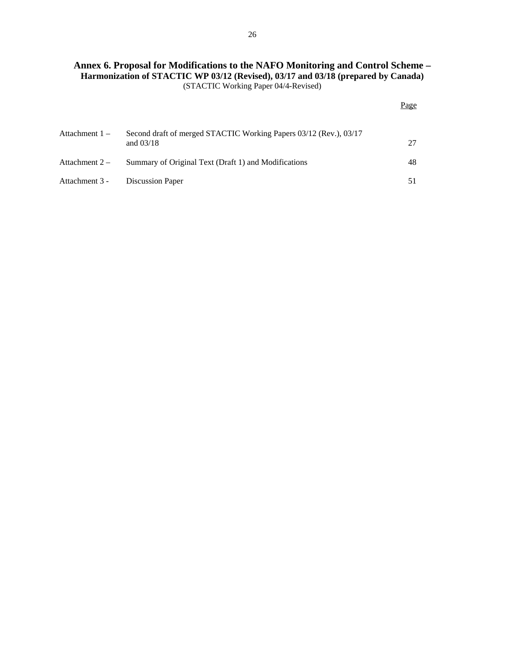## **Annex 6. Proposal for Modifications to the NAFO Monitoring and Control Scheme – Harmonization of STACTIC WP 03/12 (Revised), 03/17 and 03/18 (prepared by Canada)**  (STACTIC Working Paper 04/4-Revised)

Page

| Attachment 1 – | Second draft of merged STACTIC Working Papers 03/12 (Rev.), 03/17<br>and $03/18$ |    |
|----------------|----------------------------------------------------------------------------------|----|
| Attachment 2 – | Summary of Original Text (Draft 1) and Modifications                             | 48 |
|                | Attachment 3 - Discussion Paper                                                  |    |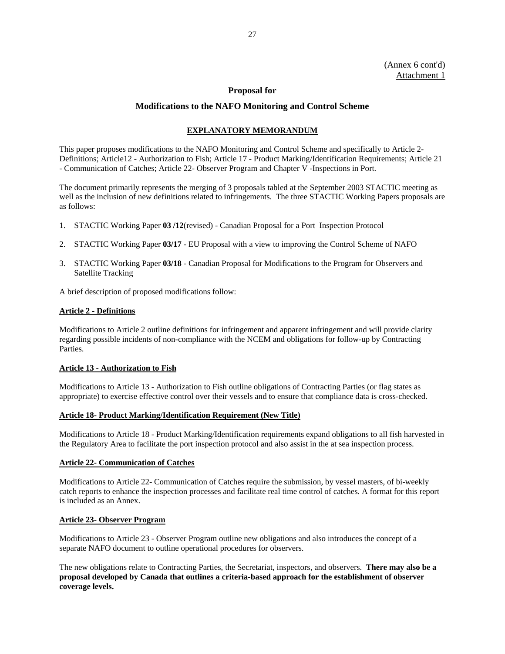#### **Proposal for**

#### **Modifications to the NAFO Monitoring and Control Scheme**

#### **EXPLANATORY MEMORANDUM**

This paper proposes modifications to the NAFO Monitoring and Control Scheme and specifically to Article 2- Definitions; Article12 - Authorization to Fish; Article 17 - Product Marking/Identification Requirements; Article 21 - Communication of Catches; Article 22- Observer Program and Chapter V -Inspections in Port.

The document primarily represents the merging of 3 proposals tabled at the September 2003 STACTIC meeting as well as the inclusion of new definitions related to infringements. The three STACTIC Working Papers proposals are as follows:

- 1. STACTIC Working Paper **03 /12**(revised) Canadian Proposal for a Port Inspection Protocol
- 2. STACTIC Working Paper **03/17** EU Proposal with a view to improving the Control Scheme of NAFO
- 3. STACTIC Working Paper **03/18** Canadian Proposal for Modifications to the Program for Observers and Satellite Tracking

A brief description of proposed modifications follow:

#### **Article 2 - Definitions**

Modifications to Article 2 outline definitions for infringement and apparent infringement and will provide clarity regarding possible incidents of non-compliance with the NCEM and obligations for follow-up by Contracting Parties.

## **Article 13 - Authorization to Fish**

Modifications to Article 13 - Authorization to Fish outline obligations of Contracting Parties (or flag states as appropriate) to exercise effective control over their vessels and to ensure that compliance data is cross-checked.

#### **Article 18- Product Marking/Identification Requirement (New Title)**

Modifications to Article 18 - Product Marking/Identification requirements expand obligations to all fish harvested in the Regulatory Area to facilitate the port inspection protocol and also assist in the at sea inspection process.

## **Article 22- Communication of Catches**

Modifications to Article 22- Communication of Catches require the submission, by vessel masters, of bi-weekly catch reports to enhance the inspection processes and facilitate real time control of catches. A format for this report is included as an Annex.

#### **Article 23- Observer Program**

Modifications to Article 23 - Observer Program outline new obligations and also introduces the concept of a separate NAFO document to outline operational procedures for observers.

The new obligations relate to Contracting Parties, the Secretariat, inspectors, and observers. **There may also be a proposal developed by Canada that outlines a criteria-based approach for the establishment of observer coverage levels.**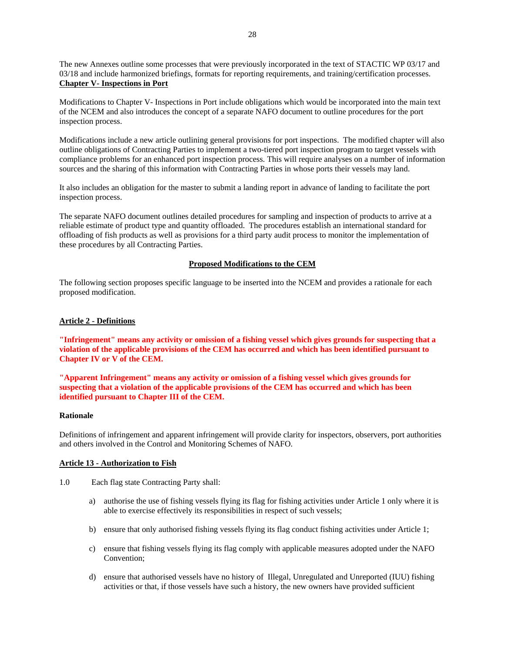The new Annexes outline some processes that were previously incorporated in the text of STACTIC WP 03/17 and 03/18 and include harmonized briefings, formats for reporting requirements, and training/certification processes. **Chapter V- Inspections in Port**

Modifications to Chapter V- Inspections in Port include obligations which would be incorporated into the main text of the NCEM and also introduces the concept of a separate NAFO document to outline procedures for the port inspection process.

Modifications include a new article outlining general provisions for port inspections. The modified chapter will also outline obligations of Contracting Parties to implement a two-tiered port inspection program to target vessels with compliance problems for an enhanced port inspection process. This will require analyses on a number of information sources and the sharing of this information with Contracting Parties in whose ports their vessels may land.

It also includes an obligation for the master to submit a landing report in advance of landing to facilitate the port inspection process.

The separate NAFO document outlines detailed procedures for sampling and inspection of products to arrive at a reliable estimate of product type and quantity offloaded. The procedures establish an international standard for offloading of fish products as well as provisions for a third party audit process to monitor the implementation of these procedures by all Contracting Parties.

#### **Proposed Modifications to the CEM**

The following section proposes specific language to be inserted into the NCEM and provides a rationale for each proposed modification.

#### **Article 2 - Definitions**

**"Infringement" means any activity or omission of a fishing vessel which gives grounds for suspecting that a violation of the applicable provisions of the CEM has occurred and which has been identified pursuant to Chapter IV or V of the CEM.** 

**"Apparent Infringement" means any activity or omission of a fishing vessel which gives grounds for suspecting that a violation of the applicable provisions of the CEM has occurred and which has been identified pursuant to Chapter III of the CEM.** 

#### **Rationale**

Definitions of infringement and apparent infringement will provide clarity for inspectors, observers, port authorities and others involved in the Control and Monitoring Schemes of NAFO.

## **Article 13 - Authorization to Fish**

- 1.0 Each flag state Contracting Party shall:
	- a) authorise the use of fishing vessels flying its flag for fishing activities under Article 1 only where it is able to exercise effectively its responsibilities in respect of such vessels;
	- b) ensure that only authorised fishing vessels flying its flag conduct fishing activities under Article 1;
	- c) ensure that fishing vessels flying its flag comply with applicable measures adopted under the NAFO Convention;
	- d) ensure that authorised vessels have no history of Illegal, Unregulated and Unreported (IUU) fishing activities or that, if those vessels have such a history, the new owners have provided sufficient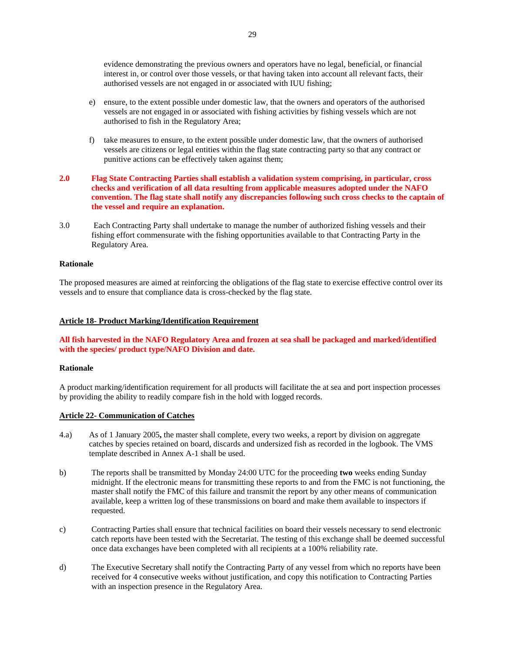evidence demonstrating the previous owners and operators have no legal, beneficial, or financial interest in, or control over those vessels, or that having taken into account all relevant facts, their authorised vessels are not engaged in or associated with IUU fishing;

- e) ensure, to the extent possible under domestic law, that the owners and operators of the authorised vessels are not engaged in or associated with fishing activities by fishing vessels which are not authorised to fish in the Regulatory Area;
- f) take measures to ensure, to the extent possible under domestic law, that the owners of authorised vessels are citizens or legal entities within the flag state contracting party so that any contract or punitive actions can be effectively taken against them;
- **2.0 Flag State Contracting Parties shall establish a validation system comprising, in particular, cross checks and verification of all data resulting from applicable measures adopted under the NAFO convention. The flag state shall notify any discrepancies following such cross checks to the captain of the vessel and require an explanation.**
- 3.0 Each Contracting Party shall undertake to manage the number of authorized fishing vessels and their fishing effort commensurate with the fishing opportunities available to that Contracting Party in the Regulatory Area.

#### **Rationale**

The proposed measures are aimed at reinforcing the obligations of the flag state to exercise effective control over its vessels and to ensure that compliance data is cross-checked by the flag state.

#### **Article 18- Product Marking/Identification Requirement**

## **All fish harvested in the NAFO Regulatory Area and frozen at sea shall be packaged and marked/identified with the species/ product type/NAFO Division and date.**

#### **Rationale**

A product marking/identification requirement for all products will facilitate the at sea and port inspection processes by providing the ability to readily compare fish in the hold with logged records.

#### **Article 22- Communication of Catches**

- 4.a) As of 1 January 2005**,** the master shall complete, every two weeks, a report by division on aggregate catches by species retained on board, discards and undersized fish as recorded in the logbook. The VMS template described in Annex A-1 shall be used.
- b) The reports shall be transmitted by Monday 24:00 UTC for the proceeding **two** weeks ending Sunday midnight. If the electronic means for transmitting these reports to and from the FMC is not functioning, the master shall notify the FMC of this failure and transmit the report by any other means of communication available, keep a written log of these transmissions on board and make them available to inspectors if requested.
- c) Contracting Parties shall ensure that technical facilities on board their vessels necessary to send electronic catch reports have been tested with the Secretariat. The testing of this exchange shall be deemed successful once data exchanges have been completed with all recipients at a 100% reliability rate.
- d) The Executive Secretary shall notify the Contracting Party of any vessel from which no reports have been received for 4 consecutive weeks without justification, and copy this notification to Contracting Parties with an inspection presence in the Regulatory Area.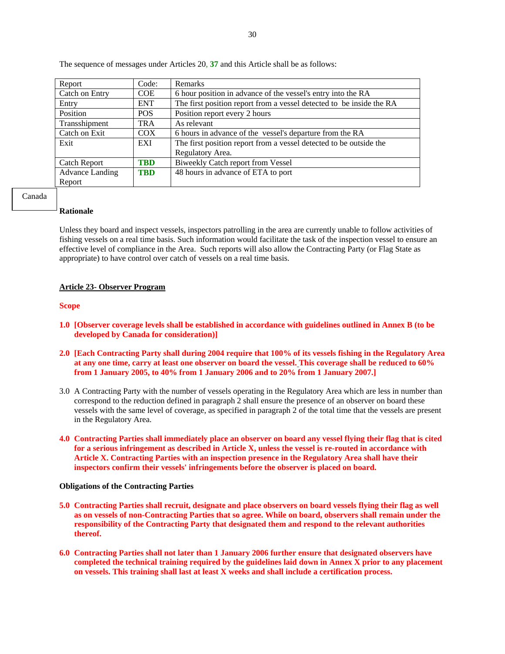| Report                 | Code:      | Remarks                                                              |
|------------------------|------------|----------------------------------------------------------------------|
| Catch on Entry         | <b>COE</b> | 6 hour position in advance of the vessel's entry into the RA         |
| Entry                  | <b>ENT</b> | The first position report from a vessel detected to be inside the RA |
| Position               | <b>POS</b> | Position report every 2 hours                                        |
| Transshipment          | <b>TRA</b> | As relevant                                                          |
| Catch on Exit          | COX        | 6 hours in advance of the vessel's departure from the RA             |
| Exit                   | EXI        | The first position report from a vessel detected to be outside the   |
|                        |            | Regulatory Area.                                                     |
| Catch Report           | <b>TBD</b> | <b>Biweekly Catch report from Vessel</b>                             |
| <b>Advance Landing</b> | <b>TBD</b> | 48 hours in advance of ETA to port                                   |
| Report                 |            |                                                                      |

The sequence of messages under Articles 20, **37** and this Article shall be as follows:

#### Canada

#### **Rationale**

Unless they board and inspect vessels, inspectors patrolling in the area are currently unable to follow activities of fishing vessels on a real time basis. Such information would facilitate the task of the inspection vessel to ensure an effective level of compliance in the Area. Such reports will also allow the Contracting Party (or Flag State as appropriate) to have control over catch of vessels on a real time basis.

#### **Article 23- Observer Program**

## **Scope**

- **1.0 [Observer coverage levels shall be established in accordance with guidelines outlined in Annex B (to be developed by Canada for consideration)]**
- **2.0 [Each Contracting Party shall during 2004 require that 100% of its vessels fishing in the Regulatory Area at any one time, carry at least one observer on board the vessel. This coverage shall be reduced to 60% from 1 January 2005, to 40% from 1 January 2006 and to 20% from 1 January 2007.]**
- 3.0 A Contracting Party with the number of vessels operating in the Regulatory Area which are less in number than correspond to the reduction defined in paragraph 2 shall ensure the presence of an observer on board these vessels with the same level of coverage, as specified in paragraph 2 of the total time that the vessels are present in the Regulatory Area.
- **4.0 Contracting Parties shall immediately place an observer on board any vessel flying their flag that is cited for a serious infringement as described in Article X, unless the vessel is re-routed in accordance with Article X. Contracting Parties with an inspection presence in the Regulatory Area shall have their inspectors confirm their vessels' infringements before the observer is placed on board.**

#### **Obligations of the Contracting Parties**

- **5.0 Contracting Parties shall recruit, designate and place observers on board vessels flying their flag as well as on vessels of non-Contracting Parties that so agree. While on board, observers shall remain under the responsibility of the Contracting Party that designated them and respond to the relevant authorities thereof.**
- **6.0 Contracting Parties shall not later than 1 January 2006 further ensure that designated observers have completed the technical training required by the guidelines laid down in Annex X prior to any placement on vessels. This training shall last at least X weeks and shall include a certification process.**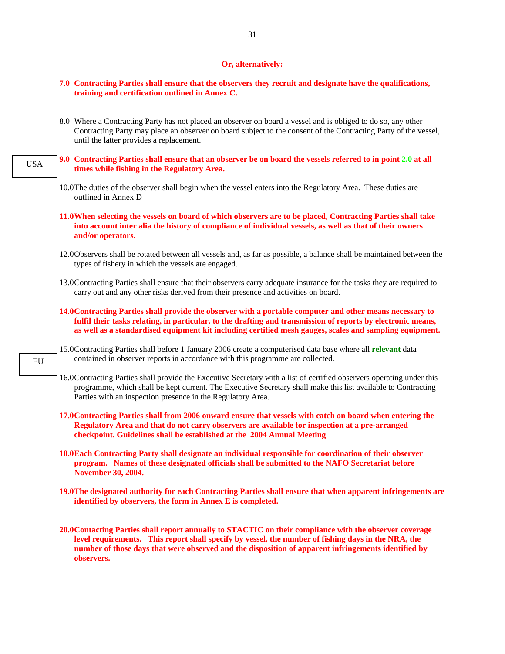#### **Or, alternatively:**

#### **7.0 Contracting Parties shall ensure that the observers they recruit and designate have the qualifications, training and certification outlined in Annex C.**

- 8.0 Where a Contracting Party has not placed an observer on board a vessel and is obliged to do so, any other Contracting Party may place an observer on board subject to the consent of the Contracting Party of the vessel, until the latter provides a replacement.
- **9.0 Contracting Parties shall ensure that an observer be on board the vessels referred to in point 2.0 at all times while fishing in the Regulatory Area.** 
	- 10.0The duties of the observer shall begin when the vessel enters into the Regulatory Area. These duties are outlined in Annex D
	- **11.0When selecting the vessels on board of which observers are to be placed, Contracting Parties shall take into account inter alia the history of compliance of individual vessels, as well as that of their owners and/or operators.**
	- 12.0Observers shall be rotated between all vessels and, as far as possible, a balance shall be maintained between the types of fishery in which the vessels are engaged.
	- 13.0Contracting Parties shall ensure that their observers carry adequate insurance for the tasks they are required to carry out and any other risks derived from their presence and activities on board.
	- **14.0Contracting Parties shall provide the observer with a portable computer and other means necessary to fulfil their tasks relating, in particular, to the drafting and transmission of reports by electronic means, as well as a standardised equipment kit including certified mesh gauges, scales and sampling equipment.**
	- 15.0Contracting Parties shall before 1 January 2006 create a computerised data base where all **relevant** data contained in observer reports in accordance with this programme are collected.
	- 16.0Contracting Parties shall provide the Executive Secretary with a list of certified observers operating under this programme, which shall be kept current. The Executive Secretary shall make this list available to Contracting Parties with an inspection presence in the Regulatory Area.
	- **17.0Contracting Parties shall from 2006 onward ensure that vessels with catch on board when entering the Regulatory Area and that do not carry observers are available for inspection at a pre-arranged checkpoint. Guidelines shall be established at the 2004 Annual Meeting**
	- **18.0Each Contracting Party shall designate an individual responsible for coordination of their observer program. Names of these designated officials shall be submitted to the NAFO Secretariat before November 30, 2004.**
	- **19.0The designated authority for each Contracting Parties shall ensure that when apparent infringements are identified by observers, the form in Annex E is completed.**
	- **20.0Contacting Parties shall report annually to STACTIC on their compliance with the observer coverage level requirements. This report shall specify by vessel, the number of fishing days in the NRA, the number of those days that were observed and the disposition of apparent infringements identified by observers.**

EU

USA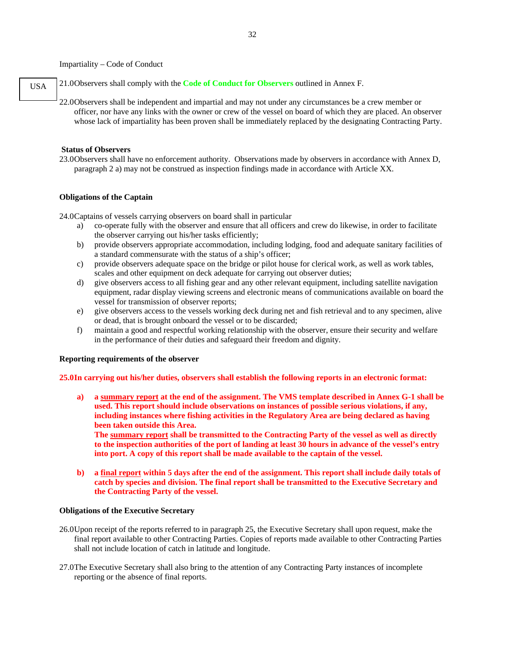Impartiality – Code of Conduct

21.0Observers shall comply with the **Code of Conduct for Observers** outlined in Annex F. USA

22.0Observers shall be independent and impartial and may not under any circumstances be a crew member or officer, nor have any links with the owner or crew of the vessel on board of which they are placed. An observer whose lack of impartiality has been proven shall be immediately replaced by the designating Contracting Party.

## **Status of Observers**

23.0Observers shall have no enforcement authority. Observations made by observers in accordance with Annex D, paragraph 2 a) may not be construed as inspection findings made in accordance with Article XX.

#### **Obligations of the Captain**

24.0Captains of vessels carrying observers on board shall in particular

- a) co-operate fully with the observer and ensure that all officers and crew do likewise, in order to facilitate the observer carrying out his/her tasks efficiently;
- b) provide observers appropriate accommodation, including lodging, food and adequate sanitary facilities of a standard commensurate with the status of a ship's officer;
- c) provide observers adequate space on the bridge or pilot house for clerical work, as well as work tables, scales and other equipment on deck adequate for carrying out observer duties;
- d) give observers access to all fishing gear and any other relevant equipment, including satellite navigation equipment, radar display viewing screens and electronic means of communications available on board the vessel for transmission of observer reports;
- e) give observers access to the vessels working deck during net and fish retrieval and to any specimen, alive or dead, that is brought onboard the vessel or to be discarded;
- f) maintain a good and respectful working relationship with the observer, ensure their security and welfare in the performance of their duties and safeguard their freedom and dignity.

#### **Reporting requirements of the observer**

#### **25.0In carrying out his/her duties, observers shall establish the following reports in an electronic format:**

**a) a summary report at the end of the assignment. The VMS template described in Annex G-1 shall be used. This report should include observations on instances of possible serious violations, if any, including instances where fishing activities in the Regulatory Area are being declared as having been taken outside this Area.** 

**The summary report shall be transmitted to the Contracting Party of the vessel as well as directly to the inspection authorities of the port of landing at least 30 hours in advance of the vessel's entry into port. A copy of this report shall be made available to the captain of the vessel.** 

**b) a final report within 5 days after the end of the assignment. This report shall include daily totals of catch by species and division. The final report shall be transmitted to the Executive Secretary and the Contracting Party of the vessel.** 

#### **Obligations of the Executive Secretary**

- 26.0Upon receipt of the reports referred to in paragraph 25, the Executive Secretary shall upon request, make the final report available to other Contracting Parties. Copies of reports made available to other Contracting Parties shall not include location of catch in latitude and longitude.
- 27.0The Executive Secretary shall also bring to the attention of any Contracting Party instances of incomplete reporting or the absence of final reports.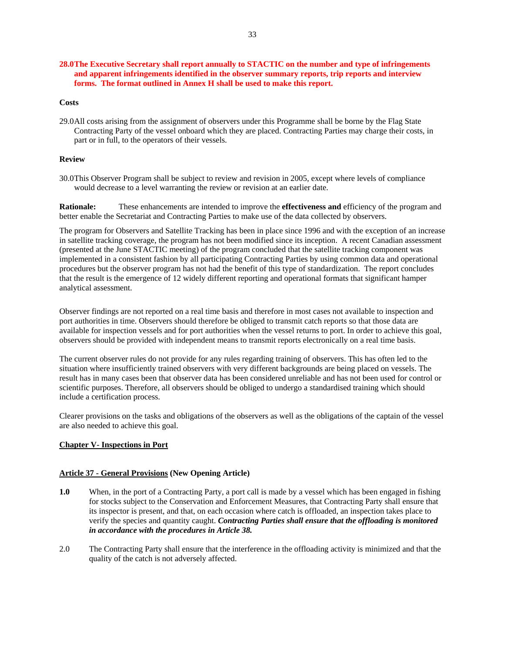## **28.0The Executive Secretary shall report annually to STACTIC on the number and type of infringements and apparent infringements identified in the observer summary reports, trip reports and interview forms. The format outlined in Annex H shall be used to make this report.**

#### **Costs**

29.0All costs arising from the assignment of observers under this Programme shall be borne by the Flag State Contracting Party of the vessel onboard which they are placed. Contracting Parties may charge their costs, in part or in full, to the operators of their vessels.

## **Review**

30.0This Observer Program shall be subject to review and revision in 2005, except where levels of compliance would decrease to a level warranting the review or revision at an earlier date.

**Rationale:** These enhancements are intended to improve the **effectiveness and** efficiency of the program and better enable the Secretariat and Contracting Parties to make use of the data collected by observers.

The program for Observers and Satellite Tracking has been in place since 1996 and with the exception of an increase in satellite tracking coverage, the program has not been modified since its inception. A recent Canadian assessment (presented at the June STACTIC meeting) of the program concluded that the satellite tracking component was implemented in a consistent fashion by all participating Contracting Parties by using common data and operational procedures but the observer program has not had the benefit of this type of standardization. The report concludes that the result is the emergence of 12 widely different reporting and operational formats that significant hamper analytical assessment.

Observer findings are not reported on a real time basis and therefore in most cases not available to inspection and port authorities in time. Observers should therefore be obliged to transmit catch reports so that those data are available for inspection vessels and for port authorities when the vessel returns to port. In order to achieve this goal, observers should be provided with independent means to transmit reports electronically on a real time basis.

The current observer rules do not provide for any rules regarding training of observers. This has often led to the situation where insufficiently trained observers with very different backgrounds are being placed on vessels. The result has in many cases been that observer data has been considered unreliable and has not been used for control or scientific purposes. Therefore, all observers should be obliged to undergo a standardised training which should include a certification process.

Clearer provisions on the tasks and obligations of the observers as well as the obligations of the captain of the vessel are also needed to achieve this goal.

## **Chapter V- Inspections in Port**

#### **Article 37 - General Provisions (New Opening Article)**

- **1.0** When, in the port of a Contracting Party, a port call is made by a vessel which has been engaged in fishing for stocks subject to the Conservation and Enforcement Measures, that Contracting Party shall ensure that its inspector is present, and that, on each occasion where catch is offloaded, an inspection takes place to verify the species and quantity caught. *Contracting Parties shall ensure that the offloading is monitored in accordance with the procedures in Article 38.*
- 2.0 The Contracting Party shall ensure that the interference in the offloading activity is minimized and that the quality of the catch is not adversely affected.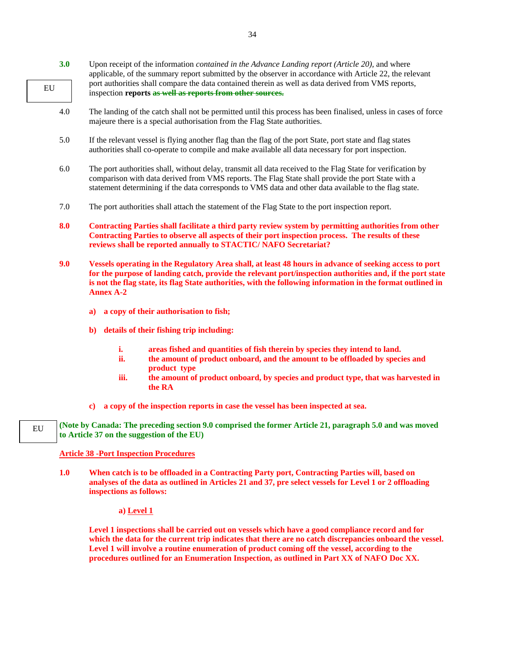| 3.0 | Upon receipt of the information <i>contained in the Advance Landing report</i> ( <i>Article 20</i> ), and where |
|-----|-----------------------------------------------------------------------------------------------------------------|
|     | applicable, of the summary report submitted by the observer in accordance with Article 22, the relevant         |
| EU  | port authorities shall compare the data contained therein as well as data derived from VMS reports,             |
|     | inspection reports as well as reports from other sources.                                                       |

- 4.0 The landing of the catch shall not be permitted until this process has been finalised, unless in cases of force majeure there is a special authorisation from the Flag State authorities.
- 5.0 If the relevant vessel is flying another flag than the flag of the port State, port state and flag states authorities shall co-operate to compile and make available all data necessary for port inspection.
- 6.0 The port authorities shall, without delay, transmit all data received to the Flag State for verification by comparison with data derived from VMS reports. The Flag State shall provide the port State with a statement determining if the data corresponds to VMS data and other data available to the flag state.
- 7.0 The port authorities shall attach the statement of the Flag State to the port inspection report.
- **8.0 Contracting Parties shall facilitate a third party review system by permitting authorities from other Contracting Parties to observe all aspects of their port inspection process. The results of these reviews shall be reported annually to STACTIC/ NAFO Secretariat?**
- **9.0 Vessels operating in the Regulatory Area shall, at least 48 hours in advance of seeking access to port for the purpose of landing catch, provide the relevant port/inspection authorities and, if the port state is not the flag state, its flag State authorities, with the following information in the format outlined in Annex A-2** 
	- **a) a copy of their authorisation to fish;**
	- **b) details of their fishing trip including:** 
		- **i. areas fished and quantities of fish therein by species they intend to land.**
		- **ii. the amount of product onboard, and the amount to be offloaded by species and product type**
		- **iii. the amount of product onboard, by species and product type, that was harvested in the RA**
	- **c) a copy of the inspection reports in case the vessel has been inspected at sea.**

**(Note by Canada: The preceding section 9.0 comprised the former Article 21, paragraph 5.0 and was moved to Article 37 on the suggestion of the EU)**  EU

## **Article 38 -Port Inspection Procedures**

- **1.0 When catch is to be offloaded in a Contracting Party port, Contracting Parties will, based on analyses of the data as outlined in Articles 21 and 37, pre select vessels for Level 1 or 2 offloading inspections as follows:** 
	- **a) Level 1**

**Level 1 inspections shall be carried out on vessels which have a good compliance record and for which the data for the current trip indicates that there are no catch discrepancies onboard the vessel. Level 1 will involve a routine enumeration of product coming off the vessel, according to the procedures outlined for an Enumeration Inspection, as outlined in Part XX of NAFO Doc XX.**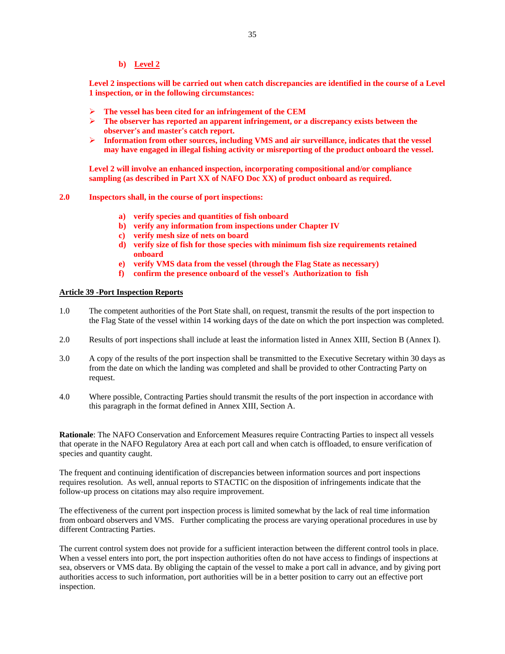#### **b) Level 2**

**Level 2 inspections will be carried out when catch discrepancies are identified in the course of a Level 1 inspection, or in the following circumstances:** 

- ! **The vessel has been cited for an infringement of the CEM**
- ! **The observer has reported an apparent infringement, or a discrepancy exists between the observer's and master's catch report.**
- ! **Information from other sources, including VMS and air surveillance, indicates that the vessel may have engaged in illegal fishing activity or misreporting of the product onboard the vessel.**

**Level 2 will involve an enhanced inspection, incorporating compositional and/or compliance sampling (as described in Part XX of NAFO Doc XX) of product onboard as required.** 

- **2.0 Inspectors shall, in the course of port inspections:** 
	- **a) verify species and quantities of fish onboard**
	- **b) verify any information from inspections under Chapter IV**
	- **c) verify mesh size of nets on board**
	- **d) verify size of fish for those species with minimum fish size requirements retained onboard**
	- **e) verify VMS data from the vessel (through the Flag State as necessary)**
	- **f) confirm the presence onboard of the vessel's Authorization to fish**

#### **Article 39 -Port Inspection Reports**

- 1.0 The competent authorities of the Port State shall, on request, transmit the results of the port inspection to the Flag State of the vessel within 14 working days of the date on which the port inspection was completed.
- 2.0 Results of port inspections shall include at least the information listed in Annex XIII, Section B (Annex I).
- 3.0 A copy of the results of the port inspection shall be transmitted to the Executive Secretary within 30 days as from the date on which the landing was completed and shall be provided to other Contracting Party on request.
- 4.0 Where possible, Contracting Parties should transmit the results of the port inspection in accordance with this paragraph in the format defined in Annex XIII, Section A.

**Rationale**: The NAFO Conservation and Enforcement Measures require Contracting Parties to inspect all vessels that operate in the NAFO Regulatory Area at each port call and when catch is offloaded, to ensure verification of species and quantity caught.

The frequent and continuing identification of discrepancies between information sources and port inspections requires resolution. As well, annual reports to STACTIC on the disposition of infringements indicate that the follow-up process on citations may also require improvement.

The effectiveness of the current port inspection process is limited somewhat by the lack of real time information from onboard observers and VMS. Further complicating the process are varying operational procedures in use by different Contracting Parties.

The current control system does not provide for a sufficient interaction between the different control tools in place. When a vessel enters into port, the port inspection authorities often do not have access to findings of inspections at sea, observers or VMS data. By obliging the captain of the vessel to make a port call in advance, and by giving port authorities access to such information, port authorities will be in a better position to carry out an effective port inspection.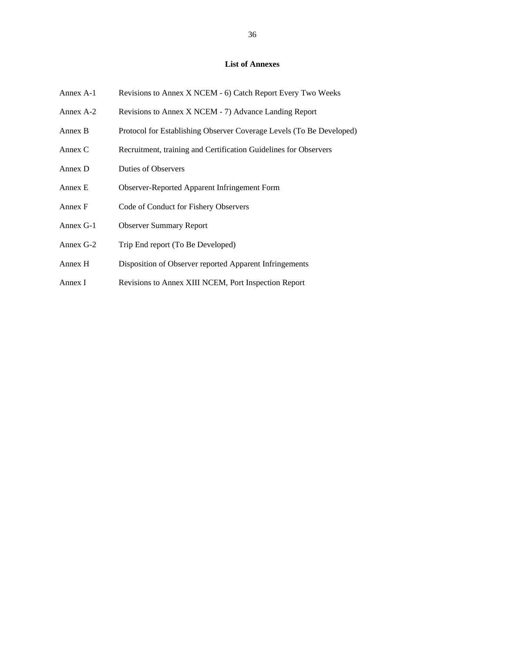## **List of Annexes**

| Annex A-1 | Revisions to Annex X NCEM - 6) Catch Report Every Two Weeks          |
|-----------|----------------------------------------------------------------------|
| Annex A-2 | Revisions to Annex X NCEM - 7) Advance Landing Report                |
| Annex B   | Protocol for Establishing Observer Coverage Levels (To Be Developed) |
| Annex C   | Recruitment, training and Certification Guidelines for Observers     |
| Annex D   | Duties of Observers                                                  |
| Annex E   | Observer-Reported Apparent Infringement Form                         |
| Annex F   | Code of Conduct for Fishery Observers                                |
| Annex G-1 | <b>Observer Summary Report</b>                                       |
| Annex G-2 | Trip End report (To Be Developed)                                    |
| Annex H   | Disposition of Observer reported Apparent Infringements              |

Annex I Revisions to Annex XIII NCEM, Port Inspection Report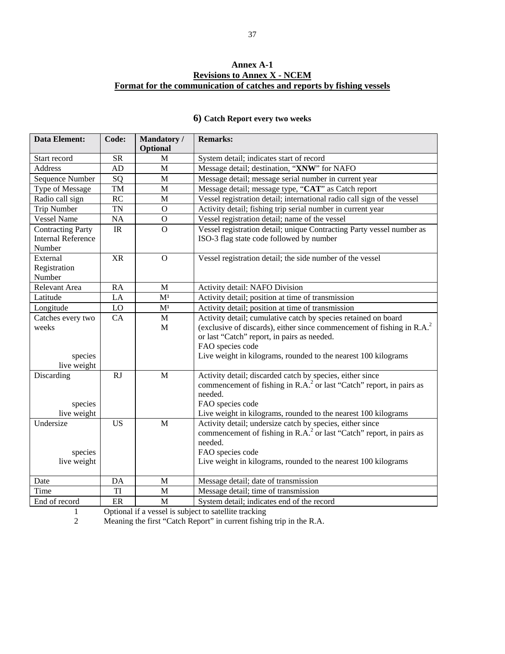### **Annex A-1 Revisions to Annex X - NCEM Format for the communication of catches and reports by fishing vessels**

| <b>Data Element:</b>                                            | Code:     | Mandatory /<br>Optional | <b>Remarks:</b>                                                                                                                                                                                                                                                                  |
|-----------------------------------------------------------------|-----------|-------------------------|----------------------------------------------------------------------------------------------------------------------------------------------------------------------------------------------------------------------------------------------------------------------------------|
| Start record                                                    | <b>SR</b> | M                       | System detail; indicates start of record                                                                                                                                                                                                                                         |
| Address                                                         | <b>AD</b> | M                       | Message detail; destination, "XNW" for NAFO                                                                                                                                                                                                                                      |
| Sequence Number                                                 | SQ        | M                       | Message detail; message serial number in current year                                                                                                                                                                                                                            |
| Type of Message                                                 | TM        | M                       | Message detail; message type, "CAT" as Catch report                                                                                                                                                                                                                              |
| Radio call sign                                                 | RC        | M                       | Vessel registration detail; international radio call sign of the vessel                                                                                                                                                                                                          |
| <b>Trip Number</b>                                              | TN        | $\mathbf{O}$            | Activity detail; fishing trip serial number in current year                                                                                                                                                                                                                      |
| <b>Vessel Name</b>                                              | NA        | $\mathbf{O}$            | Vessel registration detail; name of the vessel                                                                                                                                                                                                                                   |
| <b>Contracting Party</b><br><b>Internal Reference</b><br>Number | IR        | $\overline{O}$          | Vessel registration detail; unique Contracting Party vessel number as<br>ISO-3 flag state code followed by number                                                                                                                                                                |
| External<br>Registration<br>Number                              | <b>XR</b> | $\overline{O}$          | Vessel registration detail; the side number of the vessel                                                                                                                                                                                                                        |
| Relevant Area                                                   | <b>RA</b> | M                       | Activity detail: NAFO Division                                                                                                                                                                                                                                                   |
| Latitude                                                        | LA        | M <sup>1</sup>          | Activity detail; position at time of transmission                                                                                                                                                                                                                                |
| Longitude                                                       | $\rm LO$  | M <sup>1</sup>          | Activity detail; position at time of transmission                                                                                                                                                                                                                                |
| Catches every two<br>weeks<br>species<br>live weight            | CA        | M<br>M                  | Activity detail; cumulative catch by species retained on board<br>(exclusive of discards), either since commencement of fishing in $R.A.^2$<br>or last "Catch" report, in pairs as needed.<br>FAO species code<br>Live weight in kilograms, rounded to the nearest 100 kilograms |
| Discarding<br>species<br>live weight                            | <b>RJ</b> | M                       | Activity detail; discarded catch by species, either since<br>commencement of fishing in R.A. <sup>2</sup> or last "Catch" report, in pairs as<br>needed.<br>FAO species code<br>Live weight in kilograms, rounded to the nearest 100 kilograms                                   |
| Undersize<br>species<br>live weight                             | <b>US</b> | M                       | Activity detail; undersize catch by species, either since<br>commencement of fishing in R.A. <sup>2</sup> or last "Catch" report, in pairs as<br>needed.<br>FAO species code<br>Live weight in kilograms, rounded to the nearest 100 kilograms                                   |
| Date                                                            | DA        | M                       | Message detail; date of transmission                                                                                                                                                                                                                                             |
| Time                                                            | TI        | M                       | Message detail; time of transmission                                                                                                                                                                                                                                             |
| End of record                                                   | ER        | M                       | System detail; indicates end of the record                                                                                                                                                                                                                                       |

### **6) Catch Report every two weeks**

1 Optional if a vessel is subject to satellite tracking<br>
2 Meaning the first "Catch Report" in current fishin

Meaning the first "Catch Report" in current fishing trip in the R.A.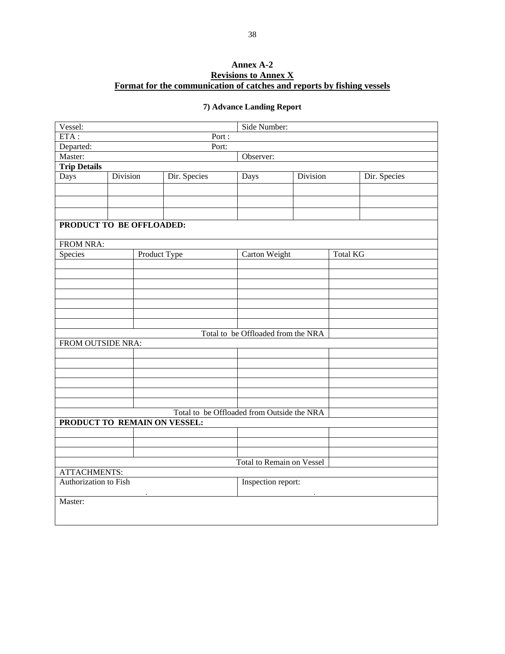### **Annex A-2 Revisions to Annex X Format for the communication of catches and reports by fishing vessels**

| Vessel:                  |          |                                                                            |                                    | Side Number:                     |                 |  |  |  |  |
|--------------------------|----------|----------------------------------------------------------------------------|------------------------------------|----------------------------------|-----------------|--|--|--|--|
| ETA:                     |          | Port:                                                                      |                                    |                                  |                 |  |  |  |  |
| Departed:                |          | Port:                                                                      |                                    |                                  |                 |  |  |  |  |
| Master:                  |          |                                                                            | Observer:                          |                                  |                 |  |  |  |  |
| <b>Trip Details</b>      |          |                                                                            |                                    |                                  |                 |  |  |  |  |
| Days                     | Division | Dir. Species                                                               | Days                               | Division                         | Dir. Species    |  |  |  |  |
|                          |          |                                                                            |                                    |                                  |                 |  |  |  |  |
|                          |          |                                                                            |                                    |                                  |                 |  |  |  |  |
|                          |          |                                                                            |                                    |                                  |                 |  |  |  |  |
|                          |          |                                                                            |                                    |                                  |                 |  |  |  |  |
| PRODUCT TO BE OFFLOADED: |          |                                                                            |                                    |                                  |                 |  |  |  |  |
| FROM NRA:                |          |                                                                            |                                    |                                  |                 |  |  |  |  |
| Species                  |          | Product Type                                                               | Carton Weight                      |                                  | <b>Total KG</b> |  |  |  |  |
|                          |          |                                                                            |                                    |                                  |                 |  |  |  |  |
|                          |          |                                                                            |                                    |                                  |                 |  |  |  |  |
|                          |          |                                                                            |                                    |                                  |                 |  |  |  |  |
|                          |          |                                                                            |                                    |                                  |                 |  |  |  |  |
|                          |          |                                                                            |                                    |                                  |                 |  |  |  |  |
|                          |          |                                                                            |                                    |                                  |                 |  |  |  |  |
|                          |          |                                                                            |                                    |                                  |                 |  |  |  |  |
|                          |          |                                                                            | Total to be Offloaded from the NRA |                                  |                 |  |  |  |  |
| FROM OUTSIDE NRA:        |          |                                                                            |                                    |                                  |                 |  |  |  |  |
|                          |          |                                                                            |                                    |                                  |                 |  |  |  |  |
|                          |          |                                                                            |                                    |                                  |                 |  |  |  |  |
|                          |          |                                                                            |                                    |                                  |                 |  |  |  |  |
|                          |          |                                                                            |                                    |                                  |                 |  |  |  |  |
|                          |          |                                                                            |                                    |                                  |                 |  |  |  |  |
|                          |          |                                                                            |                                    |                                  |                 |  |  |  |  |
|                          |          | Total to be Offloaded from Outside the NRA<br>PRODUCT TO REMAIN ON VESSEL: |                                    |                                  |                 |  |  |  |  |
|                          |          |                                                                            |                                    |                                  |                 |  |  |  |  |
|                          |          |                                                                            |                                    |                                  |                 |  |  |  |  |
|                          |          |                                                                            |                                    |                                  |                 |  |  |  |  |
|                          |          |                                                                            |                                    | <b>Total to Remain on Vessel</b> |                 |  |  |  |  |
| <b>ATTACHMENTS:</b>      |          |                                                                            |                                    |                                  |                 |  |  |  |  |
| Authorization to Fish    |          |                                                                            | Inspection report:                 |                                  |                 |  |  |  |  |
|                          |          |                                                                            |                                    |                                  |                 |  |  |  |  |
| Master:                  |          |                                                                            |                                    |                                  |                 |  |  |  |  |
|                          |          |                                                                            |                                    |                                  |                 |  |  |  |  |
|                          |          |                                                                            |                                    |                                  |                 |  |  |  |  |

# **7) Advance Landing Report**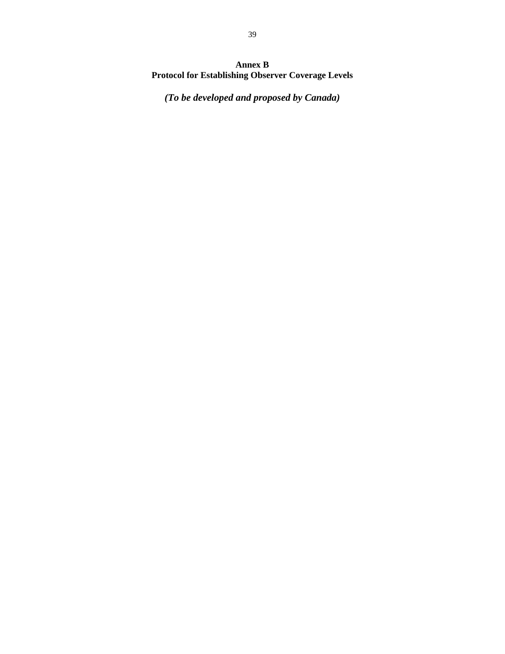### **Annex B Protocol for Establishing Observer Coverage Levels**

*(To be developed and proposed by Canada)*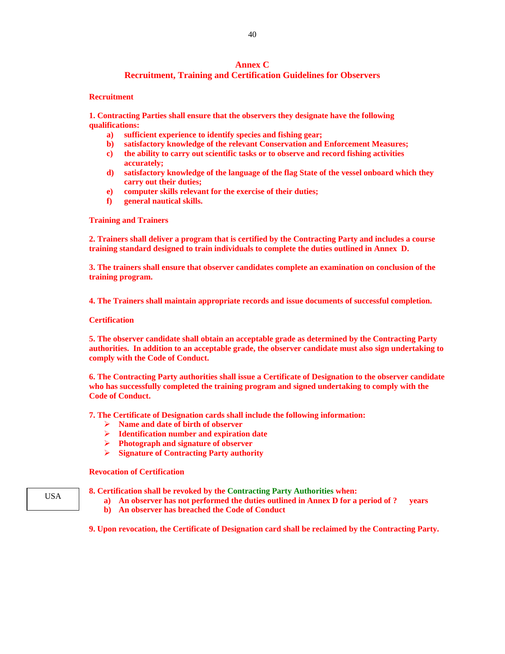#### **Annex C**

### **Recruitment, Training and Certification Guidelines for Observers**

#### **Recruitment**

**1. Contracting Parties shall ensure that the observers they designate have the following qualifications:** 

- **a) sufficient experience to identify species and fishing gear;**
- **b) satisfactory knowledge of the relevant Conservation and Enforcement Measures;**
- **c) the ability to carry out scientific tasks or to observe and record fishing activities accurately;**
- **d) satisfactory knowledge of the language of the flag State of the vessel onboard which they carry out their duties;**
- **e) computer skills relevant for the exercise of their duties;**
- **f) general nautical skills.**

#### **Training and Trainers**

**2. Trainers shall deliver a program that is certified by the Contracting Party and includes a course training standard designed to train individuals to complete the duties outlined in Annex D.** 

**3. The trainers shall ensure that observer candidates complete an examination on conclusion of the training program.** 

**4. The Trainers shall maintain appropriate records and issue documents of successful completion.** 

#### **Certification**

**5. The observer candidate shall obtain an acceptable grade as determined by the Contracting Party authorities. In addition to an acceptable grade, the observer candidate must also sign undertaking to comply with the Code of Conduct.** 

**6. The Contracting Party authorities shall issue a Certificate of Designation to the observer candidate who has successfully completed the training program and signed undertaking to comply with the Code of Conduct.** 

**7. The Certificate of Designation cards shall include the following information:** 

- ! **Name and date of birth of observer**
- ! **Identification number and expiration date**
- ! **Photograph and signature of observer**
- ! **Signature of Contracting Party authority**

#### **Revocation of Certification**

**8. Certification shall be revoked by the Contracting Party Authorities when:** 

- **a) An observer has not performed the duties outlined in Annex D for a period of ? years** 
	- **b) An observer has breached the Code of Conduct**

**9. Upon revocation, the Certificate of Designation card shall be reclaimed by the Contracting Party.** 

USA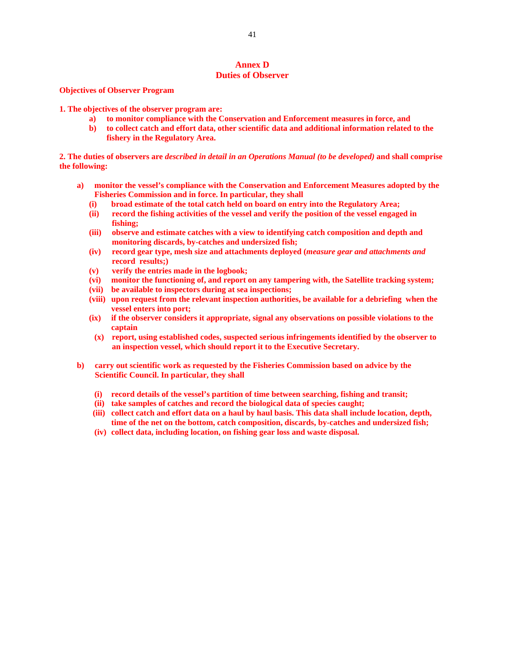### **Annex D Duties of Observer**

**Objectives of Observer Program** 

- **1. The objectives of the observer program are:** 
	- **a) to monitor compliance with the Conservation and Enforcement measures in force, and**
	- **b) to collect catch and effort data, other scientific data and additional information related to the fishery in the Regulatory Area.**

**2. The duties of observers are** *described in detail in an Operations Manual (to be developed)* **and shall comprise the following:** 

- **a) monitor the vessel's compliance with the Conservation and Enforcement Measures adopted by the Fisheries Commission and in force. In particular, they shall** 
	- **(i) broad estimate of the total catch held on board on entry into the Regulatory Area;**
	- **(ii) record the fishing activities of the vessel and verify the position of the vessel engaged in fishing;**
	- **(iii) observe and estimate catches with a view to identifying catch composition and depth and monitoring discards, by-catches and undersized fish;**
	- **(iv) record gear type, mesh size and attachments deployed (***measure gear and attachments and*  **record results;)**
	- **(v) verify the entries made in the logbook;**
	- **(vi) monitor the functioning of, and report on any tampering with, the Satellite tracking system;**
	- **(vii) be available to inspectors during at sea inspections;**
	- **(viii) upon request from the relevant inspection authorities, be available for a debriefing when the vessel enters into port;**
	- **(ix) if the observer considers it appropriate, signal any observations on possible violations to the captain** 
		- **(x) report, using established codes, suspected serious infringements identified by the observer to an inspection vessel, which should report it to the Executive Secretary.**
- **b) carry out scientific work as requested by the Fisheries Commission based on advice by the Scientific Council. In particular, they shall** 
	- **(i) record details of the vessel's partition of time between searching, fishing and transit;**
	- **(ii) take samples of catches and record the biological data of species caught;**
	- **(iii) collect catch and effort data on a haul by haul basis. This data shall include location, depth, time of the net on the bottom, catch composition, discards, by-catches and undersized fish;**
	- **(iv) collect data, including location, on fishing gear loss and waste disposal.**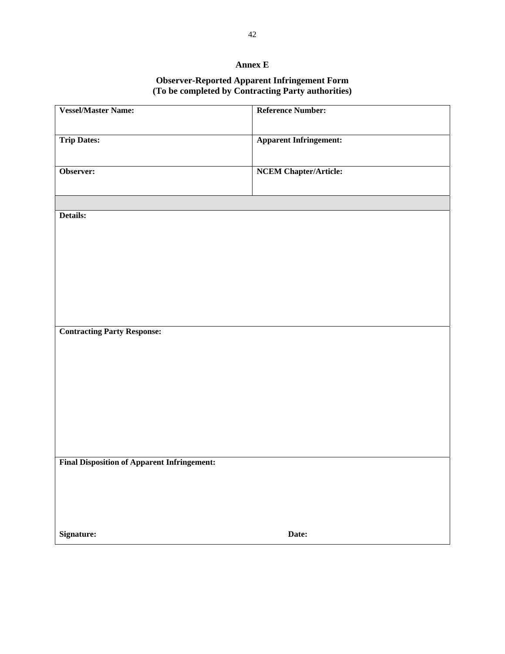# **Annex E**

### **Observer-Reported Apparent Infringement Form (To be completed by Contracting Party authorities)**

| <b>Vessel/Master Name:</b>                         | <b>Reference Number:</b>      |
|----------------------------------------------------|-------------------------------|
| <b>Trip Dates:</b>                                 | <b>Apparent Infringement:</b> |
| Observer:                                          | <b>NCEM Chapter/Article:</b>  |
| Details:                                           |                               |
|                                                    |                               |
|                                                    |                               |
| <b>Contracting Party Response:</b>                 |                               |
|                                                    |                               |
|                                                    |                               |
|                                                    |                               |
| <b>Final Disposition of Apparent Infringement:</b> |                               |
|                                                    |                               |
| Signature:                                         | Date:                         |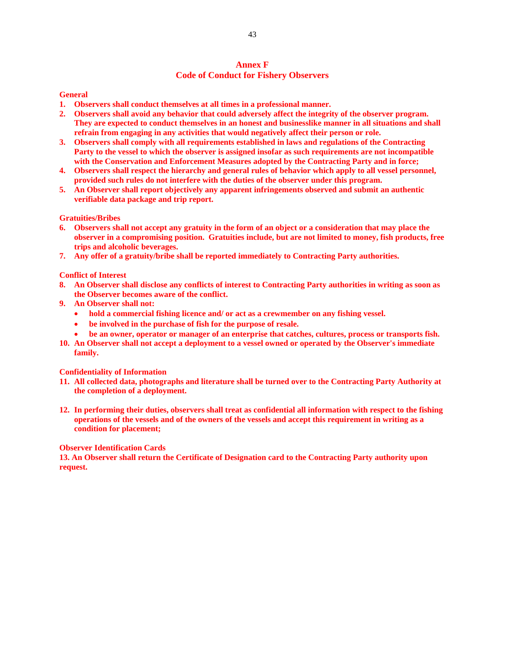### **Annex F**

### **Code of Conduct for Fishery Observers**

### **General**

- **1. Observers shall conduct themselves at all times in a professional manner.**
- **2. Observers shall avoid any behavior that could adversely affect the integrity of the observer program. They are expected to conduct themselves in an honest and businesslike manner in all situations and shall refrain from engaging in any activities that would negatively affect their person or role.**
- **3. Observers shall comply with all requirements established in laws and regulations of the Contracting Party to the vessel to which the observer is assigned insofar as such requirements are not incompatible with the Conservation and Enforcement Measures adopted by the Contracting Party and in force;**
- **4. Observers shall respect the hierarchy and general rules of behavior which apply to all vessel personnel, provided such rules do not interfere with the duties of the observer under this program.**
- **5. An Observer shall report objectively any apparent infringements observed and submit an authentic verifiable data package and trip report.**

### **Gratuities/Bribes**

- **6. Observers shall not accept any gratuity in the form of an object or a consideration that may place the observer in a compromising position. Gratuities include, but are not limited to money, fish products, free trips and alcoholic beverages.**
- **7. Any offer of a gratuity/bribe shall be reported immediately to Contracting Party authorities.**

### **Conflict of Interest**

- **8. An Observer shall disclose any conflicts of interest to Contracting Party authorities in writing as soon as the Observer becomes aware of the conflict.**
- **9. An Observer shall not:** 
	- **hold a commercial fishing licence and/ or act as a crewmember on any fishing vessel.**
	- **be involved in the purchase of fish for the purpose of resale.**
	- **be an owner, operator or manager of an enterprise that catches, cultures, process or transports fish.**
- **10. An Observer shall not accept a deployment to a vessel owned or operated by the Observer's immediate family.**

### **Confidentiality of Information**

- **11. All collected data, photographs and literature shall be turned over to the Contracting Party Authority at the completion of a deployment.**
- **12. In performing their duties, observers shall treat as confidential all information with respect to the fishing operations of the vessels and of the owners of the vessels and accept this requirement in writing as a condition for placement;**

### **Observer Identification Cards**

**13. An Observer shall return the Certificate of Designation card to the Contracting Party authority upon request.**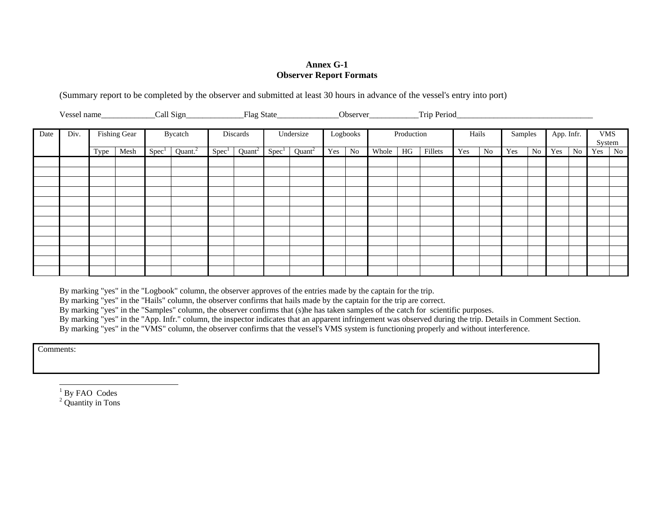### **Annex G-1 Observer Report Formats**

(Summary report to be completed by the observer and submitted at least 30 hours in advance of the vessel's entry into port)

|      |      |      | Vessel name______________Call Sign__ |                   |                     |                   |                    |                   | Flag State         |     |           | $-Observer$ |            | _Trip Period_ |       |    |         |    |            |    |               |  |
|------|------|------|--------------------------------------|-------------------|---------------------|-------------------|--------------------|-------------------|--------------------|-----|-----------|-------------|------------|---------------|-------|----|---------|----|------------|----|---------------|--|
| Date | Div. |      | <b>Fishing Gear</b>                  |                   | Bycatch             |                   | Discards           |                   | Undersize          |     | Logbooks  |             | Production |               | Hails |    | Samples |    | App. Infr. |    | VMS<br>System |  |
|      |      | Type | Mesh                                 | Spec <sup>1</sup> | Quant. <sup>2</sup> | Spec <sup>1</sup> | Quant <sup>2</sup> | Spec <sup>1</sup> | Quant <sup>2</sup> | Yes | <b>No</b> | Whole       | HG         | Fillets       | Yes   | No | Yes     | No | Yes        | No | Yes No        |  |
|      |      |      |                                      |                   |                     |                   |                    |                   |                    |     |           |             |            |               |       |    |         |    |            |    |               |  |
|      |      |      |                                      |                   |                     |                   |                    |                   |                    |     |           |             |            |               |       |    |         |    |            |    |               |  |
|      |      |      |                                      |                   |                     |                   |                    |                   |                    |     |           |             |            |               |       |    |         |    |            |    |               |  |
|      |      |      |                                      |                   |                     |                   |                    |                   |                    |     |           |             |            |               |       |    |         |    |            |    |               |  |
|      |      |      |                                      |                   |                     |                   |                    |                   |                    |     |           |             |            |               |       |    |         |    |            |    |               |  |
|      |      |      |                                      |                   |                     |                   |                    |                   |                    |     |           |             |            |               |       |    |         |    |            |    |               |  |
|      |      |      |                                      |                   |                     |                   |                    |                   |                    |     |           |             |            |               |       |    |         |    |            |    |               |  |
|      |      |      |                                      |                   |                     |                   |                    |                   |                    |     |           |             |            |               |       |    |         |    |            |    |               |  |
|      |      |      |                                      |                   |                     |                   |                    |                   |                    |     |           |             |            |               |       |    |         |    |            |    |               |  |
|      |      |      |                                      |                   |                     |                   |                    |                   |                    |     |           |             |            |               |       |    |         |    |            |    |               |  |
|      |      |      |                                      |                   |                     |                   |                    |                   |                    |     |           |             |            |               |       |    |         |    |            |    |               |  |
|      |      |      |                                      |                   |                     |                   |                    |                   |                    |     |           |             |            |               |       |    |         |    |            |    |               |  |

By marking "yes" in the "Logbook" column, the observer approves of the entries made by the captain for the trip.

By marking "yes" in the "Hails" column, the observer confirms that hails made by the captain for the trip are correct.

By marking "yes" in the "Samples" column, the observer confirms that (s)he has taken samples of the catch for scientific purposes.

By marking "yes" in the "App. Infr." column, the inspector indicates that an apparent infringement was observed during the trip. Details in Comment Section.

By marking "yes" in the "VMS" column, the observer confirms that the vessel's VMS system is functioning properly and without interference.

Comments:

<sup>1</sup> By FAO Codes

2 Quantity in Tons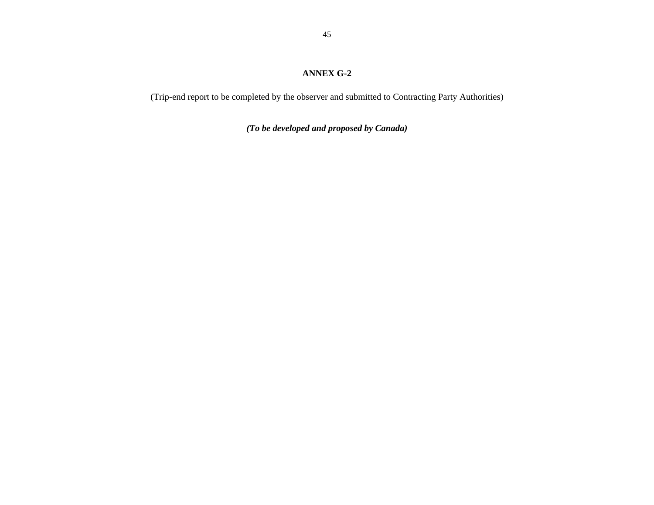#### **ANNEX G-2**

(Trip-end report to be completed by the observer and submitted to Contracting Party Authorities)

*(To be developed and proposed by Canada)*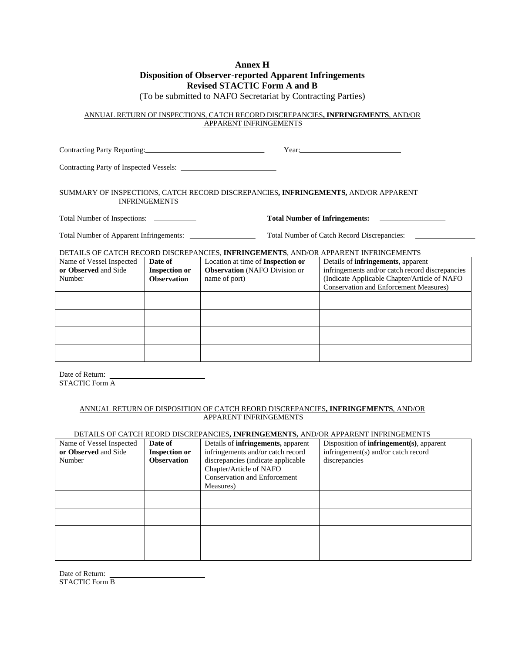### **Annex H Disposition of Observer-reported Apparent Infringements Revised STACTIC Form A and B**

(To be submitted to NAFO Secretariat by Contracting Parties)

#### ANNUAL RETURN OF INSPECTIONS, CATCH RECORD DISCREPANCIES**, INFRINGEMENTS**, AND/OR APPARENT INFRINGEMENTS

Contracting Party Reporting: Vear: Year: Year: Year: Contracting Party of Inspected Vessels: SUMMARY OF INSPECTIONS, CATCH RECORD DISCREPANCIES**, INFRINGEMENTS,** AND/OR APPARENT INFRINGEMENTS Total Number of Inspections: **Total Number of Infringements:** Total Number of Apparent Infringements: Total Number of Catch Record Discrepancies: DETAILS OF CATCH RECORD DISCREPANCIES, **INFRINGEMENTS**, AND/OR APPARENT INFRINGEMENTS Name of Vessel Inspected **or Observed** and Side Number **Date of Inspection or Observation**  Location at time of **Inspection or Observation** (NAFO Division or name of port) Details of **infringements**, apparent infringements and/or catch record discrepancies (Indicate Applicable Chapter/Article of NAFO Conservation and Enforcement Measures)

Date of Return: STACTIC Form A

### ANNUAL RETURN OF DISPOSITION OF CATCH REORD DISCREPANCIES**, INFRINGEMENTS**, AND/OR APPARENT INFRINGEMENTS

#### DETAILS OF CATCH REORD DISCREPANCIES**, INFRINGEMENTS,** AND/OR APPARENT INFRINGEMENTS

| Name of Vessel Inspected<br>or Observed and Side<br>Number | Date of<br><b>Inspection or</b><br><b>Observation</b> | Details of <b>infringements</b> , apparent<br>infringements and/or catch record<br>discrepancies (indicate applicable<br>Chapter/Article of NAFO<br><b>Conservation and Enforcement</b><br>Measures) | Disposition of $infringement(s)$ , apparent<br>infringement(s) and/or catch record<br>discrepancies |
|------------------------------------------------------------|-------------------------------------------------------|------------------------------------------------------------------------------------------------------------------------------------------------------------------------------------------------------|-----------------------------------------------------------------------------------------------------|
|                                                            |                                                       |                                                                                                                                                                                                      |                                                                                                     |
|                                                            |                                                       |                                                                                                                                                                                                      |                                                                                                     |
|                                                            |                                                       |                                                                                                                                                                                                      |                                                                                                     |
|                                                            |                                                       |                                                                                                                                                                                                      |                                                                                                     |

Date of Return: STACTIC Form B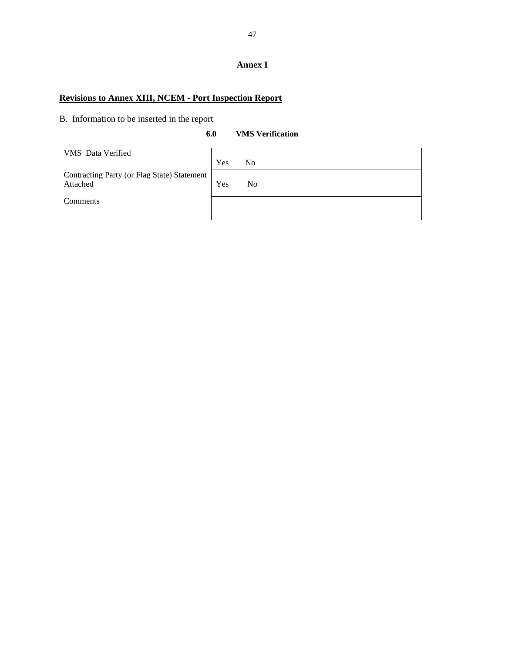# **Annex I**

# **Revisions to Annex XIII, NCEM - Port Inspection Report**

B. Information to be inserted in the report

| 0.0                                                     |     | VMS Verification |
|---------------------------------------------------------|-----|------------------|
| VMS Data Verified                                       | Yes | N <sub>0</sub>   |
| Contracting Party (or Flag State) Statement<br>Attached | Yes | N <sub>0</sub>   |
| Comments                                                |     |                  |
|                                                         |     |                  |

# **6.0 VMS Verification**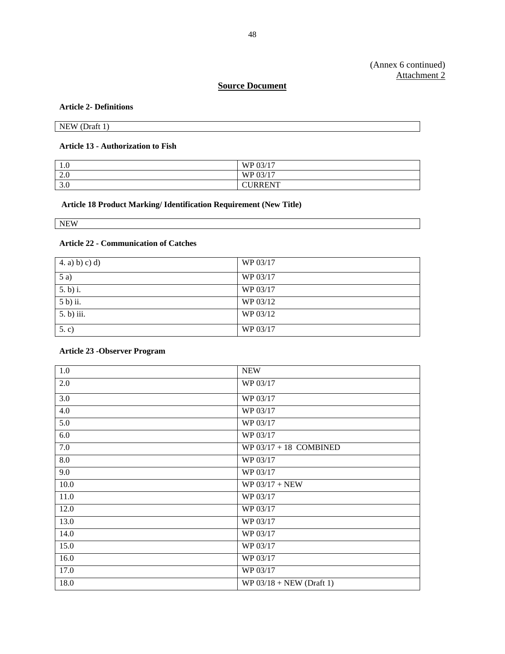(Annex 6 continued) Attachment 2

### **Source Document**

#### **Article 2- Definitions**

| ---<br>. .<br>N.<br>W<br>Draft ′<br>л.<br>$\cdots$ |  |
|----------------------------------------------------|--|

### **Article 13 - Authorization to Fish**

| $\sqrt{ }$<br>1.0 | WP 03/17       |
|-------------------|----------------|
| 2.0               | WP 03/17       |
| $\Omega$<br>3.0   | <b>CURRENT</b> |

### **Article 18 Product Marking/ Identification Requirement (New Title)**

NEW

#### **Article 22 - Communication of Catches**

| 4. a) b) c) d) | WP 03/17 |
|----------------|----------|
| 5a)            | WP 03/17 |
| 5. b) i.       | WP 03/17 |
| 5 b) ii.       | WP 03/12 |
| $5. b)$ iii.   | WP 03/12 |
| 5. c)          | WP 03/17 |

#### **Article 23 -Observer Program**

| 1.0     | <b>NEW</b>                 |
|---------|----------------------------|
| 2.0     | WP 03/17                   |
| 3.0     | WP 03/17                   |
| 4.0     | WP 03/17                   |
| 5.0     | WP 03/17                   |
| $6.0\,$ | WP 03/17                   |
| 7.0     | WP $03/17 + 18$ COMBINED   |
| 8.0     | WP 03/17                   |
| 9.0     | WP 03/17                   |
| 10.0    | $WP$ 03/17 + NEW           |
| 11.0    | WP 03/17                   |
| 12.0    | WP 03/17                   |
| 13.0    | WP 03/17                   |
| 14.0    | WP 03/17                   |
| 15.0    | WP 03/17                   |
| 16.0    | WP 03/17                   |
| 17.0    | WP 03/17                   |
| 18.0    | $WP 03/18 + NEW (Draff 1)$ |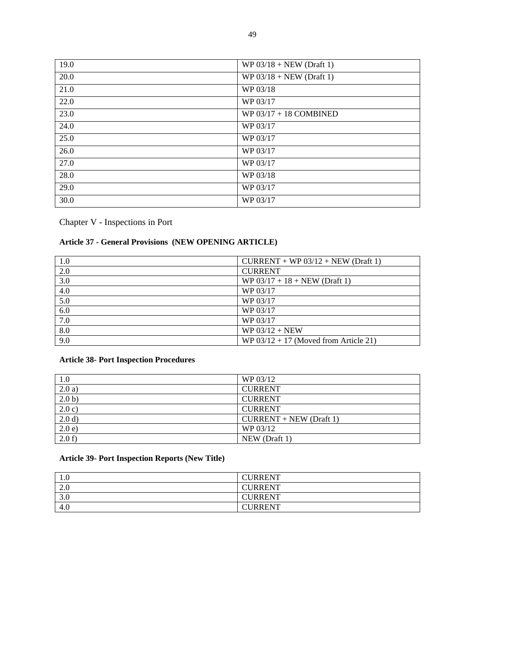| 19.0 | WP $03/18 + NEW (Draff 1)$ |
|------|----------------------------|
| 20.0 | $WP 03/18 + NEW (Draff 1)$ |
| 21.0 | WP 03/18                   |
| 22.0 | WP 03/17                   |
| 23.0 | WP $03/17 + 18$ COMBINED   |
| 24.0 | WP 03/17                   |
| 25.0 | WP 03/17                   |
| 26.0 | WP 03/17                   |
| 27.0 | WP 03/17                   |
| 28.0 | WP 03/18                   |
| 29.0 | WP 03/17                   |
| 30.0 | WP 03/17                   |

Chapter V - Inspections in Port

# **Article 37 - General Provisions (NEW OPENING ARTICLE)**

| 1.0 | $CURRENT + WP 03/12 + NEW (Draff 1)$    |
|-----|-----------------------------------------|
| 2.0 | <b>CURRENT</b>                          |
| 3.0 | $WP 03/17 + 18 + NEW (Draff 1)$         |
| 4.0 | WP 03/17                                |
| 5.0 | WP 03/17                                |
| 6.0 | WP 03/17                                |
| 7.0 | WP 03/17                                |
| 8.0 | $WP$ 03/12 + NEW                        |
| 9.0 | WP $03/12 + 17$ (Moved from Article 21) |

### **Article 38- Port Inspection Procedures**

| 1.0    | WP 03/12                  |
|--------|---------------------------|
| 2.0a   | <b>CURRENT</b>            |
| 2.0 b) | <b>CURRENT</b>            |
| 2.0 c) | <b>CURRENT</b>            |
| 2.0 d  | $CURRENT + NEW (Draff 1)$ |
| 2.0e)  | WP 03/12                  |
| 2.0 f  | NEW (Draft 1)             |

# **Article 39- Port Inspection Reports (New Title)**

| 1.U                  | <b>CURRENT</b> |
|----------------------|----------------|
| $\sim$ $\sim$<br>2.0 | <b>CURRENT</b> |
| J.U                  | <b>CURRENT</b> |
| -4.U                 | JRRENT         |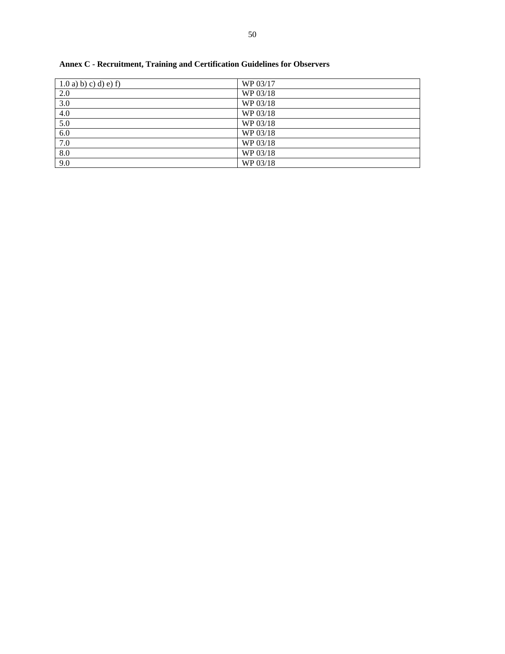| (1.0 a) b) c) d) e) f) | WP 03/17 |
|------------------------|----------|
| 2.0                    | WP 03/18 |
| 3.0                    | WP 03/18 |
| 4.0                    | WP 03/18 |
| 5.0                    | WP 03/18 |
| 6.0                    | WP 03/18 |
| 7.0                    | WP 03/18 |
| 8.0                    | WP 03/18 |
| 9.0                    | WP 03/18 |

**Annex C - Recruitment, Training and Certification Guidelines for Observers**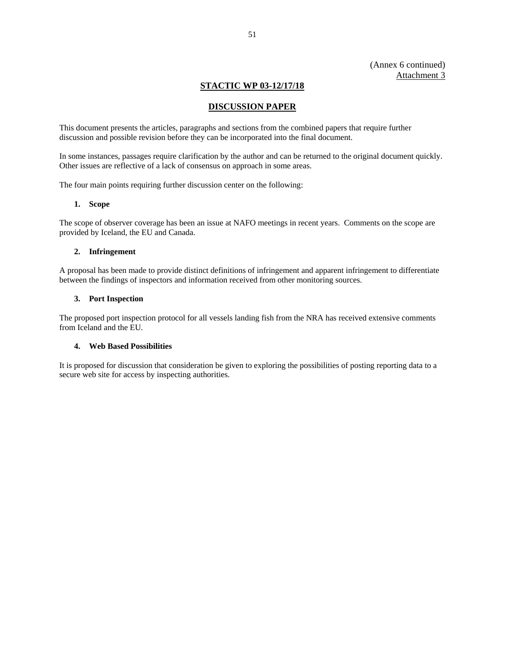### (Annex 6 continued) Attachment 3

### **STACTIC WP 03-12/17/18**

#### **DISCUSSION PAPER**

This document presents the articles, paragraphs and sections from the combined papers that require further discussion and possible revision before they can be incorporated into the final document.

In some instances, passages require clarification by the author and can be returned to the original document quickly. Other issues are reflective of a lack of consensus on approach in some areas.

The four main points requiring further discussion center on the following:

#### **1. Scope**

The scope of observer coverage has been an issue at NAFO meetings in recent years. Comments on the scope are provided by Iceland, the EU and Canada.

#### **2. Infringement**

A proposal has been made to provide distinct definitions of infringement and apparent infringement to differentiate between the findings of inspectors and information received from other monitoring sources.

#### **3. Port Inspection**

The proposed port inspection protocol for all vessels landing fish from the NRA has received extensive comments from Iceland and the EU.

#### **4. Web Based Possibilities**

It is proposed for discussion that consideration be given to exploring the possibilities of posting reporting data to a secure web site for access by inspecting authorities.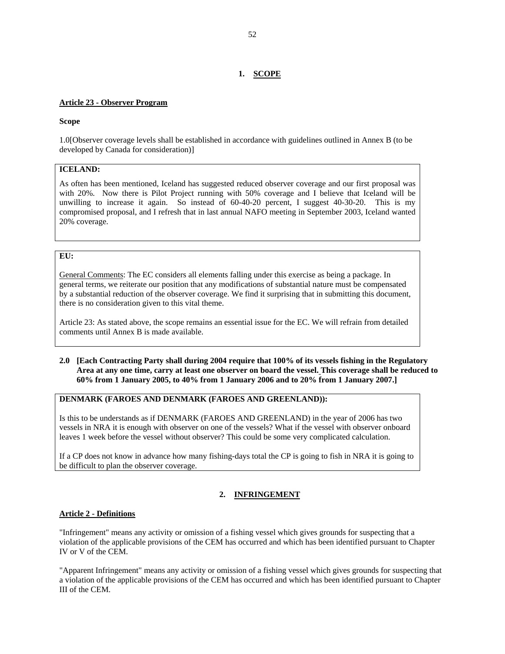### **1. SCOPE**

#### **Article 23 - Observer Program**

#### **Scope**

1.0[Observer coverage levels shall be established in accordance with guidelines outlined in Annex B (to be developed by Canada for consideration)]

### **ICELAND:**

As often has been mentioned, Iceland has suggested reduced observer coverage and our first proposal was with 20%. Now there is Pilot Project running with 50% coverage and I believe that Iceland will be unwilling to increase it again. So instead of 60-40-20 percent, I suggest 40-30-20. This is my compromised proposal, and I refresh that in last annual NAFO meeting in September 2003, Iceland wanted 20% coverage.

#### **EU:**

General Comments: The EC considers all elements falling under this exercise as being a package. In general terms, we reiterate our position that any modifications of substantial nature must be compensated by a substantial reduction of the observer coverage. We find it surprising that in submitting this document, there is no consideration given to this vital theme.

Article 23: As stated above, the scope remains an essential issue for the EC. We will refrain from detailed comments until Annex B is made available.

**2.0 [Each Contracting Party shall during 2004 require that 100% of its vessels fishing in the Regulatory Area at any one time, carry at least one observer on board the vessel. This coverage shall be reduced to 60% from 1 January 2005, to 40% from 1 January 2006 and to 20% from 1 January 2007.]** 

#### **DENMARK (FAROES AND DENMARK (FAROES AND GREENLAND)):**

Is this to be understands as if DENMARK (FAROES AND GREENLAND) in the year of 2006 has two vessels in NRA it is enough with observer on one of the vessels? What if the vessel with observer onboard leaves 1 week before the vessel without observer? This could be some very complicated calculation.

If a CP does not know in advance how many fishing-days total the CP is going to fish in NRA it is going to be difficult to plan the observer coverage.

### **2. INFRINGEMENT**

### **Article 2 - Definitions**

"Infringement" means any activity or omission of a fishing vessel which gives grounds for suspecting that a violation of the applicable provisions of the CEM has occurred and which has been identified pursuant to Chapter IV or V of the CEM.

"Apparent Infringement" means any activity or omission of a fishing vessel which gives grounds for suspecting that a violation of the applicable provisions of the CEM has occurred and which has been identified pursuant to Chapter III of the CEM.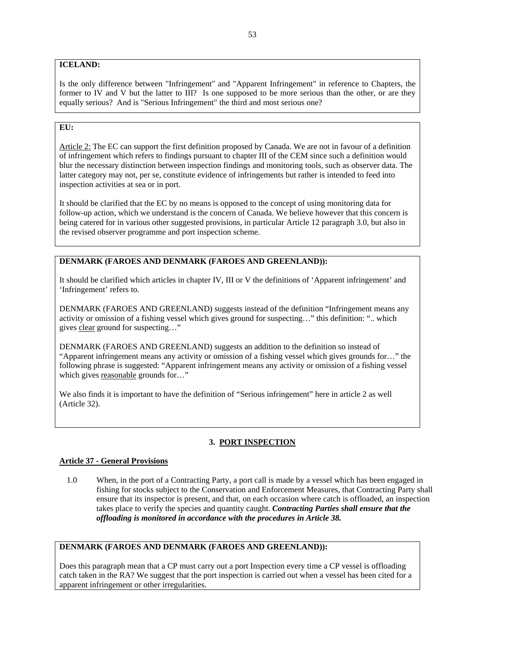Is the only difference between "Infringement" and "Apparent Infringement" in reference to Chapters, the former to IV and V but the latter to III? Is one supposed to be more serious than the other, or are they equally serious? And is "Serious Infringement" the third and most serious one?

### **EU:**

Article 2: The EC can support the first definition proposed by Canada. We are not in favour of a definition of infringement which refers to findings pursuant to chapter III of the CEM since such a definition would blur the necessary distinction between inspection findings and monitoring tools, such as observer data. The latter category may not, per se, constitute evidence of infringements but rather is intended to feed into inspection activities at sea or in port.

It should be clarified that the EC by no means is opposed to the concept of using monitoring data for follow-up action, which we understand is the concern of Canada. We believe however that this concern is being catered for in various other suggested provisions, in particular Article 12 paragraph 3.0, but also in the revised observer programme and port inspection scheme.

### **DENMARK (FAROES AND DENMARK (FAROES AND GREENLAND)):**

It should be clarified which articles in chapter IV, III or V the definitions of 'Apparent infringement' and 'Infringement' refers to.

DENMARK (FAROES AND GREENLAND) suggests instead of the definition "Infringement means any activity or omission of a fishing vessel which gives ground for suspecting…" this definition: ".. which gives clear ground for suspecting…"

DENMARK (FAROES AND GREENLAND) suggests an addition to the definition so instead of "Apparent infringement means any activity or omission of a fishing vessel which gives grounds for…" the following phrase is suggested: "Apparent infringement means any activity or omission of a fishing vessel which gives reasonable grounds for..."

We also finds it is important to have the definition of "Serious infringement" here in article 2 as well (Article 32).

### **3. PORT INSPECTION**

### **Article 37 - General Provisions**

1.0 When, in the port of a Contracting Party, a port call is made by a vessel which has been engaged in fishing for stocks subject to the Conservation and Enforcement Measures, that Contracting Party shall ensure that its inspector is present, and that, on each occasion where catch is offloaded, an inspection takes place to verify the species and quantity caught. *Contracting Parties shall ensure that the offloading is monitored in accordance with the procedures in Article 38.* 

### **DENMARK (FAROES AND DENMARK (FAROES AND GREENLAND)):**

Does this paragraph mean that a CP must carry out a port Inspection every time a CP vessel is offloading catch taken in the RA? We suggest that the port inspection is carried out when a vessel has been cited for a apparent infringement or other irregularities.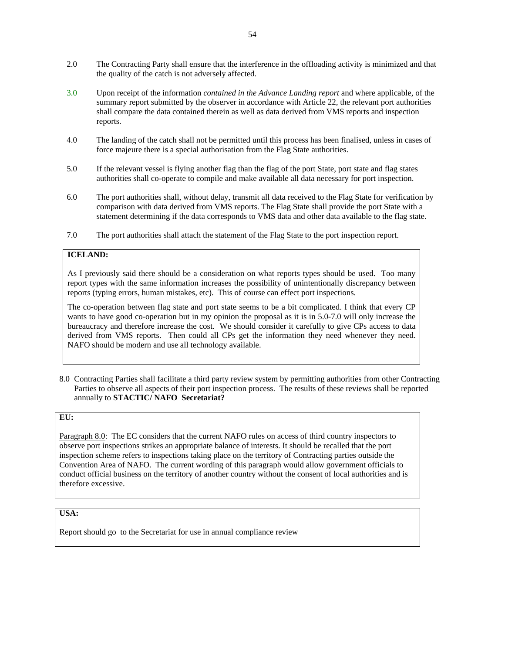- 2.0 The Contracting Party shall ensure that the interference in the offloading activity is minimized and that the quality of the catch is not adversely affected.
- 3.0 Upon receipt of the information *contained in the Advance Landing report* and where applicable, of the summary report submitted by the observer in accordance with Article 22, the relevant port authorities shall compare the data contained therein as well as data derived from VMS reports and inspection reports.
- 4.0 The landing of the catch shall not be permitted until this process has been finalised, unless in cases of force majeure there is a special authorisation from the Flag State authorities.
- 5.0 If the relevant vessel is flying another flag than the flag of the port State, port state and flag states authorities shall co-operate to compile and make available all data necessary for port inspection.
- 6.0 The port authorities shall, without delay, transmit all data received to the Flag State for verification by comparison with data derived from VMS reports. The Flag State shall provide the port State with a statement determining if the data corresponds to VMS data and other data available to the flag state.
- 7.0 The port authorities shall attach the statement of the Flag State to the port inspection report.

As I previously said there should be a consideration on what reports types should be used. Too many report types with the same information increases the possibility of unintentionally discrepancy between reports (typing errors, human mistakes, etc). This of course can effect port inspections.

The co-operation between flag state and port state seems to be a bit complicated. I think that every CP wants to have good co-operation but in my opinion the proposal as it is in 5.0-7.0 will only increase the bureaucracy and therefore increase the cost. We should consider it carefully to give CPs access to data derived from VMS reports. Then could all CPs get the information they need whenever they need. NAFO should be modern and use all technology available.

8.0 Contracting Parties shall facilitate a third party review system by permitting authorities from other Contracting Parties to observe all aspects of their port inspection process. The results of these reviews shall be reported annually to **STACTIC/ NAFO Secretariat?**

### **EU:**

Paragraph 8.0: The EC considers that the current NAFO rules on access of third country inspectors to observe port inspections strikes an appropriate balance of interests. It should be recalled that the port inspection scheme refers to inspections taking place on the territory of Contracting parties outside the Convention Area of NAFO. The current wording of this paragraph would allow government officials to conduct official business on the territory of another country without the consent of local authorities and is therefore excessive.

### **USA:**

Report should go to the Secretariat for use in annual compliance review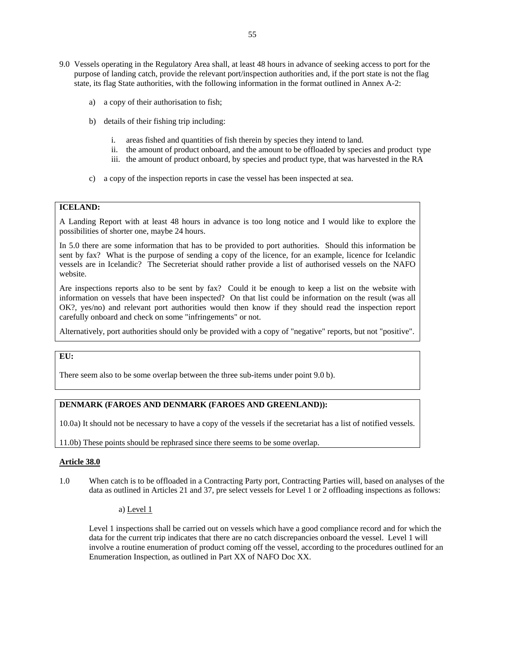- a) a copy of their authorisation to fish;
- b) details of their fishing trip including:
	- i. areas fished and quantities of fish therein by species they intend to land.
	- ii. the amount of product onboard, and the amount to be offloaded by species and product type
	- iii. the amount of product onboard, by species and product type, that was harvested in the RA
- c) a copy of the inspection reports in case the vessel has been inspected at sea.

A Landing Report with at least 48 hours in advance is too long notice and I would like to explore the possibilities of shorter one, maybe 24 hours.

In 5.0 there are some information that has to be provided to port authorities. Should this information be sent by fax? What is the purpose of sending a copy of the licence, for an example, licence for Icelandic vessels are in Icelandic? The Secreteriat should rather provide a list of authorised vessels on the NAFO website.

Are inspections reports also to be sent by fax? Could it be enough to keep a list on the website with information on vessels that have been inspected? On that list could be information on the result (was all OK?, yes/no) and relevant port authorities would then know if they should read the inspection report carefully onboard and check on some "infringements" or not.

Alternatively, port authorities should only be provided with a copy of "negative" reports, but not "positive".

**EU:** 

There seem also to be some overlap between the three sub-items under point 9.0 b).

### **DENMARK (FAROES AND DENMARK (FAROES AND GREENLAND)):**

10.0a) It should not be necessary to have a copy of the vessels if the secretariat has a list of notified vessels.

11.0b) These points should be rephrased since there seems to be some overlap.

#### **Article 38.0**

1.0 When catch is to be offloaded in a Contracting Party port, Contracting Parties will, based on analyses of the data as outlined in Articles 21 and 37, pre select vessels for Level 1 or 2 offloading inspections as follows:

a) Level 1

Level 1 inspections shall be carried out on vessels which have a good compliance record and for which the data for the current trip indicates that there are no catch discrepancies onboard the vessel. Level 1 will involve a routine enumeration of product coming off the vessel, according to the procedures outlined for an Enumeration Inspection, as outlined in Part XX of NAFO Doc XX.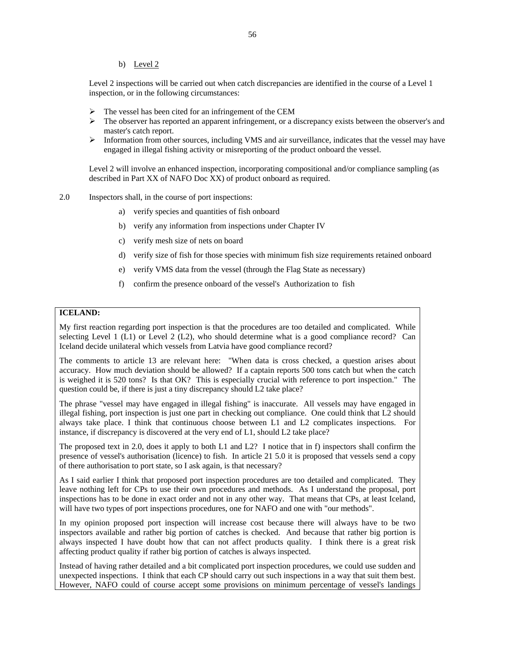#### b) Level 2

Level 2 inspections will be carried out when catch discrepancies are identified in the course of a Level 1 inspection, or in the following circumstances:

- $\triangleright$  The vessel has been cited for an infringement of the CEM
- $\triangleright$  The observer has reported an apparent infringement, or a discrepancy exists between the observer's and master's catch report.
- $\triangleright$  Information from other sources, including VMS and air surveillance, indicates that the vessel may have engaged in illegal fishing activity or misreporting of the product onboard the vessel.

Level 2 will involve an enhanced inspection, incorporating compositional and/or compliance sampling (as described in Part XX of NAFO Doc XX) of product onboard as required.

- 2.0 Inspectors shall, in the course of port inspections:
	- a) verify species and quantities of fish onboard
	- b) verify any information from inspections under Chapter IV
	- c) verify mesh size of nets on board
	- d) verify size of fish for those species with minimum fish size requirements retained onboard
	- e) verify VMS data from the vessel (through the Flag State as necessary)
	- f) confirm the presence onboard of the vessel's Authorization to fish

### **ICELAND:**

My first reaction regarding port inspection is that the procedures are too detailed and complicated. While selecting Level 1 (L1) or Level 2 (L2), who should determine what is a good compliance record? Can Iceland decide unilateral which vessels from Latvia have good compliance record?

The comments to article 13 are relevant here: "When data is cross checked, a question arises about accuracy. How much deviation should be allowed? If a captain reports 500 tons catch but when the catch is weighed it is 520 tons? Is that OK? This is especially crucial with reference to port inspection." The question could be, if there is just a tiny discrepancy should L2 take place?

The phrase "vessel may have engaged in illegal fishing" is inaccurate. All vessels may have engaged in illegal fishing, port inspection is just one part in checking out compliance. One could think that L2 should always take place. I think that continuous choose between L1 and L2 complicates inspections. For instance, if discrepancy is discovered at the very end of L1, should L2 take place?

The proposed text in 2.0, does it apply to both L1 and L2? I notice that in f) inspectors shall confirm the presence of vessel's authorisation (licence) to fish. In article 21 5.0 it is proposed that vessels send a copy of there authorisation to port state, so I ask again, is that necessary?

As I said earlier I think that proposed port inspection procedures are too detailed and complicated. They leave nothing left for CPs to use their own procedures and methods. As I understand the proposal, port inspections has to be done in exact order and not in any other way. That means that CPs, at least Iceland, will have two types of port inspections procedures, one for NAFO and one with "our methods".

In my opinion proposed port inspection will increase cost because there will always have to be two inspectors available and rather big portion of catches is checked. And because that rather big portion is always inspected I have doubt how that can not affect products quality. I think there is a great risk affecting product quality if rather big portion of catches is always inspected.

Instead of having rather detailed and a bit complicated port inspection procedures, we could use sudden and unexpected inspections. I think that each CP should carry out such inspections in a way that suit them best. However, NAFO could of course accept some provisions on minimum percentage of vessel's landings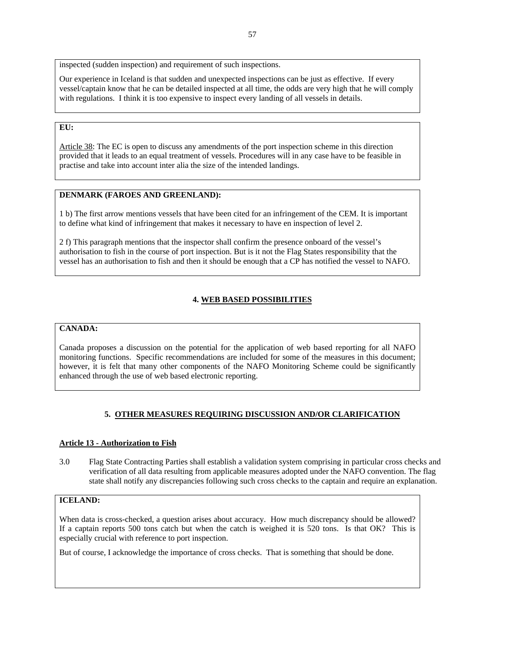inspected (sudden inspection) and requirement of such inspections.

Our experience in Iceland is that sudden and unexpected inspections can be just as effective. If every vessel/captain know that he can be detailed inspected at all time, the odds are very high that he will comply with regulations. I think it is too expensive to inspect every landing of all vessels in details.

### **EU:**

Article 38: The EC is open to discuss any amendments of the port inspection scheme in this direction provided that it leads to an equal treatment of vessels. Procedures will in any case have to be feasible in practise and take into account inter alia the size of the intended landings.

### **DENMARK (FAROES AND GREENLAND):**

1 b) The first arrow mentions vessels that have been cited for an infringement of the CEM. It is important to define what kind of infringement that makes it necessary to have en inspection of level 2.

2 f) This paragraph mentions that the inspector shall confirm the presence onboard of the vessel's authorisation to fish in the course of port inspection. But is it not the Flag States responsibility that the vessel has an authorisation to fish and then it should be enough that a CP has notified the vessel to NAFO.

### **4. WEB BASED POSSIBILITIES**

#### **CANADA:**

Canada proposes a discussion on the potential for the application of web based reporting for all NAFO monitoring functions. Specific recommendations are included for some of the measures in this document; however, it is felt that many other components of the NAFO Monitoring Scheme could be significantly enhanced through the use of web based electronic reporting.

### **5. OTHER MEASURES REQUIRING DISCUSSION AND/OR CLARIFICATION**

#### **Article 13 - Authorization to Fish**

3.0 Flag State Contracting Parties shall establish a validation system comprising in particular cross checks and verification of all data resulting from applicable measures adopted under the NAFO convention. The flag state shall notify any discrepancies following such cross checks to the captain and require an explanation.

### **ICELAND:**

When data is cross-checked, a question arises about accuracy. How much discrepancy should be allowed? If a captain reports 500 tons catch but when the catch is weighed it is 520 tons. Is that OK? This is especially crucial with reference to port inspection.

But of course, I acknowledge the importance of cross checks. That is something that should be done.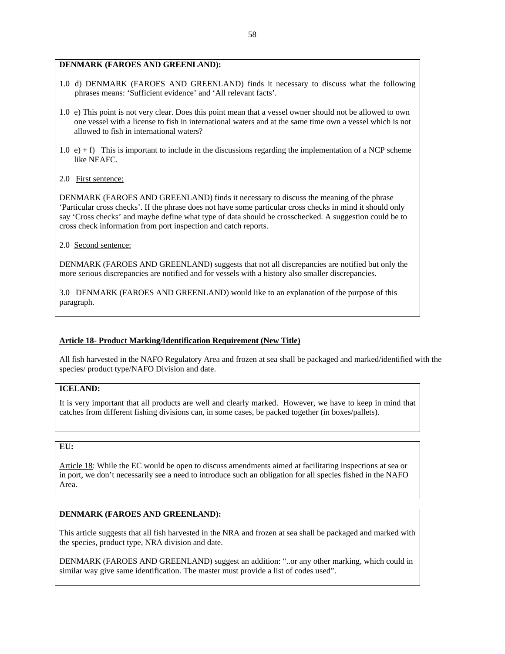### **DENMARK (FAROES AND GREENLAND):**

- 1.0 d) DENMARK (FAROES AND GREENLAND) finds it necessary to discuss what the following phrases means: 'Sufficient evidence' and 'All relevant facts'.
- 1.0 e) This point is not very clear. Does this point mean that a vessel owner should not be allowed to own one vessel with a license to fish in international waters and at the same time own a vessel which is not allowed to fish in international waters?
- 1.0 e)  $+f$ ) This is important to include in the discussions regarding the implementation of a NCP scheme like NEAFC.
- 2.0 First sentence:

DENMARK (FAROES AND GREENLAND) finds it necessary to discuss the meaning of the phrase 'Particular cross checks'. If the phrase does not have some particular cross checks in mind it should only say 'Cross checks' and maybe define what type of data should be crosschecked. A suggestion could be to cross check information from port inspection and catch reports.

2.0 Second sentence:

DENMARK (FAROES AND GREENLAND) suggests that not all discrepancies are notified but only the more serious discrepancies are notified and for vessels with a history also smaller discrepancies.

3.0 DENMARK (FAROES AND GREENLAND) would like to an explanation of the purpose of this paragraph.

### **Article 18- Product Marking/Identification Requirement (New Title)**

All fish harvested in the NAFO Regulatory Area and frozen at sea shall be packaged and marked/identified with the species/ product type/NAFO Division and date.

### **ICELAND:**

It is very important that all products are well and clearly marked. However, we have to keep in mind that catches from different fishing divisions can, in some cases, be packed together (in boxes/pallets).

### **EU:**

Article 18: While the EC would be open to discuss amendments aimed at facilitating inspections at sea or in port, we don't necessarily see a need to introduce such an obligation for all species fished in the NAFO Area.

### **DENMARK (FAROES AND GREENLAND):**

This article suggests that all fish harvested in the NRA and frozen at sea shall be packaged and marked with the species, product type, NRA division and date.

DENMARK (FAROES AND GREENLAND) suggest an addition: "..or any other marking, which could in similar way give same identification. The master must provide a list of codes used".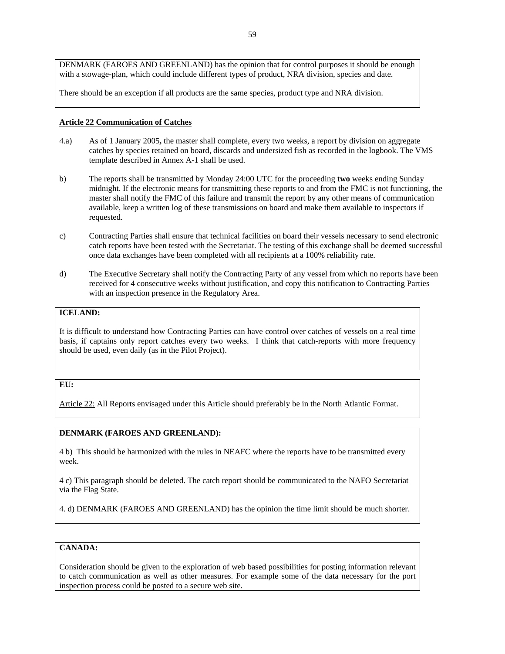DENMARK (FAROES AND GREENLAND) has the opinion that for control purposes it should be enough with a stowage-plan, which could include different types of product, NRA division, species and date.

There should be an exception if all products are the same species, product type and NRA division.

### **Article 22 Communication of Catches**

- 4.a) As of 1 January 2005**,** the master shall complete, every two weeks, a report by division on aggregate catches by species retained on board, discards and undersized fish as recorded in the logbook. The VMS template described in Annex A-1 shall be used.
- b) The reports shall be transmitted by Monday 24:00 UTC for the proceeding **two** weeks ending Sunday midnight. If the electronic means for transmitting these reports to and from the FMC is not functioning, the master shall notify the FMC of this failure and transmit the report by any other means of communication available, keep a written log of these transmissions on board and make them available to inspectors if requested.
- c) Contracting Parties shall ensure that technical facilities on board their vessels necessary to send electronic catch reports have been tested with the Secretariat. The testing of this exchange shall be deemed successful once data exchanges have been completed with all recipients at a 100% reliability rate.
- d) The Executive Secretary shall notify the Contracting Party of any vessel from which no reports have been received for 4 consecutive weeks without justification, and copy this notification to Contracting Parties with an inspection presence in the Regulatory Area.

### **ICELAND:**

It is difficult to understand how Contracting Parties can have control over catches of vessels on a real time basis, if captains only report catches every two weeks. I think that catch-reports with more frequency should be used, even daily (as in the Pilot Project).

### **EU:**

Article 22: All Reports envisaged under this Article should preferably be in the North Atlantic Format.

### **DENMARK (FAROES AND GREENLAND):**

4 b) This should be harmonized with the rules in NEAFC where the reports have to be transmitted every week.

4 c) This paragraph should be deleted. The catch report should be communicated to the NAFO Secretariat via the Flag State.

4. d) DENMARK (FAROES AND GREENLAND) has the opinion the time limit should be much shorter.

### **CANADA:**

Consideration should be given to the exploration of web based possibilities for posting information relevant to catch communication as well as other measures. For example some of the data necessary for the port inspection process could be posted to a secure web site.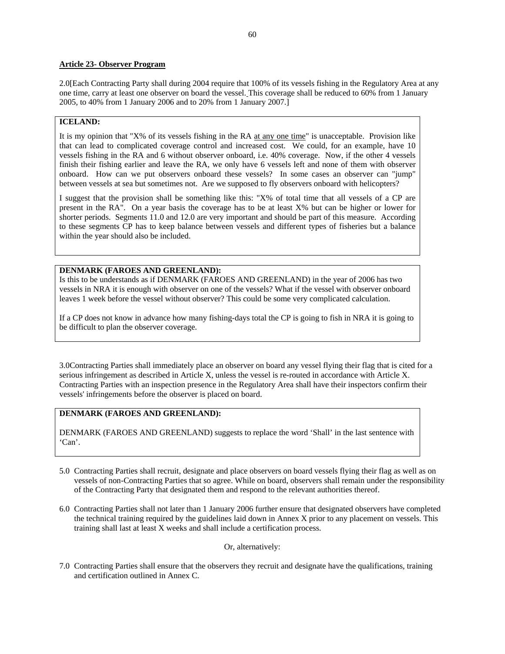#### **Article 23- Observer Program**

2.0[Each Contracting Party shall during 2004 require that 100% of its vessels fishing in the Regulatory Area at any one time, carry at least one observer on board the vessel. This coverage shall be reduced to 60% from 1 January 2005, to 40% from 1 January 2006 and to 20% from 1 January 2007.]

### **ICELAND:**

It is my opinion that "X% of its vessels fishing in the RA at any one time" is unacceptable. Provision like that can lead to complicated coverage control and increased cost. We could, for an example, have 10 vessels fishing in the RA and 6 without observer onboard, i.e. 40% coverage. Now, if the other 4 vessels finish their fishing earlier and leave the RA, we only have 6 vessels left and none of them with observer onboard. How can we put observers onboard these vessels? In some cases an observer can "jump" between vessels at sea but sometimes not. Are we supposed to fly observers onboard with helicopters?

I suggest that the provision shall be something like this: "X% of total time that all vessels of a CP are present in the RA". On a year basis the coverage has to be at least X% but can be higher or lower for shorter periods. Segments 11.0 and 12.0 are very important and should be part of this measure. According to these segments CP has to keep balance between vessels and different types of fisheries but a balance within the year should also be included.

#### **DENMARK (FAROES AND GREENLAND):**

Is this to be understands as if DENMARK (FAROES AND GREENLAND) in the year of 2006 has two vessels in NRA it is enough with observer on one of the vessels? What if the vessel with observer onboard leaves 1 week before the vessel without observer? This could be some very complicated calculation.

If a CP does not know in advance how many fishing-days total the CP is going to fish in NRA it is going to be difficult to plan the observer coverage.

3.0Contracting Parties shall immediately place an observer on board any vessel flying their flag that is cited for a serious infringement as described in Article X, unless the vessel is re-routed in accordance with Article X. Contracting Parties with an inspection presence in the Regulatory Area shall have their inspectors confirm their vessels' infringements before the observer is placed on board.

### **DENMARK (FAROES AND GREENLAND):**

DENMARK (FAROES AND GREENLAND) suggests to replace the word 'Shall' in the last sentence with 'Can'.

- 5.0 Contracting Parties shall recruit, designate and place observers on board vessels flying their flag as well as on vessels of non-Contracting Parties that so agree. While on board, observers shall remain under the responsibility of the Contracting Party that designated them and respond to the relevant authorities thereof.
- 6.0 Contracting Parties shall not later than 1 January 2006 further ensure that designated observers have completed the technical training required by the guidelines laid down in Annex X prior to any placement on vessels. This training shall last at least X weeks and shall include a certification process.

Or, alternatively:

7.0 Contracting Parties shall ensure that the observers they recruit and designate have the qualifications, training and certification outlined in Annex C.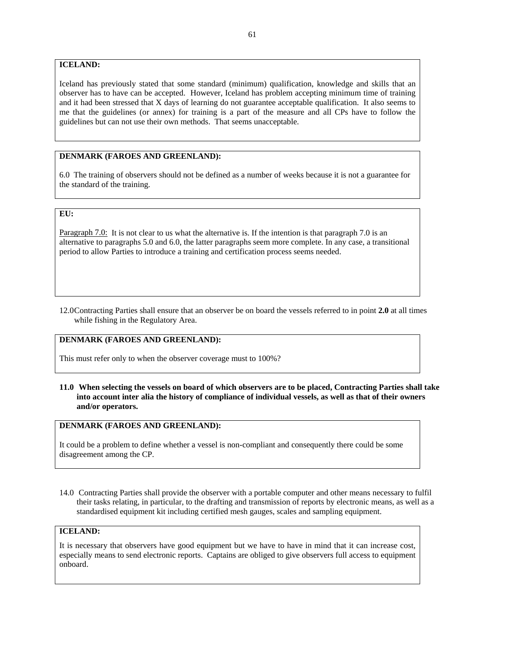Iceland has previously stated that some standard (minimum) qualification, knowledge and skills that an observer has to have can be accepted. However, Iceland has problem accepting minimum time of training and it had been stressed that X days of learning do not guarantee acceptable qualification. It also seems to me that the guidelines (or annex) for training is a part of the measure and all CPs have to follow the guidelines but can not use their own methods. That seems unacceptable.

### **DENMARK (FAROES AND GREENLAND):**

6.0 The training of observers should not be defined as a number of weeks because it is not a guarantee for the standard of the training.

**EU:** 

Paragraph 7.0: It is not clear to us what the alternative is. If the intention is that paragraph 7.0 is an alternative to paragraphs 5.0 and 6.0, the latter paragraphs seem more complete. In any case, a transitional period to allow Parties to introduce a training and certification process seems needed.

12.0Contracting Parties shall ensure that an observer be on board the vessels referred to in point **2.0** at all times while fishing in the Regulatory Area.

### **DENMARK (FAROES AND GREENLAND):**

This must refer only to when the observer coverage must to 100%?

**11.0 When selecting the vessels on board of which observers are to be placed, Contracting Parties shall take into account inter alia the history of compliance of individual vessels, as well as that of their owners and/or operators.** 

### **DENMARK (FAROES AND GREENLAND):**

It could be a problem to define whether a vessel is non-compliant and consequently there could be some disagreement among the CP.

14.0 Contracting Parties shall provide the observer with a portable computer and other means necessary to fulfil their tasks relating, in particular, to the drafting and transmission of reports by electronic means, as well as a standardised equipment kit including certified mesh gauges, scales and sampling equipment.

### **ICELAND:**

It is necessary that observers have good equipment but we have to have in mind that it can increase cost, especially means to send electronic reports. Captains are obliged to give observers full access to equipment onboard.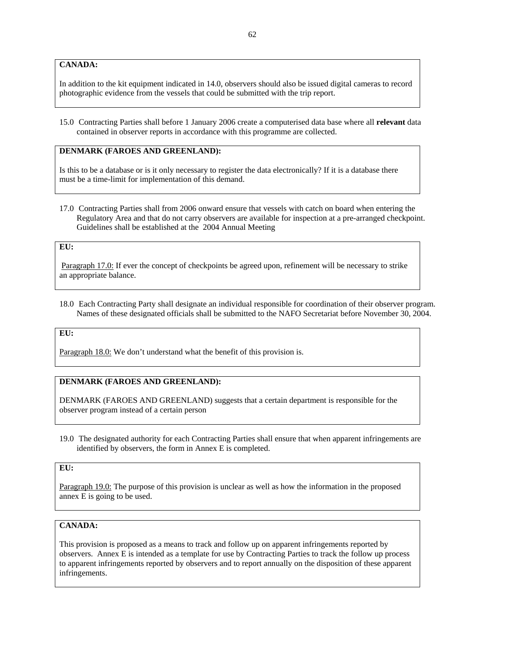**CANADA:** 

In addition to the kit equipment indicated in 14.0, observers should also be issued digital cameras to record photographic evidence from the vessels that could be submitted with the trip report.

15.0 Contracting Parties shall before 1 January 2006 create a computerised data base where all **relevant** data contained in observer reports in accordance with this programme are collected.

### **DENMARK (FAROES AND GREENLAND):**

Is this to be a database or is it only necessary to register the data electronically? If it is a database there must be a time-limit for implementation of this demand.

17.0 Contracting Parties shall from 2006 onward ensure that vessels with catch on board when entering the Regulatory Area and that do not carry observers are available for inspection at a pre-arranged checkpoint. Guidelines shall be established at the 2004 Annual Meeting

**EU:** 

 Paragraph 17.0: If ever the concept of checkpoints be agreed upon, refinement will be necessary to strike an appropriate balance.

18.0 Each Contracting Party shall designate an individual responsible for coordination of their observer program. Names of these designated officials shall be submitted to the NAFO Secretariat before November 30, 2004.

**EU:** 

Paragraph 18.0: We don't understand what the benefit of this provision is.

### **DENMARK (FAROES AND GREENLAND):**

DENMARK (FAROES AND GREENLAND) suggests that a certain department is responsible for the observer program instead of a certain person

19.0 The designated authority for each Contracting Parties shall ensure that when apparent infringements are identified by observers, the form in Annex E is completed.

### **EU:**

Paragraph 19.0: The purpose of this provision is unclear as well as how the information in the proposed annex E is going to be used.

#### **CANADA:**

This provision is proposed as a means to track and follow up on apparent infringements reported by observers. Annex E is intended as a template for use by Contracting Parties to track the follow up process to apparent infringements reported by observers and to report annually on the disposition of these apparent infringements.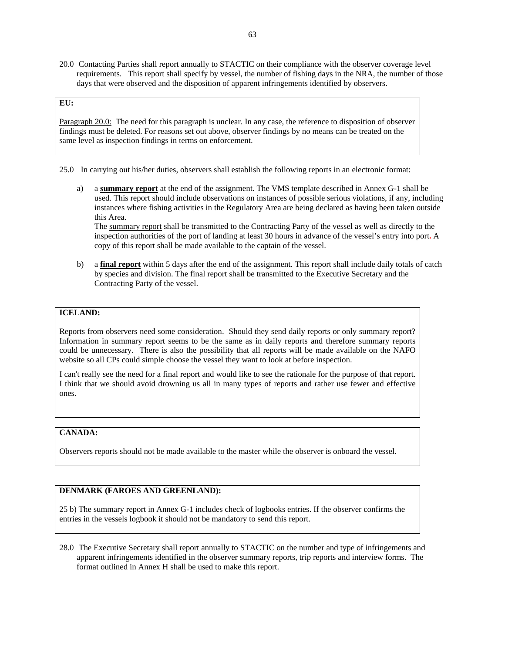20.0 Contacting Parties shall report annually to STACTIC on their compliance with the observer coverage level requirements. This report shall specify by vessel, the number of fishing days in the NRA, the number of those days that were observed and the disposition of apparent infringements identified by observers.

**EU:** 

Paragraph 20.0: The need for this paragraph is unclear. In any case, the reference to disposition of observer findings must be deleted. For reasons set out above, observer findings by no means can be treated on the same level as inspection findings in terms on enforcement.

25.0 In carrying out his/her duties, observers shall establish the following reports in an electronic format:

a) a **summary report** at the end of the assignment. The VMS template described in Annex G-1 shall be used. This report should include observations on instances of possible serious violations, if any, including instances where fishing activities in the Regulatory Area are being declared as having been taken outside this Area.

The summary report shall be transmitted to the Contracting Party of the vessel as well as directly to the inspection authorities of the port of landing at least 30 hours in advance of the vessel's entry into port**.** A copy of this report shall be made available to the captain of the vessel.

b) a **final report** within 5 days after the end of the assignment. This report shall include daily totals of catch by species and division. The final report shall be transmitted to the Executive Secretary and the Contracting Party of the vessel.

### **ICELAND:**

Reports from observers need some consideration. Should they send daily reports or only summary report? Information in summary report seems to be the same as in daily reports and therefore summary reports could be unnecessary. There is also the possibility that all reports will be made available on the NAFO website so all CPs could simple choose the vessel they want to look at before inspection.

I can't really see the need for a final report and would like to see the rationale for the purpose of that report. I think that we should avoid drowning us all in many types of reports and rather use fewer and effective ones.

### **CANADA:**

Observers reports should not be made available to the master while the observer is onboard the vessel.

### **DENMARK (FAROES AND GREENLAND):**

25 b) The summary report in Annex G-1 includes check of logbooks entries. If the observer confirms the entries in the vessels logbook it should not be mandatory to send this report.

28.0 The Executive Secretary shall report annually to STACTIC on the number and type of infringements and apparent infringements identified in the observer summary reports, trip reports and interview forms. The format outlined in Annex H shall be used to make this report.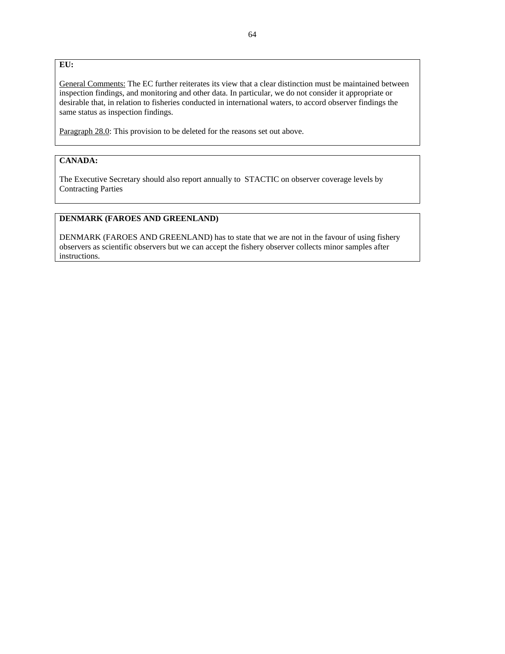**EU:** 

General Comments: The EC further reiterates its view that a clear distinction must be maintained between inspection findings, and monitoring and other data. In particular, we do not consider it appropriate or desirable that, in relation to fisheries conducted in international waters, to accord observer findings the same status as inspection findings.

Paragraph 28.0: This provision to be deleted for the reasons set out above.

### **CANADA:**

The Executive Secretary should also report annually to STACTIC on observer coverage levels by Contracting Parties

### **DENMARK (FAROES AND GREENLAND)**

DENMARK (FAROES AND GREENLAND) has to state that we are not in the favour of using fishery observers as scientific observers but we can accept the fishery observer collects minor samples after instructions.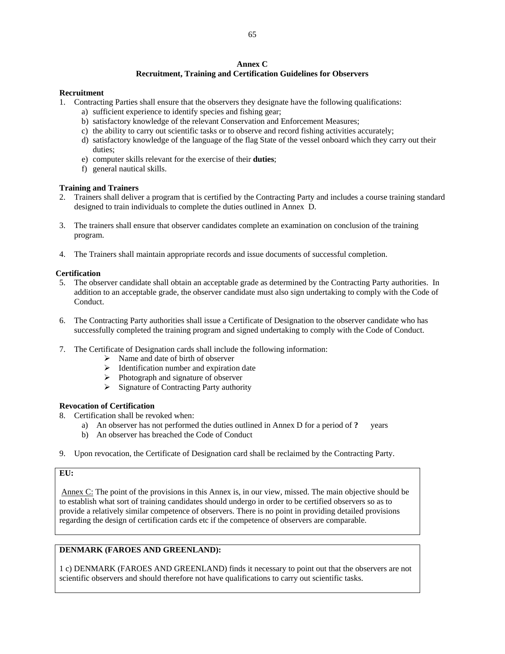### **Annex C**

### **Recruitment, Training and Certification Guidelines for Observers**

### **Recruitment**

- 1. Contracting Parties shall ensure that the observers they designate have the following qualifications:
	- a) sufficient experience to identify species and fishing gear;
	- b) satisfactory knowledge of the relevant Conservation and Enforcement Measures;
	- c) the ability to carry out scientific tasks or to observe and record fishing activities accurately;
	- d) satisfactory knowledge of the language of the flag State of the vessel onboard which they carry out their duties;
	- e) computer skills relevant for the exercise of their **duties**;
	- f) general nautical skills.

#### **Training and Trainers**

- 2. Trainers shall deliver a program that is certified by the Contracting Party and includes a course training standard designed to train individuals to complete the duties outlined in Annex D.
- 3. The trainers shall ensure that observer candidates complete an examination on conclusion of the training program.
- 4. The Trainers shall maintain appropriate records and issue documents of successful completion.

#### **Certification**

- 5. The observer candidate shall obtain an acceptable grade as determined by the Contracting Party authorities. In addition to an acceptable grade, the observer candidate must also sign undertaking to comply with the Code of Conduct.
- 6. The Contracting Party authorities shall issue a Certificate of Designation to the observer candidate who has successfully completed the training program and signed undertaking to comply with the Code of Conduct.
- 7. The Certificate of Designation cards shall include the following information:
	- > Name and date of birth of observer
	- $\triangleright$  Identification number and expiration date
	- > Photograph and signature of observer
	- $\triangleright$  Signature of Contracting Party authority

### **Revocation of Certification**

- 8. Certification shall be revoked when:
	- a) An observer has not performed the duties outlined in Annex D for a period of **?** years
	- b) An observer has breached the Code of Conduct
- 9. Upon revocation, the Certificate of Designation card shall be reclaimed by the Contracting Party.

### **EU:**

 Annex C: The point of the provisions in this Annex is, in our view, missed. The main objective should be to establish what sort of training candidates should undergo in order to be certified observers so as to provide a relatively similar competence of observers. There is no point in providing detailed provisions regarding the design of certification cards etc if the competence of observers are comparable.

### **DENMARK (FAROES AND GREENLAND):**

1 c) DENMARK (FAROES AND GREENLAND) finds it necessary to point out that the observers are not scientific observers and should therefore not have qualifications to carry out scientific tasks.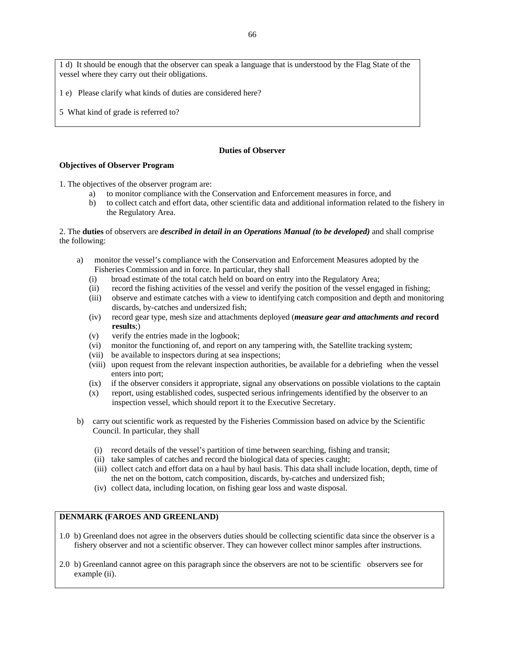1 d) It should be enough that the observer can speak a language that is understood by the Flag State of the vessel where they carry out their obligations.

- 1 e) Please clarify what kinds of duties are considered here?
- 5 What kind of grade is referred to?

#### **Duties of Observer**

#### **Objectives of Observer Program**

1. The objectives of the observer program are:

- a) to monitor compliance with the Conservation and Enforcement measures in force, and
- b) to collect catch and effort data, other scientific data and additional information related to the fishery in the Regulatory Area.

#### 2. The **duties** of observers are *described in detail in an Operations Manual (to be developed)* and shall comprise the following:

- a) monitor the vessel's compliance with the Conservation and Enforcement Measures adopted by the Fisheries Commission and in force. In particular, they shall
	- (i) broad estimate of the total catch held on board on entry into the Regulatory Area;
	- (ii) record the fishing activities of the vessel and verify the position of the vessel engaged in fishing;
	- (iii) observe and estimate catches with a view to identifying catch composition and depth and monitoring discards, by-catches and undersized fish;
	- (iv) record gear type, mesh size and attachments deployed (*measure gear and attachments and* **record results**;)
	- (v) verify the entries made in the logbook;
	- (vi) monitor the functioning of, and report on any tampering with, the Satellite tracking system;
	- (vii) be available to inspectors during at sea inspections;
	- (viii) upon request from the relevant inspection authorities, be available for a debriefing when the vessel enters into port;
	- (ix) if the observer considers it appropriate, signal any observations on possible violations to the captain
	- (x) report, using established codes, suspected serious infringements identified by the observer to an inspection vessel, which should report it to the Executive Secretary.
- b) carry out scientific work as requested by the Fisheries Commission based on advice by the Scientific Council. In particular, they shall
	- (i) record details of the vessel's partition of time between searching, fishing and transit;
	- (ii) take samples of catches and record the biological data of species caught;
	- (iii) collect catch and effort data on a haul by haul basis. This data shall include location, depth, time of the net on the bottom, catch composition, discards, by-catches and undersized fish;
	- (iv) collect data, including location, on fishing gear loss and waste disposal.

### **DENMARK (FAROES AND GREENLAND)**

- 1.0 b) Greenland does not agree in the observers duties should be collecting scientific data since the observer is a fishery observer and not a scientific observer. They can however collect minor samples after instructions.
- 2.0 b) Greenland cannot agree on this paragraph since the observers are not to be scientific observers see for example (ii).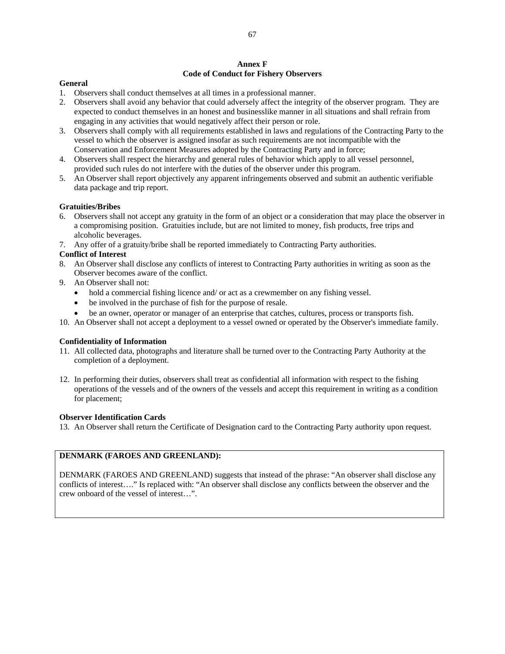### **Annex F Code of Conduct for Fishery Observers**

#### **General**

- 1. Observers shall conduct themselves at all times in a professional manner.
- 2. Observers shall avoid any behavior that could adversely affect the integrity of the observer program. They are expected to conduct themselves in an honest and businesslike manner in all situations and shall refrain from engaging in any activities that would negatively affect their person or role.
- 3. Observers shall comply with all requirements established in laws and regulations of the Contracting Party to the vessel to which the observer is assigned insofar as such requirements are not incompatible with the Conservation and Enforcement Measures adopted by the Contracting Party and in force;
- 4. Observers shall respect the hierarchy and general rules of behavior which apply to all vessel personnel, provided such rules do not interfere with the duties of the observer under this program.
- 5. An Observer shall report objectively any apparent infringements observed and submit an authentic verifiable data package and trip report.

#### **Gratuities/Bribes**

- 6. Observers shall not accept any gratuity in the form of an object or a consideration that may place the observer in a compromising position. Gratuities include, but are not limited to money, fish products, free trips and alcoholic beverages.
- 7. Any offer of a gratuity/bribe shall be reported immediately to Contracting Party authorities.

### **Conflict of Interest**

- 8. An Observer shall disclose any conflicts of interest to Contracting Party authorities in writing as soon as the Observer becomes aware of the conflict.
- 9. An Observer shall not:
	- hold a commercial fishing licence and/ or act as a crewmember on any fishing vessel.
	- be involved in the purchase of fish for the purpose of resale.
	- be an owner, operator or manager of an enterprise that catches, cultures, process or transports fish.
- 10. An Observer shall not accept a deployment to a vessel owned or operated by the Observer's immediate family.

#### **Confidentiality of Information**

- 11. All collected data, photographs and literature shall be turned over to the Contracting Party Authority at the completion of a deployment.
- 12. In performing their duties, observers shall treat as confidential all information with respect to the fishing operations of the vessels and of the owners of the vessels and accept this requirement in writing as a condition for placement;

#### **Observer Identification Cards**

13. An Observer shall return the Certificate of Designation card to the Contracting Party authority upon request.

### **DENMARK (FAROES AND GREENLAND):**

DENMARK (FAROES AND GREENLAND) suggests that instead of the phrase: "An observer shall disclose any conflicts of interest…." Is replaced with: "An observer shall disclose any conflicts between the observer and the crew onboard of the vessel of interest…".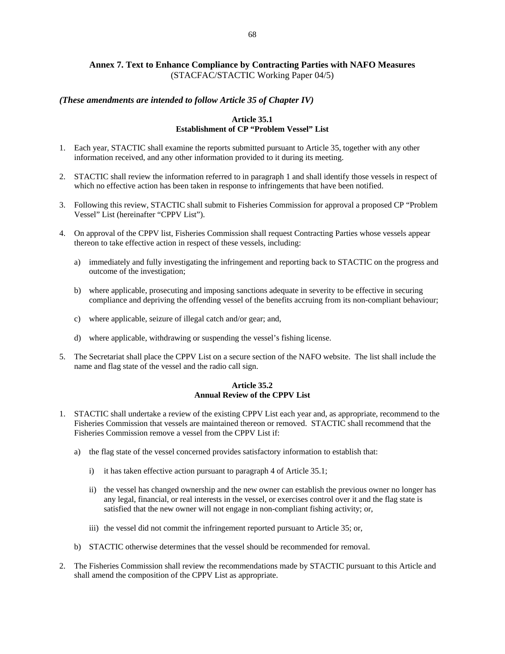### **Annex 7. Text to Enhance Compliance by Contracting Parties with NAFO Measures**  (STACFAC/STACTIC Working Paper 04/5)

#### *(These amendments are intended to follow Article 35 of Chapter IV)*

#### **Article 35.1 Establishment of CP "Problem Vessel" List**

- 1. Each year, STACTIC shall examine the reports submitted pursuant to Article 35, together with any other information received, and any other information provided to it during its meeting.
- 2. STACTIC shall review the information referred to in paragraph 1 and shall identify those vessels in respect of which no effective action has been taken in response to infringements that have been notified.
- 3. Following this review, STACTIC shall submit to Fisheries Commission for approval a proposed CP "Problem Vessel" List (hereinafter "CPPV List").
- 4. On approval of the CPPV list, Fisheries Commission shall request Contracting Parties whose vessels appear thereon to take effective action in respect of these vessels, including:
	- a) immediately and fully investigating the infringement and reporting back to STACTIC on the progress and outcome of the investigation;
	- b) where applicable, prosecuting and imposing sanctions adequate in severity to be effective in securing compliance and depriving the offending vessel of the benefits accruing from its non-compliant behaviour;
	- c) where applicable, seizure of illegal catch and/or gear; and,
	- d) where applicable, withdrawing or suspending the vessel's fishing license.
- 5. The Secretariat shall place the CPPV List on a secure section of the NAFO website. The list shall include the name and flag state of the vessel and the radio call sign.

#### **Article 35.2 Annual Review of the CPPV List**

- 1. STACTIC shall undertake a review of the existing CPPV List each year and, as appropriate, recommend to the Fisheries Commission that vessels are maintained thereon or removed. STACTIC shall recommend that the Fisheries Commission remove a vessel from the CPPV List if:
	- a) the flag state of the vessel concerned provides satisfactory information to establish that:
		- i) it has taken effective action pursuant to paragraph 4 of Article 35.1;
		- ii) the vessel has changed ownership and the new owner can establish the previous owner no longer has any legal, financial, or real interests in the vessel, or exercises control over it and the flag state is satisfied that the new owner will not engage in non-compliant fishing activity; or,
		- iii) the vessel did not commit the infringement reported pursuant to Article 35; or,
	- b) STACTIC otherwise determines that the vessel should be recommended for removal.
- 2. The Fisheries Commission shall review the recommendations made by STACTIC pursuant to this Article and shall amend the composition of the CPPV List as appropriate.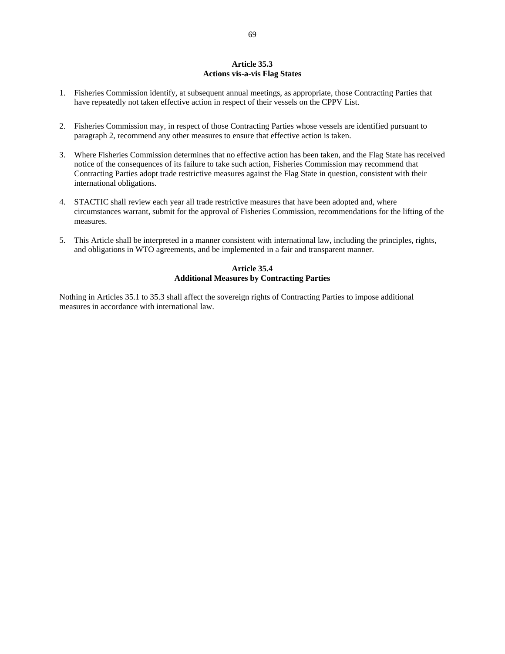#### **Article 35.3 Actions vis-a-vis Flag States**

- 1. Fisheries Commission identify, at subsequent annual meetings, as appropriate, those Contracting Parties that have repeatedly not taken effective action in respect of their vessels on the CPPV List.
- 2. Fisheries Commission may, in respect of those Contracting Parties whose vessels are identified pursuant to paragraph 2, recommend any other measures to ensure that effective action is taken.
- 3. Where Fisheries Commission determines that no effective action has been taken, and the Flag State has received notice of the consequences of its failure to take such action, Fisheries Commission may recommend that Contracting Parties adopt trade restrictive measures against the Flag State in question, consistent with their international obligations.
- 4. STACTIC shall review each year all trade restrictive measures that have been adopted and, where circumstances warrant, submit for the approval of Fisheries Commission, recommendations for the lifting of the measures.
- 5. This Article shall be interpreted in a manner consistent with international law, including the principles, rights, and obligations in WTO agreements, and be implemented in a fair and transparent manner.

### **Article 35.4 Additional Measures by Contracting Parties**

Nothing in Articles 35.1 to 35.3 shall affect the sovereign rights of Contracting Parties to impose additional measures in accordance with international law.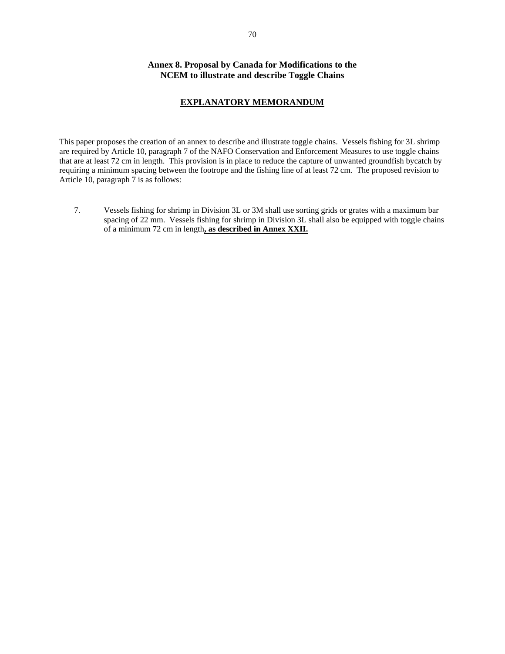### **Annex 8. Proposal by Canada for Modifications to the NCEM to illustrate and describe Toggle Chains**

### **EXPLANATORY MEMORANDUM**

This paper proposes the creation of an annex to describe and illustrate toggle chains. Vessels fishing for 3L shrimp are required by Article 10, paragraph 7 of the NAFO Conservation and Enforcement Measures to use toggle chains that are at least 72 cm in length. This provision is in place to reduce the capture of unwanted groundfish bycatch by requiring a minimum spacing between the footrope and the fishing line of at least 72 cm. The proposed revision to Article 10, paragraph 7 is as follows:

7. Vessels fishing for shrimp in Division 3L or 3M shall use sorting grids or grates with a maximum bar spacing of 22 mm. Vessels fishing for shrimp in Division 3L shall also be equipped with toggle chains of a minimum 72 cm in length**, as described in Annex XXII.**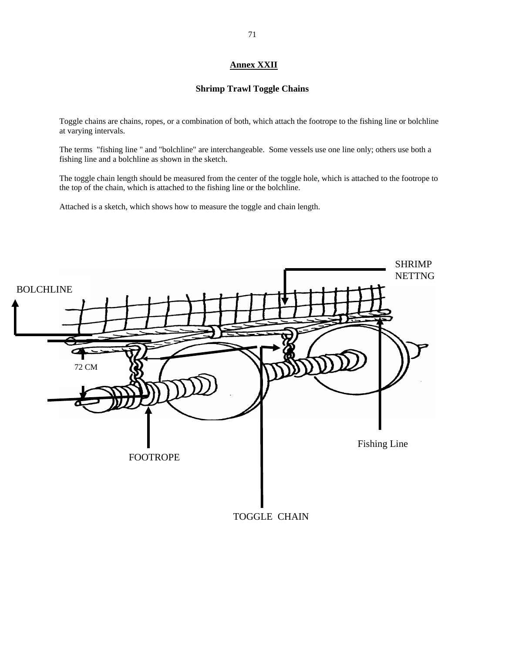### **Annex XXII**

### **Shrimp Trawl Toggle Chains**

Toggle chains are chains, ropes, or a combination of both, which attach the footrope to the fishing line or bolchline at varying intervals.

The terms "fishing line " and "bolchline" are interchangeable. Some vessels use one line only; others use both a fishing line and a bolchline as shown in the sketch.

The toggle chain length should be measured from the center of the toggle hole, which is attached to the footrope to the top of the chain, which is attached to the fishing line or the bolchline.

Attached is a sketch, which shows how to measure the toggle and chain length.

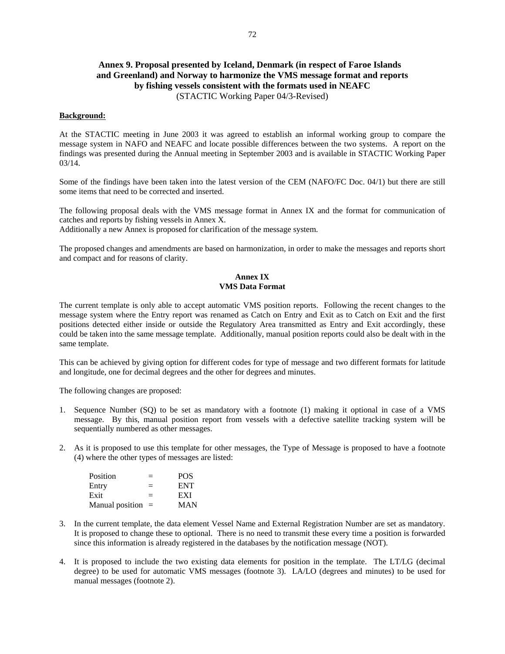### **Annex 9. Proposal presented by Iceland, Denmark (in respect of Faroe Islands and Greenland) and Norway to harmonize the VMS message format and reports by fishing vessels consistent with the formats used in NEAFC**  (STACTIC Working Paper 04/3-Revised)

#### **Background:**

At the STACTIC meeting in June 2003 it was agreed to establish an informal working group to compare the message system in NAFO and NEAFC and locate possible differences between the two systems. A report on the findings was presented during the Annual meeting in September 2003 and is available in STACTIC Working Paper 03/14.

Some of the findings have been taken into the latest version of the CEM (NAFO/FC Doc. 04/1) but there are still some items that need to be corrected and inserted.

The following proposal deals with the VMS message format in Annex IX and the format for communication of catches and reports by fishing vessels in Annex X.

Additionally a new Annex is proposed for clarification of the message system.

The proposed changes and amendments are based on harmonization, in order to make the messages and reports short and compact and for reasons of clarity.

### **Annex IX VMS Data Format**

The current template is only able to accept automatic VMS position reports. Following the recent changes to the message system where the Entry report was renamed as Catch on Entry and Exit as to Catch on Exit and the first positions detected either inside or outside the Regulatory Area transmitted as Entry and Exit accordingly, these could be taken into the same message template. Additionally, manual position reports could also be dealt with in the same template.

This can be achieved by giving option for different codes for type of message and two different formats for latitude and longitude, one for decimal degrees and the other for degrees and minutes.

The following changes are proposed:

- 1. Sequence Number (SQ) to be set as mandatory with a footnote (1) making it optional in case of a VMS message. By this, manual position report from vessels with a defective satellite tracking system will be sequentially numbered as other messages.
- 2. As it is proposed to use this template for other messages, the Type of Message is proposed to have a footnote (4) where the other types of messages are listed:

| Position            | $=$ | <b>POS</b> |
|---------------------|-----|------------|
| Entry               | $=$ | <b>ENT</b> |
| Exit                | $=$ | EXI        |
| Manual position $=$ |     | <b>MAN</b> |

- 3. In the current template, the data element Vessel Name and External Registration Number are set as mandatory. It is proposed to change these to optional. There is no need to transmit these every time a position is forwarded since this information is already registered in the databases by the notification message (NOT).
- 4. It is proposed to include the two existing data elements for position in the template. The LT/LG (decimal degree) to be used for automatic VMS messages (footnote 3). LA/LO (degrees and minutes) to be used for manual messages (footnote 2).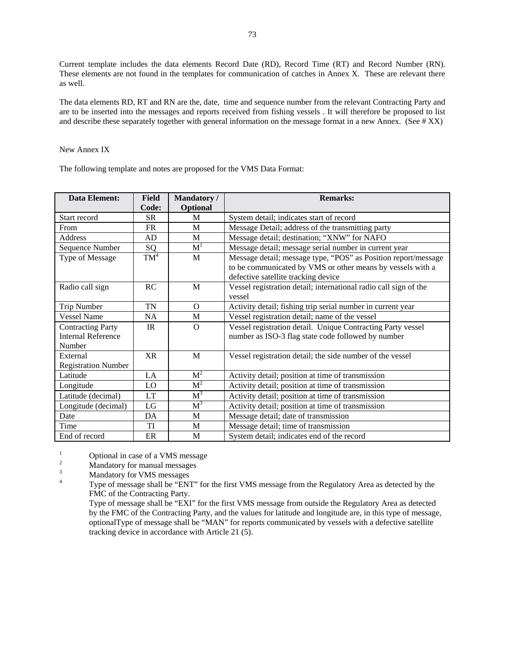Current template includes the data elements Record Date (RD), Record Time (RT) and Record Number (RN). These elements are not found in the templates for communication of catches in Annex X. These are relevant there as well.

The data elements RD, RT and RN are the, date, time and sequence number from the relevant Contracting Party and are to be inserted into the messages and reports received from fishing vessels . It will therefore be proposed to list and describe these separately together with general information on the message format in a new Annex. (See # XX)

### New Annex IX

The following template and notes are proposed for the VMS Data Format:

| <b>Data Element:</b>                                            | <b>Field</b> | Mandatory/       | <b>Remarks:</b>                                                                                                                                                     |  |
|-----------------------------------------------------------------|--------------|------------------|---------------------------------------------------------------------------------------------------------------------------------------------------------------------|--|
|                                                                 | Code:        | <b>Optional</b>  |                                                                                                                                                                     |  |
| Start record                                                    | <b>SR</b>    | M                | System detail; indicates start of record                                                                                                                            |  |
| From                                                            | <b>FR</b>    | M                | Message Detail; address of the transmitting party                                                                                                                   |  |
| Address                                                         | AD           | M                | Message detail; destination; "XNW" for NAFO                                                                                                                         |  |
| Sequence Number                                                 | SQ           | $\mathbf{M}^1$   | Message detail; message serial number in current year                                                                                                               |  |
| Type of Message                                                 | $TM^4$       | M                | Message detail; message type, "POS" as Position report/message<br>to be communicated by VMS or other means by vessels with a<br>defective satellite tracking device |  |
| Radio call sign                                                 | <b>RC</b>    | M                | Vessel registration detail; international radio call sign of the<br>vessel                                                                                          |  |
| Trip Number                                                     | TN           | $\Omega$         | Activity detail; fishing trip serial number in current year                                                                                                         |  |
| <b>Vessel Name</b>                                              | NA           | M                | Vessel registration detail; name of the vessel                                                                                                                      |  |
| <b>Contracting Party</b><br><b>Internal Reference</b><br>Number | IR           | $\Omega$         | Vessel registration detail. Unique Contracting Party vessel<br>number as ISO-3 flag state code followed by number                                                   |  |
| External<br><b>Registration Number</b>                          | XR.          | M                | Vessel registration detail; the side number of the vessel                                                                                                           |  |
| Latitude                                                        | LA           | $\overline{M}^2$ | Activity detail; position at time of transmission                                                                                                                   |  |
| Longitude                                                       | LO           | $\mathbf{M}^2$   | Activity detail; position at time of transmission                                                                                                                   |  |
| Latitude (decimal)                                              | LT           | M <sup>3</sup>   | Activity detail; position at time of transmission                                                                                                                   |  |
| Longitude (decimal)                                             | LG           | M <sup>3</sup>   | Activity detail; position at time of transmission                                                                                                                   |  |
| Date                                                            | DA           | M                | Message detail; date of transmission                                                                                                                                |  |
| Time                                                            | TI           | M                | Message detail; time of transmission                                                                                                                                |  |
| End of record                                                   | ER           | M                | System detail; indicates end of the record                                                                                                                          |  |

<sup>1</sup><br>
2 Mandatory for manual messages<br>
<sup>3</sup><br>
<sup>4</sup> Type of message shall be "ENT" for the first VMS message from the Regulatory Area as detected by the FMC of the Contracting Party.

 Type of message shall be "EXI" for the first VMS message from outside the Regulatory Area as detected by the FMC of the Contracting Party, and the values for latitude and longitude are, in this type of message, optionalType of message shall be "MAN" for reports communicated by vessels with a defective satellite tracking device in accordance with Article 21 (5).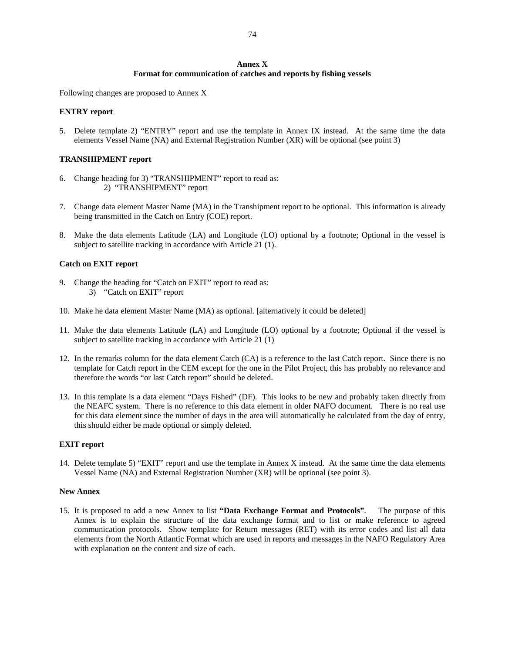### **Annex X**

### **Format for communication of catches and reports by fishing vessels**

Following changes are proposed to Annex X

#### **ENTRY report**

5. Delete template 2) "ENTRY" report and use the template in Annex IX instead. At the same time the data elements Vessel Name (NA) and External Registration Number (XR) will be optional (see point 3)

## **TRANSHIPMENT report**

- 6. Change heading for 3) "TRANSHIPMENT" report to read as: 2) "TRANSHIPMENT" report
- 7. Change data element Master Name (MA) in the Transhipment report to be optional. This information is already being transmitted in the Catch on Entry (COE) report.
- 8. Make the data elements Latitude (LA) and Longitude (LO) optional by a footnote; Optional in the vessel is subject to satellite tracking in accordance with Article 21 (1).

#### **Catch on EXIT report**

- 9. Change the heading for "Catch on EXIT" report to read as: 3) "Catch on EXIT" report
- 10. Make he data element Master Name (MA) as optional. [alternatively it could be deleted]
- 11. Make the data elements Latitude (LA) and Longitude (LO) optional by a footnote; Optional if the vessel is subject to satellite tracking in accordance with Article 21 (1)
- 12. In the remarks column for the data element Catch (CA) is a reference to the last Catch report. Since there is no template for Catch report in the CEM except for the one in the Pilot Project, this has probably no relevance and therefore the words "or last Catch report" should be deleted.
- 13. In this template is a data element "Days Fished" (DF). This looks to be new and probably taken directly from the NEAFC system. There is no reference to this data element in older NAFO document. There is no real use for this data element since the number of days in the area will automatically be calculated from the day of entry, this should either be made optional or simply deleted.

#### **EXIT report**

14. Delete template 5) "EXIT" report and use the template in Annex X instead. At the same time the data elements Vessel Name (NA) and External Registration Number (XR) will be optional (see point 3).

### **New Annex**

15. It is proposed to add a new Annex to list **"Data Exchange Format and Protocols"**. The purpose of this Annex is to explain the structure of the data exchange format and to list or make reference to agreed communication protocols. Show template for Return messages (RET) with its error codes and list all data elements from the North Atlantic Format which are used in reports and messages in the NAFO Regulatory Area with explanation on the content and size of each.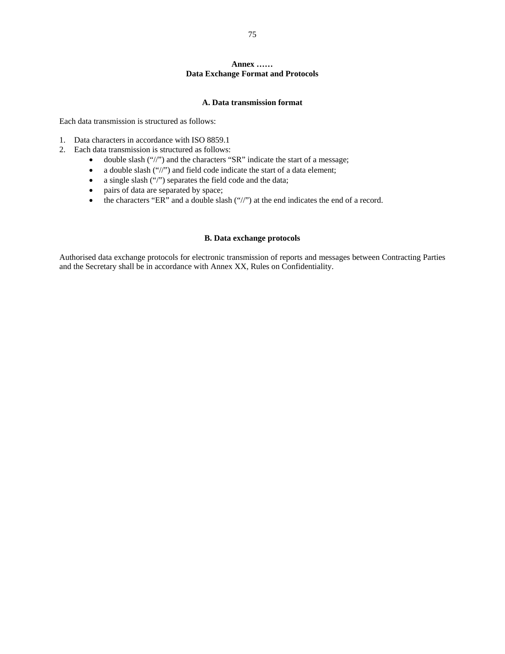### **Annex …… Data Exchange Format and Protocols**

### **A. Data transmission format**

Each data transmission is structured as follows:

- 1. Data characters in accordance with ISO 8859.1
- 2. Each data transmission is structured as follows:
	- double slash ("//") and the characters "SR" indicate the start of a message;
	- a double slash ("//") and field code indicate the start of a data element;
	- a single slash ("/") separates the field code and the data;
	- pairs of data are separated by space;
	- the characters "ER" and a double slash ("//") at the end indicates the end of a record.

### **B. Data exchange protocols**

Authorised data exchange protocols for electronic transmission of reports and messages between Contracting Parties and the Secretary shall be in accordance with Annex XX, Rules on Confidentiality.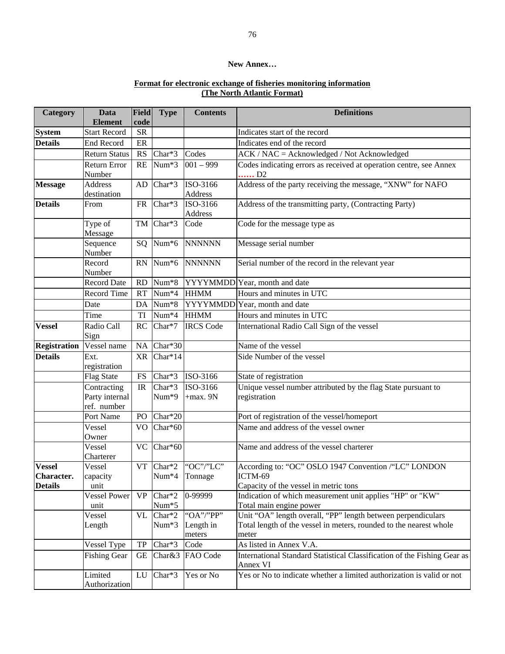## **New Annex…**

### **Format for electronic exchange of fisheries monitoring information (The North Atlantic Format)**

| Category            | <b>Data</b><br><b>Element</b> | <b>Field</b><br>code              | <b>Type</b>                         | <b>Contents</b>  | <b>Definitions</b>                                                                      |
|---------------------|-------------------------------|-----------------------------------|-------------------------------------|------------------|-----------------------------------------------------------------------------------------|
| <b>System</b>       | <b>Start Record</b>           | <b>SR</b>                         |                                     |                  | Indicates start of the record                                                           |
| <b>Details</b>      | <b>End Record</b>             | ER                                |                                     |                  | Indicates end of the record                                                             |
|                     | <b>Return Status</b>          | <b>RS</b>                         | Char*3                              | Codes            | $ACK / NAC = Acknowledged / Not Acknowledged$                                           |
|                     | <b>Return Error</b>           | RE                                | Num*3                               | $001 - 999$      | Codes indicating errors as received at operation centre, see Annex                      |
|                     | Number                        |                                   |                                     |                  | D2                                                                                      |
| <b>Message</b>      | Address                       | AD                                | Char*3                              | ISO-3166         | Address of the party receiving the message, "XNW" for NAFO                              |
|                     | destination                   |                                   |                                     | <b>Address</b>   |                                                                                         |
| <b>Details</b>      | From                          | <b>FR</b>                         | Char*3                              | ISO-3166         | Address of the transmitting party, (Contracting Party)                                  |
|                     |                               |                                   | TM Char*3                           | Address<br>Code  |                                                                                         |
|                     | Type of<br>Message            |                                   |                                     |                  | Code for the message type as                                                            |
|                     | Sequence                      |                                   | $SQ$ Num <sup><math>*6</math></sup> | <b>NNNNNN</b>    | Message serial number                                                                   |
|                     | Number                        |                                   |                                     |                  |                                                                                         |
|                     | Record                        | <b>RN</b>                         | $Num*6$                             | <b>NNNNNN</b>    | Serial number of the record in the relevant year                                        |
|                     | Number                        |                                   |                                     |                  |                                                                                         |
|                     | <b>Record Date</b>            | <b>RD</b>                         | Num*8                               |                  | YYYYMMDD Year, month and date                                                           |
|                     | <b>Record Time</b>            | <b>RT</b>                         | Num*4                               | <b>HHMM</b>      | Hours and minutes in UTC                                                                |
|                     | Date                          |                                   | DA Num*8                            | <b>YYYYMMDD</b>  | Year, month and date                                                                    |
|                     | Time                          | TI                                | Num <sup>*4</sup>                   | <b>HHMM</b>      | Hours and minutes in UTC                                                                |
| <b>Vessel</b>       | Radio Call<br>Sign            | RC                                | Char*7                              | <b>IRCS</b> Code | International Radio Call Sign of the vessel                                             |
| <b>Registration</b> | Vessel name                   |                                   | NA Char*30                          |                  | Name of the vessel                                                                      |
| <b>Details</b>      | Ext.<br>registration          | XR                                | Char*14                             |                  | Side Number of the vessel                                                               |
|                     | <b>Flag State</b>             | FS                                | Char*3                              | ISO-3166         | State of registration                                                                   |
|                     | Contracting                   | $\ensuremath{\mathsf{IR}}\xspace$ | Char*3                              | ISO-3166         | Unique vessel number attributed by the flag State pursuant to                           |
|                     | Party internal<br>ref. number |                                   | Num*9                               | $+$ max. $9N$    | registration                                                                            |
|                     | Port Name                     | PO                                | Char*20                             |                  | Port of registration of the vessel/homeport                                             |
|                     | Vessel<br>Owner               | VO                                | Char*60                             |                  | Name and address of the vessel owner                                                    |
|                     | Vessel<br>Charterer           | $\overline{VC}$                   | Char*60                             |                  | Name and address of the vessel charterer                                                |
| <b>Vessel</b>       | Vessel                        | <b>VT</b>                         | Char*2                              | "OC"/"LC"        | According to: "OC" OSLO 1947 Convention /"LC" LONDON                                    |
| <b>Character</b>    | capacity                      |                                   | Num*4 Tonnage                       |                  | $ICTM-69$                                                                               |
| <b>Details</b>      | unit                          |                                   |                                     |                  | Capacity of the vessel in metric tons                                                   |
|                     | Vessel Power                  | <b>VP</b>                         | $Char*2$<br>Num*5                   | 0-99999          | Indication of which measurement unit applies "HP" or "KW"                               |
|                     | unit<br>Vessel                | VL                                | $Char*2$                            | "OA"/"PP"        | Total main engine power<br>Unit "OA" length overall, "PP" length between perpendiculars |
|                     | Length                        |                                   | Num*3                               | Length in        | Total length of the vessel in meters, rounded to the nearest whole                      |
|                     |                               |                                   |                                     | meters           | meter                                                                                   |
|                     | Vessel Type                   | TP                                | Char*3                              | Code             | As listed in Annex V.A.                                                                 |
|                     | <b>Fishing Gear</b>           | GE                                | Char&3                              | FAO Code         | International Standard Statistical Classification of the Fishing Gear as<br>Annex VI    |
|                     | Limited<br>Authorization      | LU                                | $Char*3$                            | Yes or No        | Yes or No to indicate whether a limited authorization is valid or not                   |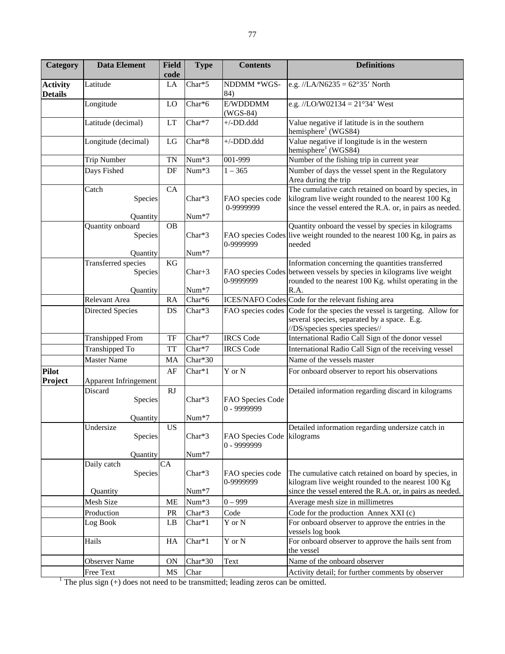| Category                          | <b>Data Element</b>                                                                             | <b>Field</b><br>code | <b>Type</b>          | <b>Contents</b>                           | <b>Definitions</b>                                                                                                                                                                   |
|-----------------------------------|-------------------------------------------------------------------------------------------------|----------------------|----------------------|-------------------------------------------|--------------------------------------------------------------------------------------------------------------------------------------------------------------------------------------|
| <b>Activity</b><br><b>Details</b> | Latitude                                                                                        | LA                   | Char*5               | NDDMM *WGS-<br>84)                        | e.g. //LA/N6235 = $62^{\circ}35'$ North                                                                                                                                              |
|                                   | Longitude                                                                                       | LO                   | Char*6               | E/WDDDMM<br>$(WGS-84)$                    | e.g. //LO/W02134 = $21^{\circ}34'$ West                                                                                                                                              |
|                                   | Latitude (decimal)                                                                              | LT                   | Char*7               | $+/-DD$ .ddd                              | Value negative if latitude is in the southern<br>hemisphere <sup>1</sup> (WGS84)                                                                                                     |
|                                   | Longitude (decimal)                                                                             | LG                   | $Char*8$             | $+/-DDD.ddd$                              | Value negative if longitude is in the western<br>hemisphere <sup>1</sup> (WGS84)                                                                                                     |
|                                   | <b>Trip Number</b>                                                                              | TN                   | Num*3                | 001-999                                   | Number of the fishing trip in current year                                                                                                                                           |
|                                   | Days Fished                                                                                     | DF                   | $Num*3$              | $1 - 365$                                 | Number of days the vessel spent in the Regulatory<br>Area during the trip                                                                                                            |
|                                   | Catch<br>Species<br>Quantity                                                                    | <b>CA</b>            | $Char*3$<br>Num*7    | FAO species code<br>0-9999999             | The cumulative catch retained on board by species, in<br>kilogram live weight rounded to the nearest 100 Kg<br>since the vessel entered the R.A. or, in pairs as needed.             |
|                                   | Quantity onboard                                                                                | <b>OB</b>            |                      |                                           | Quantity onboard the vessel by species in kilograms                                                                                                                                  |
|                                   | Species                                                                                         |                      | $Char*3$             | 0-9999999                                 | FAO species Codes live weight rounded to the nearest 100 Kg, in pairs as<br>needed                                                                                                   |
|                                   | Quantity                                                                                        |                      | Num*7                |                                           |                                                                                                                                                                                      |
|                                   | Transferred species<br>Species                                                                  | KG                   | $Char+3$             | 0-9999999                                 | Information concerning the quantities transferred<br>FAO species Codes between vessels by species in kilograms live weight<br>rounded to the nearest 100 Kg. whilst operating in the |
|                                   | Quantity                                                                                        |                      | Num*7                |                                           | R.A.                                                                                                                                                                                 |
|                                   | Relevant Area                                                                                   | RA                   | $\overline{Char}^*6$ |                                           | ICES/NAFO Codes Code for the relevant fishing area                                                                                                                                   |
|                                   | <b>Directed Species</b>                                                                         | DS                   | Char*3               |                                           | FAO species codes Code for the species the vessel is targeting. Allow for<br>several species, separated by a space. E.g.<br>//DS/species species species//                           |
|                                   | <b>Transhipped From</b>                                                                         | TF                   | $Char*7$             | <b>IRCS</b> Code                          | International Radio Call Sign of the donor vessel                                                                                                                                    |
|                                   | Transhipped To                                                                                  | <b>TT</b>            | Char*7               | <b>IRCS</b> Code                          | International Radio Call Sign of the receiving vessel                                                                                                                                |
|                                   | <b>Master Name</b>                                                                              | MA                   | Char*30              |                                           | Name of the vessels master                                                                                                                                                           |
| Pilot                             |                                                                                                 | AF                   | $Char*1$             | Y or N                                    | For onboard observer to report his observations                                                                                                                                      |
| Project                           | Apparent Infringement                                                                           |                      |                      |                                           |                                                                                                                                                                                      |
|                                   | Discard<br><b>Species</b>                                                                       | RJ                   | $Char*3$             | FAO Species Code<br>0 - 9999999           | Detailed information regarding discard in kilograms                                                                                                                                  |
|                                   | Quantity                                                                                        | <b>US</b>            | $Num*7$              |                                           | Detailed information regarding undersize catch in                                                                                                                                    |
|                                   | Undersize<br>Species                                                                            |                      | $Char*3$             | FAO Species Code kilograms<br>0 - 9999999 |                                                                                                                                                                                      |
|                                   | Quantity                                                                                        |                      | Num*7                |                                           |                                                                                                                                                                                      |
|                                   | Daily catch<br>Species                                                                          | CA                   | $Char*3$             | FAO species code<br>0-9999999             | The cumulative catch retained on board by species, in<br>kilogram live weight rounded to the nearest 100 Kg                                                                          |
|                                   | Quantity                                                                                        |                      | Num*7                |                                           | since the vessel entered the R.A. or, in pairs as needed.                                                                                                                            |
|                                   | Mesh Size                                                                                       | ME                   | $Num*3$              | $0 - 999$                                 | Average mesh size in millimetres                                                                                                                                                     |
|                                   | Production                                                                                      | <b>PR</b>            | Char*3               | Code                                      | Code for the production Annex XXI (c)                                                                                                                                                |
|                                   | Log Book                                                                                        | LB                   | $Char*1$             | Y or N                                    | For onboard observer to approve the entries in the<br>vessels log book                                                                                                               |
|                                   | Hails                                                                                           | HA                   | $Char*1$             | Y or N                                    | For onboard observer to approve the hails sent from<br>the vessel                                                                                                                    |
|                                   | <b>Observer Name</b>                                                                            | <b>ON</b>            | $Char*30$            | Text                                      | Name of the onboard observer                                                                                                                                                         |
|                                   | Free Text                                                                                       | MS                   | Char                 |                                           | Activity detail; for further comments by observer                                                                                                                                    |
|                                   | <sup>1</sup> The plus sign $(+)$ does not need to be transmitted; leading zeros can be omitted. |                      |                      |                                           |                                                                                                                                                                                      |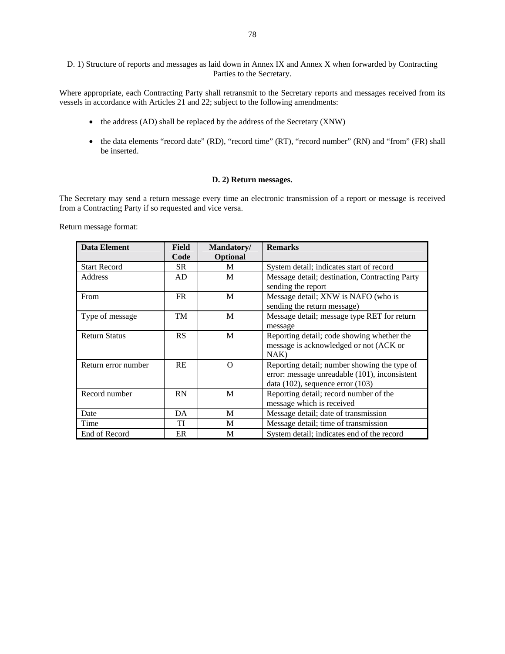D. 1) Structure of reports and messages as laid down in Annex IX and Annex X when forwarded by Contracting Parties to the Secretary.

Where appropriate, each Contracting Party shall retransmit to the Secretary reports and messages received from its vessels in accordance with Articles 21 and 22; subject to the following amendments:

- the address (AD) shall be replaced by the address of the Secretary (XNW)
- the data elements "record date" (RD), "record time" (RT), "record number" (RN) and "from" (FR) shall be inserted.

### **D. 2) Return messages.**

The Secretary may send a return message every time an electronic transmission of a report or message is received from a Contracting Party if so requested and vice versa.

Return message format:

| <b>Data Element</b>  | <b>Field</b> | Mandatory/      | <b>Remarks</b>                                                                                                                         |
|----------------------|--------------|-----------------|----------------------------------------------------------------------------------------------------------------------------------------|
|                      | Code         | <b>Optional</b> |                                                                                                                                        |
| <b>Start Record</b>  | SR           | M               | System detail; indicates start of record                                                                                               |
| Address              | AD           | M               | Message detail; destination, Contracting Party<br>sending the report                                                                   |
| From                 | <b>FR</b>    | M               | Message detail; XNW is NAFO (who is<br>sending the return message)                                                                     |
| Type of message      | TM           | M               | Message detail; message type RET for return<br>message                                                                                 |
| <b>Return Status</b> | RS           | M               | Reporting detail; code showing whether the<br>message is acknowledged or not (ACK or<br>NAK                                            |
| Return error number  | RE           | $\Omega$        | Reporting detail; number showing the type of<br>error: message unreadable (101), inconsistent<br>data $(102)$ , sequence error $(103)$ |
| Record number        | RN           | M               | Reporting detail; record number of the<br>message which is received                                                                    |
| Date                 | DA           | M               | Message detail; date of transmission                                                                                                   |
| Time                 | TI           | M               | Message detail; time of transmission                                                                                                   |
| End of Record        | ER           | М               | System detail; indicates end of the record                                                                                             |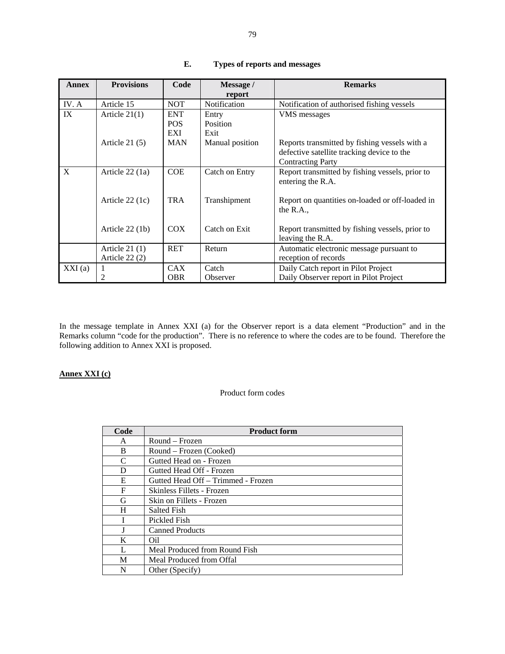| <b>Annex</b> | <b>Provisions</b> | Code             | Message /           | <b>Remarks</b>                                  |
|--------------|-------------------|------------------|---------------------|-------------------------------------------------|
|              |                   |                  | report              |                                                 |
| IV. A        | Article 15        | <b>NOT</b>       | <b>Notification</b> | Notification of authorised fishing vessels      |
| IX           | Article $21(1)$   | <b>ENT</b>       | Entry               | VMS messages                                    |
|              |                   | <b>POS</b>       | <b>Position</b>     |                                                 |
|              |                   | EXI              | Exit                |                                                 |
|              | Article $21(5)$   | <b>MAN</b>       | Manual position     | Reports transmitted by fishing vessels with a   |
|              |                   |                  |                     | defective satellite tracking device to the      |
|              |                   |                  |                     | <b>Contracting Party</b>                        |
| X            | Article 22 (1a)   | <b>COE</b>       | Catch on Entry      | Report transmitted by fishing vessels, prior to |
|              |                   |                  |                     | entering the R.A.                               |
|              |                   |                  |                     |                                                 |
|              | Article $22(1c)$  | <b>TRA</b>       | Transhipment        | Report on quantities on-loaded or off-loaded in |
|              |                   |                  |                     | the $R.A.,$                                     |
|              | Article 22 (1b)   | COX <sup>1</sup> | Catch on Exit       | Report transmitted by fishing vessels, prior to |
|              |                   |                  |                     | leaving the R.A.                                |
|              | Article $21(1)$   | <b>RET</b>       | Return              | Automatic electronic message pursuant to        |
|              | Article $22(2)$   |                  |                     | reception of records                            |
| XXI(a)       |                   | CAX <sup>1</sup> | Catch               | Daily Catch report in Pilot Project             |
|              |                   | <b>OBR</b>       | Observer            | Daily Observer report in Pilot Project          |

# **E. Types of reports and messages**

In the message template in Annex XXI (a) for the Observer report is a data element "Production" and in the Remarks column "code for the production". There is no reference to where the codes are to be found. Therefore the following addition to Annex XXI is proposed.

# **Annex XXI (c)**

## Product form codes

| Code | <b>Product form</b>                |
|------|------------------------------------|
| A    | Round – Frozen                     |
| B    | Round – Frozen (Cooked)            |
| C    | Gutted Head on - Frozen            |
| D    | Gutted Head Off - Frozen           |
| E    | Gutted Head Off – Trimmed - Frozen |
| F    | Skinless Fillets - Frozen          |
| G    | Skin on Fillets - Frozen           |
| H    | Salted Fish                        |
|      | Pickled Fish                       |
|      | <b>Canned Products</b>             |
| K    | Oil                                |
|      | Meal Produced from Round Fish      |
| M    | Meal Produced from Offal           |
| N    | Other (Specify)                    |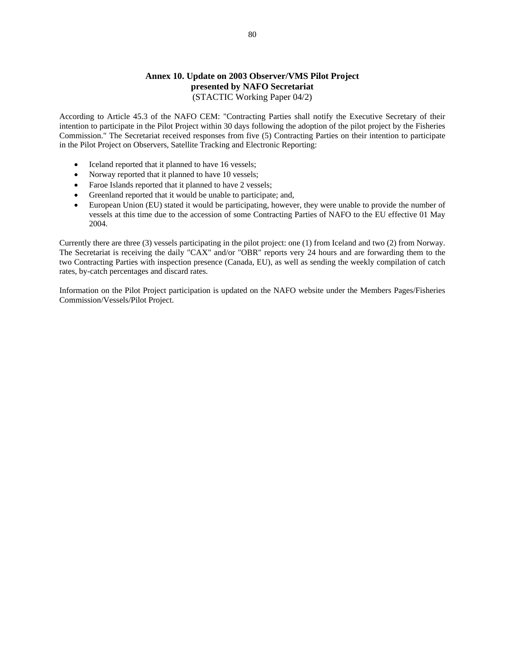# **Annex 10. Update on 2003 Observer/VMS Pilot Project presented by NAFO Secretariat**  (STACTIC Working Paper 04/2)

According to Article 45.3 of the NAFO CEM: "Contracting Parties shall notify the Executive Secretary of their intention to participate in the Pilot Project within 30 days following the adoption of the pilot project by the Fisheries Commission." The Secretariat received responses from five (5) Contracting Parties on their intention to participate in the Pilot Project on Observers, Satellite Tracking and Electronic Reporting:

- Iceland reported that it planned to have 16 vessels;
- Norway reported that it planned to have 10 vessels;
- Faroe Islands reported that it planned to have 2 vessels;
- Greenland reported that it would be unable to participate; and,
- European Union (EU) stated it would be participating, however, they were unable to provide the number of vessels at this time due to the accession of some Contracting Parties of NAFO to the EU effective 01 May 2004.

Currently there are three (3) vessels participating in the pilot project: one (1) from Iceland and two (2) from Norway. The Secretariat is receiving the daily "CAX" and/or "OBR" reports very 24 hours and are forwarding them to the two Contracting Parties with inspection presence (Canada, EU), as well as sending the weekly compilation of catch rates, by-catch percentages and discard rates.

Information on the Pilot Project participation is updated on the NAFO website under the Members Pages/Fisheries Commission/Vessels/Pilot Project.